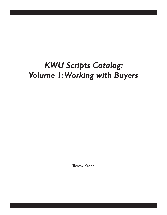# *KWU Scripts Catalog: Volume 1: Working with Buyers*

Tammy Kroop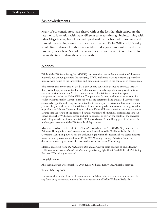#### Acknowledgments

Many of our contributors have shared with us the fact that their scripts are the result of collaboration with many different sources—through brainstorming with other Mega Agents, from ideas and tips shared by coaches and consultants, and through the training events that they have attended. Keller Williams University would like to thank all of those whose ideas and suggestions resulted in the final product you see here. Special thanks are reserved for our script contributors for taking the time to share these scripts with us.

#### **Notices**

While Keller Williams Realty, Inc. (KWRI) has taken due care in the preparation of all course materials, we cannot guarantee their accuracy. KWRI makes no warranties either expressed or implied with regard to the information and programs presented in the course or in this manual.

This manual and any course it's used as a part of may contain hypothetical exercises that are designed to help you understand how Keller Williams calculates profit sharing contributions and distributions under the MORE System, how Keller Williams determines agents compensation under the Keller Williams Compensation System, and how other aspects of a Keller Williams Market Center's financial results are determined and evaluated. Any exercises are entirely hypothetical. They are not intended to enable you to determine how much money you are likely to make as a Keller Williams Licensee or to predict the amount or range of sales or profits your Market Center is likely to achieve. Keller Williams therefore cautions you not to assume that the results of the exercises bear any relation to the financial performance you can expect as a Keller Williams Licensee and not to consider or rely on the results of the exercises in deciding whether to invest in a Keller Williams Market Center. If any part of this notice is unclear, please contact Keller Williams' legal department.

Materials based on the Recruit-Select-Train-Manage-Motivate™ (RSTMM™) system and the Winning Through Selection™ course have been licensed to Keller Williams Realty, Inc. by Corporate Consulting. KWRI has the exclusive right within the residential real estate industry to market and present material from RSTMM™, Winning Through Selection™, and any derivatives owned by or created in cooperation with Corporate Consulting.

Material excerpted from *The Millionaire Real Estate Agent* appears courtesy of The McGraw-Hill Companies. *The Millionaire Real Estate Agent* is copyright © 2003–2004 Rellek Publishing Partners LTD. All rights reserved.

#### Copyright notice

All other materials are copyright © 2004 Keller Williams Realty, Inc. All rights reserved.

Printed February 2009.

No part of this publication and its associated materials may be reproduced or transmitted in any form or by any means without the prior permission of Keller Williams Realty, Inc.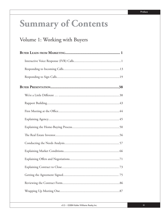# **Summary of Contents**

## Volume 1: Working with Buyers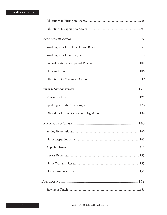| 141 |
|-----|
|     |
|     |
|     |
|     |
|     |
|     |

v3.2 • ©2004 Keller Williams Realty, Inc.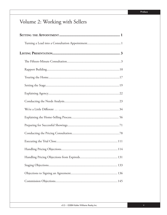## Volume 2: Working with Sellers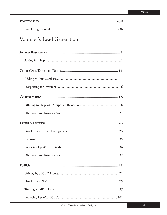| Volume 3: Lead Generation |
|---------------------------|
|                           |
|                           |
|                           |
|                           |
|                           |
|                           |
|                           |
|                           |
|                           |
|                           |
|                           |
|                           |
|                           |
|                           |
|                           |
|                           |
|                           |
|                           |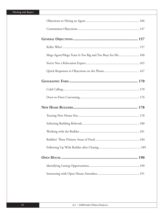| Mega Agent/Mega Team Is Too Big and Too Busy for Me 160 |
|---------------------------------------------------------|
|                                                         |
|                                                         |
|                                                         |
|                                                         |
|                                                         |
|                                                         |
|                                                         |
|                                                         |
|                                                         |
|                                                         |
|                                                         |
|                                                         |
|                                                         |
|                                                         |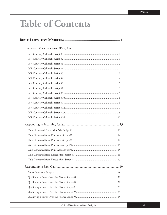# **Table of Contents**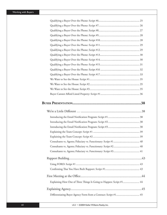| Explaining How One of Three Things Is Going to Happen: Script #1 44 |  |
|---------------------------------------------------------------------|--|
|                                                                     |  |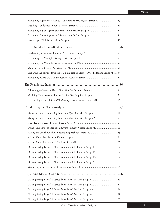| Explaining Agency as a Way to Guarantee Buyer's Rights: Script #1 45                |  |
|-------------------------------------------------------------------------------------|--|
|                                                                                     |  |
|                                                                                     |  |
|                                                                                     |  |
|                                                                                     |  |
|                                                                                     |  |
|                                                                                     |  |
|                                                                                     |  |
|                                                                                     |  |
|                                                                                     |  |
| Preparing the Buyer Moving into a Significantly Higher-Priced Market: Script #1  53 |  |
|                                                                                     |  |
|                                                                                     |  |
|                                                                                     |  |
| Verifying That Investor Has the Capital You Require: Script #1 56                   |  |
|                                                                                     |  |
|                                                                                     |  |
|                                                                                     |  |
|                                                                                     |  |
|                                                                                     |  |
| Using "The Tens" to Identify a Buyer's Primary Needs: Script #1 61                  |  |
|                                                                                     |  |
|                                                                                     |  |
|                                                                                     |  |
|                                                                                     |  |
| Differentiating Between New Homes and Old Homes: Script #2  64                      |  |
|                                                                                     |  |
|                                                                                     |  |
|                                                                                     |  |
|                                                                                     |  |
|                                                                                     |  |
|                                                                                     |  |
|                                                                                     |  |
|                                                                                     |  |
|                                                                                     |  |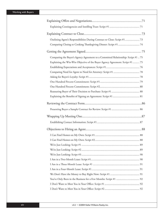| Outlining Agent's Responsibilities During Contract to Close: Script #1  73       |  |
|----------------------------------------------------------------------------------|--|
|                                                                                  |  |
|                                                                                  |  |
| Comparing the Buyer's Agency Agreement to a Committed Relationship: Script #1.75 |  |
| Explaining the Win-Win Objective of the Buyer Agency Agreement: Script #1  75    |  |
|                                                                                  |  |
|                                                                                  |  |
|                                                                                  |  |
|                                                                                  |  |
|                                                                                  |  |
|                                                                                  |  |
|                                                                                  |  |
|                                                                                  |  |
|                                                                                  |  |
|                                                                                  |  |
|                                                                                  |  |
|                                                                                  |  |
|                                                                                  |  |
|                                                                                  |  |
|                                                                                  |  |
|                                                                                  |  |
|                                                                                  |  |
|                                                                                  |  |
|                                                                                  |  |
|                                                                                  |  |
|                                                                                  |  |
|                                                                                  |  |
|                                                                                  |  |
|                                                                                  |  |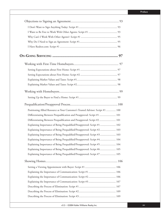| Positioning Allied Resource as Your Customer's Trusted Advisor: Script #1  100 |  |
|--------------------------------------------------------------------------------|--|
| Differentiating Between Prequalification and Preapproval: Script #1  101       |  |
| Differentiating Between Prequalification and Preapproval: Script #2  101       |  |
| Explaining Importance of Being Prequalified/Preapproved: Script #1  102        |  |
| Explaining Importance of Being Prequalified/Preapproved: Script #2 103         |  |
| Explaining Importance of Being Prequalified/Preapproved: Script #3  103        |  |
| Explaining Importance of Being Prequalified/Preapproved: Script #4  104        |  |
| Explaining Importance of Being Prequalified/Preapproved: Script #5  104        |  |
| Explaining Importance of Being Prequalified/Preapproved: Script #6 105         |  |
| Explaining Importance of Being Prequalified/Preapproved: Script #7  105        |  |
|                                                                                |  |
|                                                                                |  |
|                                                                                |  |
|                                                                                |  |
|                                                                                |  |
|                                                                                |  |
|                                                                                |  |
|                                                                                |  |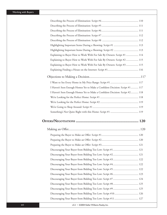| Explaining to Buyer How to Work With For Sale By Owners: Script #1  114      |  |
|------------------------------------------------------------------------------|--|
| Explaining to Buyer How to Work With For Sale By Owners: Script #2  115      |  |
| Explaining to Buyer How to Work With For Sale By Owners: Script #3  115      |  |
|                                                                              |  |
|                                                                              |  |
|                                                                              |  |
| I Haven't Seen Enough Homes Yet to Make a Confident Decision: Script #1  117 |  |
| I Haven't Seen Enough Homes Yet to Make a Confident Decision: Script #2 118  |  |
|                                                                              |  |
|                                                                              |  |
|                                                                              |  |
|                                                                              |  |
|                                                                              |  |
|                                                                              |  |
|                                                                              |  |
|                                                                              |  |
|                                                                              |  |
|                                                                              |  |
|                                                                              |  |
|                                                                              |  |
|                                                                              |  |
|                                                                              |  |
|                                                                              |  |
|                                                                              |  |
|                                                                              |  |
|                                                                              |  |
|                                                                              |  |
| Discouraging Your Buyer from Bidding Too Low: Script #10 126                 |  |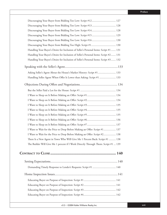| Discouraging Your Buyer from Bidding Too Low: Script #12 127                          |
|---------------------------------------------------------------------------------------|
| Discouraging Your Buyer from Bidding Too Low: Script #13 128                          |
| Discouraging Your Buyer from Bidding Too Low: Script #14 128                          |
|                                                                                       |
| Discouraging Your Buyer from Bidding Too Low: Script #16 130                          |
|                                                                                       |
| Handling Your Buyer's Desire for Inclusion of Seller's Personal Items: Script #1  131 |
| Handling Your Buyer's Desire for Inclusion of Seller's Personal Items: Script #2 131  |
| Handling Your Buyer's Desire for Inclusion of Seller's Personal Items: Script #3  132 |
|                                                                                       |
| Asking Seller's Agent About the House's Market History: Script #1  133                |
| Handling Seller Agent When Offer Is Lower than Asking: Script #1  133                 |
|                                                                                       |
|                                                                                       |
|                                                                                       |
|                                                                                       |
|                                                                                       |
|                                                                                       |
|                                                                                       |
|                                                                                       |
|                                                                                       |
| I Want to Wait for the Price to Drop Before Making an Offer: Script #1 137            |
| I Want to Wait for the Price to Drop Before Making an Offer: Script #2 138            |
| There Is a New Agent in Town Who Will Give Me 1 Percent Back: Script #1  138          |
| The Builder Will Give Me 1 percent if I Work Directly Through Them: Script #1  139    |
|                                                                                       |
|                                                                                       |
| Demanding Timely Response to Lender's Requests: Script #1  140                        |
|                                                                                       |
|                                                                                       |
|                                                                                       |
|                                                                                       |
|                                                                                       |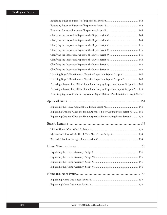| Handling Buyer's Reaction to a Negative Inspection Report: Script #1 147              |  |
|---------------------------------------------------------------------------------------|--|
| Handling Buyer's Reaction to a Negative Inspection Report: Script #2 148              |  |
| Preparing a Buyer of an Older Home for a Lengthy Inspection Report: Script #1  149    |  |
| Preparing a Buyer of an Older Home for a Lengthy Inspection Report: Script #2  149    |  |
| Presenting Options When the Inspection Report Returns Pest Infestation: Script #1.150 |  |
|                                                                                       |  |
|                                                                                       |  |
| Explaining Options When the Home Appraises Below Asking Price: Script #1  151         |  |
| Explaining Options When the Home Appraises Below Asking Price: Script #2  152         |  |
|                                                                                       |  |
|                                                                                       |  |
|                                                                                       |  |
|                                                                                       |  |
|                                                                                       |  |
|                                                                                       |  |
|                                                                                       |  |
|                                                                                       |  |
|                                                                                       |  |
|                                                                                       |  |
|                                                                                       |  |
|                                                                                       |  |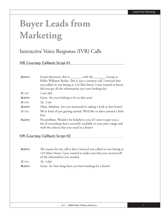# **Buyer Leads from Marketing**

## Interactive Voice Response (IVR) Calls

IVR Courtesy Callback: Script #1

| AGENT:        | Good afternoon, this is ________ with the ________ Group at            |  |
|---------------|------------------------------------------------------------------------|--|
|               | Keller Williams Realty. This is just a courtesy call. I noticed that   |  |
|               | you called on our listing at 123 Elm Street. I just wanted to know,    |  |
|               | did you get all the information you were looking for?                  |  |
| <b>BUYER:</b> | I sure did.                                                            |  |
| AGENT:        | Great. Are you looking to be in that area?                             |  |
| BUYER:        | Yes, I am.                                                             |  |
| AGENT:        | Okay, fabulous. Are you interested in taking a look at that house?     |  |
| BUYER:        | We're kind of just getting started. We'd like to drive around a little |  |
|               | first.                                                                 |  |
| AGENT:        | No problem. Would it be helpful to you if I were to give you a         |  |
|               | list of everything that's currently available in your price range and  |  |
|               | with the criteria that you need in a home?                             |  |

#### IVR Courtesy Callback: Script #2

| <b>AGENT:</b> | The reason for my call is that I noticed you called on our listing at |
|---------------|-----------------------------------------------------------------------|
|               | 123 Main Street. I just wanted to make sure that you received all     |
|               | of the information you needed.                                        |
| Buyer:        | Yes. I did.                                                           |
| AGENT:        | Great. So, how long have you been looking for a home?                 |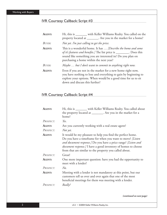## IVR Courtesy Callback: Script #3

| AGENT:        | Hi, this is ________ with Keller Williams Realty. You called on the<br>property located at ________. Are you in the market for a home?                                                                                                           |
|---------------|--------------------------------------------------------------------------------------------------------------------------------------------------------------------------------------------------------------------------------------------------|
| BUYER:        | Not yet. I'm just calling to get the price.                                                                                                                                                                                                      |
| <b>AGENT:</b> | This is a wonderful home. It has  [Describe the home and some<br>of it's features and benefits.] The list price is _________. Does this<br>sound like something you are interested in? Do you plan on<br>purchasing a home within the next year? |
| BUYER:        | Maybe  but I don't want to commit to anything right now.                                                                                                                                                                                         |
| AGENT:        | Even if you are not in the market for a new home right now,<br>you have nothing to lose and everything to gain by beginning to<br>explore your options. When would be a good time for us to sit<br>down and discuss this further?                |

## IVR Courtesy Callback: Script #4

| AGENT:    | Hi, this is _______ with Keller Williams Realty. You called about                                                                                                                                                                                                                                                        |
|-----------|--------------------------------------------------------------------------------------------------------------------------------------------------------------------------------------------------------------------------------------------------------------------------------------------------------------------------|
|           | the property located at _________. Are you in the market for a                                                                                                                                                                                                                                                           |
|           | home?                                                                                                                                                                                                                                                                                                                    |
| PROSPECT: | Yes.                                                                                                                                                                                                                                                                                                                     |
| AGENT:    | Are you currently working with a real estate agent?                                                                                                                                                                                                                                                                      |
| PROSPECT: | Not yet.                                                                                                                                                                                                                                                                                                                 |
| AGENT:    | It would be my pleasure to help you find the perfect home.<br>Do you have a timeframe for when you want to move? [Listen]<br>and document response.] Do you have a price range? [Listen and<br>document response.] I have a good inventory of homes to choose<br>from that are similar to the property you called about. |
| PROSPECT: | Great!                                                                                                                                                                                                                                                                                                                   |
| AGENT:    | One more important question: have you had the opportunity to<br>meet with a lender?                                                                                                                                                                                                                                      |
| PROSPECT: | No.                                                                                                                                                                                                                                                                                                                      |
| AGENT:    | Meeting with a lender is not mandatory at this point, but our<br>customers tell us over and over again that one of the most<br>beneficial meetings for them was meeting with a lender.                                                                                                                                   |
| PROSPECT: | Really?                                                                                                                                                                                                                                                                                                                  |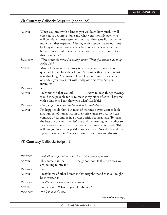## IVR Courtesy Callback: Script #4 (continued)

| AGENT:        | When you meet with a lender, you will learn how much it will<br>cost you to get into a home and what your monthly payments<br>will be. Many times customers find that they actually qualify for<br>more than they expected. Meeting with a lender makes our time<br>looking at homes more efficient because we focus only on the<br>homes you're comfortable making monthly payments on. Does<br>this make sense?                                                                                 |
|---------------|---------------------------------------------------------------------------------------------------------------------------------------------------------------------------------------------------------------------------------------------------------------------------------------------------------------------------------------------------------------------------------------------------------------------------------------------------------------------------------------------------|
| PROSPECT:     | What about the home I'm calling about? What if someone buys it up<br>before I do?                                                                                                                                                                                                                                                                                                                                                                                                                 |
| <b>AGENT:</b> | Most sellers want the security of working with a buyer who is<br>qualified to purchase their home. Meeting with a lender doesn't<br>take that long. As a matter of fact, I can recommend a couple<br>of lenders you may meet with today or tomorrow. Are you<br>interested?                                                                                                                                                                                                                       |
| PROSPECT:     | Sure.                                                                                                                                                                                                                                                                                                                                                                                                                                                                                             |
| AGENT:        | I recommend that you call _________. Now, to keep things moving,<br>would it be possible for us to meet at my office after you have met<br>with a lender so I can show you what's available?                                                                                                                                                                                                                                                                                                      |
| PROSPECT:     | Can you just show me the house that I called about?                                                                                                                                                                                                                                                                                                                                                                                                                                               |
| <b>AGENT:</b> | I'm happy to do that, but most of the time buyers want to look<br>at a number of homes within their price range so that they can<br>compare prices and be in a better position to negotiate. To make<br>the best use of your time, let's start with a meeting in my office so<br>I can show you ten or so other homes that meet your needs. This<br>will put you in a better position to negotiate. Does this sound like<br>a good starting point? Let's set a time to sit down and discuss this. |

## IVR Courtesy Callback: Script #5

| PROSPECT: | I got all the information I needed. Thank you very much.                           |
|-----------|------------------------------------------------------------------------------------|
| AGENT:    | neighborhood. Is this is an area you<br>are looking to buy in?                     |
| PROSPECT: | Yes.                                                                               |
| AGENT:    | I may know of other homes in that neighborhood that you might<br>be interested in. |
| PROSPECT: | I really like the house that I called on.                                          |
| AGENT:    | I understand. What do you like about it?                                           |
| PROSPECT: | The look and the size.                                                             |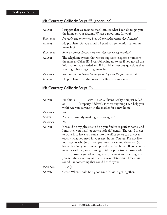## IVR Courtesy Callback: Script #5 (continued)

| AGENT:        | I suggest that we meet so that I can see what I can do to get you<br>the home of your dreams. What's a good time for you?                                                                                                                    |
|---------------|----------------------------------------------------------------------------------------------------------------------------------------------------------------------------------------------------------------------------------------------|
| PROSPECT:     | I'm really not interested. I got all the information that I needed.                                                                                                                                                                          |
| <b>AGENT:</b> | No problem. Do you mind if I send you some information on<br>financing?                                                                                                                                                                      |
| PROSPECT:     | Sure, go ahead. By the way, how did you get my number?                                                                                                                                                                                       |
| AGENT:        | The telephone system that we use captures telephone numbers<br>the same as Caller ID. I was following up to see if you got all the<br>information you needed and if I could answer any questions that<br>you might have regarding financing. |
| PROSPECT:     | Send me that information on financing and I'll give you a call.                                                                                                                                                                              |
| AGENT:        | No problem  so the correct spelling of your name is                                                                                                                                                                                          |

## IVR Courtesy Callback: Script #6

| AGENT:    | Hi, this is ________ with Keller Williams Realty. You just called                                                                                                                                                                                                                                                                                                                                                                                                                                                                                                                                                                                                     |
|-----------|-----------------------------------------------------------------------------------------------------------------------------------------------------------------------------------------------------------------------------------------------------------------------------------------------------------------------------------------------------------------------------------------------------------------------------------------------------------------------------------------------------------------------------------------------------------------------------------------------------------------------------------------------------------------------|
|           | on _________ (Property Address). Is there anything I can help you                                                                                                                                                                                                                                                                                                                                                                                                                                                                                                                                                                                                     |
|           | with? Are you currently in the market for a new home?                                                                                                                                                                                                                                                                                                                                                                                                                                                                                                                                                                                                                 |
| PROSPECT: | Yes.                                                                                                                                                                                                                                                                                                                                                                                                                                                                                                                                                                                                                                                                  |
| AGENT:    | Are you currently working with an agent?                                                                                                                                                                                                                                                                                                                                                                                                                                                                                                                                                                                                                              |
| PROSPECT: | N <sub>0</sub>                                                                                                                                                                                                                                                                                                                                                                                                                                                                                                                                                                                                                                                        |
| AGENT:    | It would be my pleasure to help you find your perfect home, and<br>I must tell you that I operate a little differently. The way I prefer<br>to work is to have you come into the office so we can uncover<br>exactly what you need in your next home. You see, I'm not like<br>most agents who just throw you into the car and show you 50<br>homes hoping you stumble upon the perfect home. If you choose<br>to work with me, we are going to take a proactive approach which<br>virtually assures you of getting what you want and wanting what<br>you get; thus, assuring us of a win-win relationship. Does this<br>sound like something that could benefit you? |
| PROSPECT: | Possibly.                                                                                                                                                                                                                                                                                                                                                                                                                                                                                                                                                                                                                                                             |
| AGENT:    | Great! When would be a good time for us to get together?                                                                                                                                                                                                                                                                                                                                                                                                                                                                                                                                                                                                              |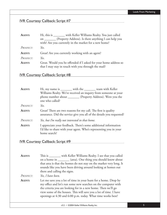### IVR Courtesy Callback: Script #7

| AGENT:    | Hi, this is _______ with Keller Williams Realty. You just called                                                          |
|-----------|---------------------------------------------------------------------------------------------------------------------------|
|           | on ________ (Property Address). Is there anything I can help you<br>with? Are you currently in the market for a new home? |
| PROSPECT: | Yes.                                                                                                                      |
|           |                                                                                                                           |
| AGENT:    | Great! Are you currently working with an agent?                                                                           |
| Prospect: | Yes.                                                                                                                      |

#### IVR Courtesy Callback: Script #8

| <b>AGENT:</b> | Hi, my name is _______ with the _______ team with Keller                                                                                             |
|---------------|------------------------------------------------------------------------------------------------------------------------------------------------------|
|               | Williams Realty. We've received an inquiry from someone at your                                                                                      |
|               | phone number about _________ (Property Address). Were you the<br>one who called?                                                                     |
| PROSPECT:     | Yes.                                                                                                                                                 |
| <b>AGENT:</b> | Great! There are two reasons for my call. The first is quality<br>assurance. Did the service give you all of the details you requested?              |
| PROSPECT:     | Yes, but I'm really not interested in that home.                                                                                                     |
| AGENT:        | I appreciate your feedback. There's some additional information<br>I'd like to share with your agent. Who's representing you in your<br>home search? |

#### IVR Courtesy Callback: Script #9

AGENT: This is \_\_\_\_\_\_\_ with Keller Williams Realty. I see that you called on a home in \_\_\_\_\_\_\_ (area). One thing you should know about that area is that the homes do not stay on the market very long. It sounds like you have been driving around looking at homes out there and calling the signs.

*PROSPECT: Yes, I have been.*

**AGENT:** Let me save you a lot of time in your hunt for a home. Drop by my office and let's run some new searches on the computer with the criteria you are looking for in a new home. Then we'll go view some of the houses. This will save you a lot of time. I have openings at 4:30 and 6:00 p.m. today. What time works best?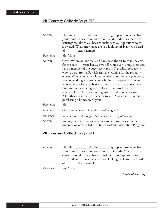#### IVR Courtesy Callback: Script #10

| AGENT:    | Hi, this is ________ with the ________ group and someone from<br>your home just called on one of our talking ads. As a matter of<br>courtesy, we like to call back to make sure your questions were<br>answered. What price range are you looking in? Have you heard<br>of _______ (team name)?                                                                                                                                                                                                                                                                                                                                                                                                                        |
|-----------|------------------------------------------------------------------------------------------------------------------------------------------------------------------------------------------------------------------------------------------------------------------------------------------------------------------------------------------------------------------------------------------------------------------------------------------------------------------------------------------------------------------------------------------------------------------------------------------------------------------------------------------------------------------------------------------------------------------------|
| PROSPECT: | Yes, I have.                                                                                                                                                                                                                                                                                                                                                                                                                                                                                                                                                                                                                                                                                                           |
| AGENT:    | Great! We are on our toes and have been the #1 team in the area<br>for the past ____ years because we offer some very unique services.<br>I am a member of the buyer agent team. Typically, most agents<br>who you call from a For Sale sign are working for the property<br>owner. When you work with a member of our buyer agent team,<br>you are working with someone who instead represents you and<br>who looks out for your best interests. This can save you a lot of<br>time and money. Being a part of a team means I can focus 100<br>percent of my efforts on finding just the right home for you.<br>All of this service is free of charge to you. You are interested in<br>purchasing a home, aren't you? |
| PROSPECT: | Yes.                                                                                                                                                                                                                                                                                                                                                                                                                                                                                                                                                                                                                                                                                                                   |
| AGENT:    | Great! Are you working with another agent?                                                                                                                                                                                                                                                                                                                                                                                                                                                                                                                                                                                                                                                                             |
| PROSPECT: | We're not interested in purchasing now; we are just looking.                                                                                                                                                                                                                                                                                                                                                                                                                                                                                                                                                                                                                                                           |
| AGENT:    | We may have just the right service to help you. It's a unique<br>program we offer called the "Buyer Instant Notification Program".                                                                                                                                                                                                                                                                                                                                                                                                                                                                                                                                                                                     |

#### IVR Courtesy Callback: Script #11

AGENT: Hi, this is \_\_\_\_\_\_\_ with the \_\_\_\_\_\_\_ group and someone from your home just called on one of our talking ads. As a matter of courtesy, we like to call back to make sure your questions were answered. What price range are you looking in? Have you heard of \_\_\_\_\_\_\_ (team name)?

*PROSPECT: Yes, I have.*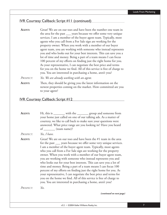#### IVR Courtesy Callback: Script #11 (continued)

**AGENT:** Great! We are on our toes and have been the number one team in the area for the past \_\_\_ years because we offer some very unique services. I am a member of the buyer agent team. Typically, most agents who you call from a For Sale sign are working for the property owner. When you work with a member of our buyer agent team, you are working with someone who instead represents you and who looks out for your best interests. This can save you a lot of time and money. Being a part of a team means I can focus 100 percent of my efforts on finding just the right home for you. As your representative, I can negotiate the best price and terms for you on the home we find. All of this service is free of charge to you. You are interested in purchasing a home, aren't you?

*PROSPECT: Yes. We are already working with an agent.*

**AGENT:** Then, they should be giving you the latest information on the newest properties coming on the market. How committed are you to your agent?

#### IVR Courtesy Callback: Script #12

AGENT: Hi, this is \_\_\_\_\_\_\_ with the \_\_\_\_\_\_\_ group and someone from your home just called on one of our talking ads. As a matter of courtesy, we like to call back to make sure your questions were answered. What price range are you looking in? Have you heard of (team name)? *PROSPECT: Yes, I have.* **AGENT:** Great! We are on our toes and have been the #1 team in the area for the past \_\_\_ years because we offer some very unique services. I am a member of the buyer agent team. Typically, most agents who you call from a For Sale sign are working for the property owner. When you work with a member of our buyer agent team, you are working with someone who instead represents you and who looks out for your best interests. This can save you a lot of time and money. Being a part of a team means I can focus 100 percent of my efforts on finding just the right home for you. As your representative, I can negotiate the best price and terms for you on the home we find. All of this service is free of charge to you. You are interested in purchasing a home, aren't you? *PROSPECT: Yes. (continued on next page)*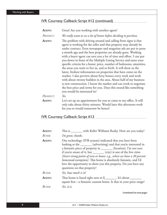## IVR Courtesy Callback: Script #12 (continued)

| <b>AGENT:</b> | Great! Are you working with another agent?                                                                                                                                                                                                                                                                                                                                                                                                                                                                                                                                                                                                                                                                                                                                                                                                                                                                                                    |
|---------------|-----------------------------------------------------------------------------------------------------------------------------------------------------------------------------------------------------------------------------------------------------------------------------------------------------------------------------------------------------------------------------------------------------------------------------------------------------------------------------------------------------------------------------------------------------------------------------------------------------------------------------------------------------------------------------------------------------------------------------------------------------------------------------------------------------------------------------------------------------------------------------------------------------------------------------------------------|
| Prospect:     | We really want to see a lot of homes before deciding to purchase.                                                                                                                                                                                                                                                                                                                                                                                                                                                                                                                                                                                                                                                                                                                                                                                                                                                                             |
| AGENT:        | The problem with driving around and calling from signs is that<br>agent is working for the seller and that property may already be<br>under contract. Even newspaper and magazine ads are put to press<br>a month ago and the best properties are already gone. Working<br>with a buyer agent can save you a lot of time and effort. I can put<br>you down in front of the Multiple Listing Service and enter your<br>specific criteria for a home: price, number of bedrooms, amenities,<br>the areas you want to live in, and so forth. It will show us the<br>latest, freshest information on properties that have come on the<br>market. I also preview about forty homes every week and work<br>with about twenty builders in the area. About half of my business<br>is new construction. I know the market and can work to negotiate<br>the best price and terms for you. Does this sound like something<br>you would be interested in? |
| Prospect:     | Yes.                                                                                                                                                                                                                                                                                                                                                                                                                                                                                                                                                                                                                                                                                                                                                                                                                                                                                                                                          |
| <b>AGENT:</b> | Let's set up an appointment for you to come to my office. It will<br>only take about thirty minutes. Would later this afternoon work<br>for you or would tomorrow be better?                                                                                                                                                                                                                                                                                                                                                                                                                                                                                                                                                                                                                                                                                                                                                                  |

## IVR Courtesy Callback: Script #13

| AGENT:        | This is _______ with Keller Williams Realty. How are you today?                                                                                                                                                                                                                                                                                                                                                                                                                                                                |
|---------------|--------------------------------------------------------------------------------------------------------------------------------------------------------------------------------------------------------------------------------------------------------------------------------------------------------------------------------------------------------------------------------------------------------------------------------------------------------------------------------------------------------------------------------|
| BUYER:        | I'm great, thanks.                                                                                                                                                                                                                                                                                                                                                                                                                                                                                                             |
| <b>AGENT:</b> | Our technology (IVR system) indicated that you have been<br>looking at the _______ (advertising) and that you're interested in<br>a fantastic piece of property in ________ (location). I'm not sure<br>if you're aware of it, but _________ (city) is one of the few cities<br>[Insert strong points of area or house: e.g., where we have a 20 percent<br>homestead exemption]. This home is absolutely fantastic, and I'd<br>love the opportunity to show you this property. Do you have any<br>questions on that property? |
| <b>BUYER:</b> | Yes, how much is it?                                                                                                                                                                                                                                                                                                                                                                                                                                                                                                           |
| AGENT:        | That home is listed right now at \$________. It's about _________<br>square feet—a fantastic custom home. Is that in your price range?                                                                                                                                                                                                                                                                                                                                                                                         |
| BUYER:        | Yes, it is.                                                                                                                                                                                                                                                                                                                                                                                                                                                                                                                    |
|               |                                                                                                                                                                                                                                                                                                                                                                                                                                                                                                                                |

*(continued on next page)*

8 v3.2 • ©2004 Keller Williams Realty, Inc.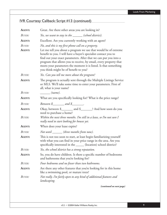## IVR Courtesy Callback: Script #13 (continued)

| AGENT:                  | Great. Are there other areas you are looking in?                                                                                                                                                                                                                                                                                                                                                                                               |
|-------------------------|------------------------------------------------------------------------------------------------------------------------------------------------------------------------------------------------------------------------------------------------------------------------------------------------------------------------------------------------------------------------------------------------------------------------------------------------|
| <b>BUYER:</b>           | Yes, we want to stay in the ______ (school district).                                                                                                                                                                                                                                                                                                                                                                                          |
| AGENT:                  | Excellent. Are you currently working with an agent?                                                                                                                                                                                                                                                                                                                                                                                            |
| <b>BUYER:</b><br>AGENT: | No, and this is my first phone call on a property.<br>Let me tell you about a program we use that would be of extreme<br>benefit to you. I will have a buyer's specialist contact you to<br>find out your exact parameters. After that we can put you into a<br>program that allows you to receive, by email, every property that<br>meets your parameters the moment it is listed. Is that something<br>you think might be of benefit to you? |
| BUYER:                  | Yes. Can you tell me more about the program?                                                                                                                                                                                                                                                                                                                                                                                                   |
| AGENT:                  | The program is actually sent through the Multiple Listings Service<br>or MLS. We'll take some time to enter your parameters. First of<br>all, what is your name?                                                                                                                                                                                                                                                                               |
| <b>BUYER:</b>           | $(mame)$ .                                                                                                                                                                                                                                                                                                                                                                                                                                     |
| AGENT:                  | What are you specifically looking for? What is the price range?                                                                                                                                                                                                                                                                                                                                                                                |
| <b>BUYER:</b>           | Between \$________ and \$_______.                                                                                                                                                                                                                                                                                                                                                                                                              |
| AGENT:                  | Okay, between \$_________ and \$________? And how soon do you<br>need to purchase a home?                                                                                                                                                                                                                                                                                                                                                      |
| <b>BUYER:</b>           | Within the next three months. I'm still in a lease, so I'm not sure I<br>really need to start looking for houses yet.                                                                                                                                                                                                                                                                                                                          |
| AGENT:                  | When does your lease expire?                                                                                                                                                                                                                                                                                                                                                                                                                   |
| <b>BUYER:</b>           | Not until _______(three months from now).                                                                                                                                                                                                                                                                                                                                                                                                      |
| AGENT:                  | This is not too soon to start, at least begin familiarizing yourself<br>with what you can find in your price range in the area. Are you<br>specifically interested in the ______ (location) school district?                                                                                                                                                                                                                                   |
| <b>BUYER:</b>           | Yes, the school district has a strong reputation.                                                                                                                                                                                                                                                                                                                                                                                              |
| AGENT:                  | So, you do have children. Is there a specific number of bedrooms<br>and bathrooms that you're looking for?                                                                                                                                                                                                                                                                                                                                     |
| BUYER:                  | Four bedrooms and no fewer than two bathrooms.                                                                                                                                                                                                                                                                                                                                                                                                 |
| AGENT:                  | Are there any other features that you're looking for in this home<br>like a swimming pool, or mature trees?                                                                                                                                                                                                                                                                                                                                    |
| BUYER:                  | Not really. I'm fairly open to any kind of additional features and<br>landscaping.                                                                                                                                                                                                                                                                                                                                                             |
|                         | (continued on next page)                                                                                                                                                                                                                                                                                                                                                                                                                       |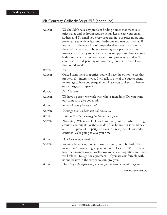## IVR Courtesy Callback: Script #13 (continued)

| AGENT:        | We shouldn't have any problem finding homes that meet your<br>price range and bedroom requirements. Let me get your email<br>address and I'll email you every property in your price range and<br>preferred area with at least four bedroom and two bathrooms. If<br>we find that there are lots of properties that meet these criteria,<br>then we'll have to talk about narrowing your parameters. For<br>instance we may try to decide between an upper and lower master<br>bedroom. Let's first find out about those parameters, and we'll<br>condense them depending on how many houses turn up. Does<br>that sound good? |
|---------------|--------------------------------------------------------------------------------------------------------------------------------------------------------------------------------------------------------------------------------------------------------------------------------------------------------------------------------------------------------------------------------------------------------------------------------------------------------------------------------------------------------------------------------------------------------------------------------------------------------------------------------|
| BUYER:        | Yes.                                                                                                                                                                                                                                                                                                                                                                                                                                                                                                                                                                                                                           |
| <b>AGENT:</b> | Once I send these properties, you will have the option to see that<br>property if it interests you. I will talk to one of the buyer's agent<br>to arrange to have you prequalified. Have you spoken to a banker<br>or a mortgage company?                                                                                                                                                                                                                                                                                                                                                                                      |
| BUYER:        | No, I haven't.                                                                                                                                                                                                                                                                                                                                                                                                                                                                                                                                                                                                                 |
| <b>AGENT:</b> | We have a person we work with who is incredible. Do you want<br>our contact to give you a call?                                                                                                                                                                                                                                                                                                                                                                                                                                                                                                                                |
| BUYER:        | Sure-she can give me a call.                                                                                                                                                                                                                                                                                                                                                                                                                                                                                                                                                                                                   |
| <b>AGENT:</b> | [Arrange time and contact information.]                                                                                                                                                                                                                                                                                                                                                                                                                                                                                                                                                                                        |
| BUYER:        | Is this better than looking for houses on my own?                                                                                                                                                                                                                                                                                                                                                                                                                                                                                                                                                                              |
| AGENT:        | Absolutely. When you look for houses on your own while driving<br>around, you might like the outside of the home, but it could be a<br>\$________ piece of property, or it could already be sold or under<br>contract. We're going to save you time.                                                                                                                                                                                                                                                                                                                                                                           |
| <b>BUYER:</b> | Do I have to sign anything?                                                                                                                                                                                                                                                                                                                                                                                                                                                                                                                                                                                                    |
| AGENT:        | We use a buyer's agreement form that asks you to be faithful to<br>us since we're going to give you our faithful service. We'll explain<br>how the program works, we'll show you a few properties, and then<br>we'll ask you to sign the agreement-if you are comfortable with<br>us and believe in the service we can give you.                                                                                                                                                                                                                                                                                               |
| BUYER:        | Once I sign the agreement, I'm not free to work with other agents?                                                                                                                                                                                                                                                                                                                                                                                                                                                                                                                                                             |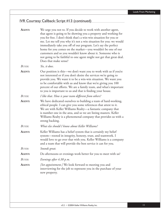## IVR Courtesy Callback: Script #13 (continued)

| AGENT:        | We urge you not to. If you decide to work with another agent,<br>that agent is going to be showing you a property and working for<br>you for free. I don't think that's a win-win situation for you or<br>me. Let me tell you why it's not a win situation for you: we would<br>immediately take you off of our program. Let's say the perfect<br>home for you comes on the market—you wouldn't be one of our<br>customers and so you wouldn't know about it. Someone who is<br>not going to be faithful to one agent might not get that great deal.<br>Does that make sense? |
|---------------|-------------------------------------------------------------------------------------------------------------------------------------------------------------------------------------------------------------------------------------------------------------------------------------------------------------------------------------------------------------------------------------------------------------------------------------------------------------------------------------------------------------------------------------------------------------------------------|
| BUYER:        | Yes, it does.                                                                                                                                                                                                                                                                                                                                                                                                                                                                                                                                                                 |
| <b>AGENT:</b> | Our position is this—we don't want you to work with us if you're<br>not interested or if you don't desire the services we're going to<br>provide you. We want it to be a win-win situation. We want you<br>to be comfortable with us and know that we're giving you 100<br>percent of our efforts. We are a family team, and what's important<br>to you is important to us and that is finding your house.                                                                                                                                                                    |
| BUYER:        | I like that. How is your team different from others?                                                                                                                                                                                                                                                                                                                                                                                                                                                                                                                          |
| <b>AGENT:</b> | We have dedicated ourselves to building a team of hard-working,<br>ethical people. I can give you some references that attest to it.<br>We are with Keller Williams Realty-a fantastic company that<br>is number one in the area, and so we are listing masters. Keller<br>Williams Realty is a phenomenal company that provides us with a<br>strong backing.                                                                                                                                                                                                                 |
| <b>BUYER:</b> | What else should I know about Keller Williams?                                                                                                                                                                                                                                                                                                                                                                                                                                                                                                                                |
| AGENT:        | Keller Williams has a belief system that is certainly my belief<br>system-rooted in integrity, honesty, trust, and teamwork. I<br>would love to go over that with you. Keller Williams is a company<br>and a team that will provide the best service it can for you.                                                                                                                                                                                                                                                                                                          |
| BUYER:        | Sounds great.                                                                                                                                                                                                                                                                                                                                                                                                                                                                                                                                                                 |
| AGENT:        | Do afternoons or evenings work better for you to meet with us?                                                                                                                                                                                                                                                                                                                                                                                                                                                                                                                |
| BUYER:        | Evenings after 4:30 p.m.                                                                                                                                                                                                                                                                                                                                                                                                                                                                                                                                                      |
| AGENT:        | [Set appointment.] We look forward to meeting you and<br>interviewing for the job to represent you in the purchase of your<br>new property.                                                                                                                                                                                                                                                                                                                                                                                                                                   |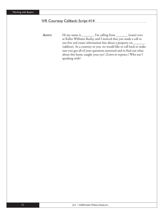#### IVR Courtesy Callback: Script #14

AGENT: Hi my name is \_\_\_\_\_\_\_. I'm calling from \_\_\_\_\_\_\_\_ (team) over at Keller Williams Realty, and I noticed that you made a call to our free real estate information line about a property on \_\_\_\_\_\_ (address). As a courtesy to you, we would like to call back to make sure you got all of your questions answered and to find out what about this home caught your eye? *[Listen to response.]* Who am I speaking with?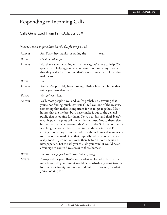## Responding to Incoming Calls

## Calls Generated From Print Ads: Script #1

*[First you want to get a little bit of a feel for the person.]*

| AGENT:           | Mr. Buyer, hey thanks for calling the _______ team.                                                                                                                                                                                                                                                                                                                                                                                                                                                                                                                                                                                                                                                                                                                                                                                                                                 |
|------------------|-------------------------------------------------------------------------------------------------------------------------------------------------------------------------------------------------------------------------------------------------------------------------------------------------------------------------------------------------------------------------------------------------------------------------------------------------------------------------------------------------------------------------------------------------------------------------------------------------------------------------------------------------------------------------------------------------------------------------------------------------------------------------------------------------------------------------------------------------------------------------------------|
| BUYER:           | Good to talk to you.                                                                                                                                                                                                                                                                                                                                                                                                                                                                                                                                                                                                                                                                                                                                                                                                                                                                |
| AGENT:           | No, thank you for calling us. By the way, we're here to help. We<br>specialize in helping people who want to not only buy a home<br>that they really love, but one that's a great investment. Does that<br>make sense?                                                                                                                                                                                                                                                                                                                                                                                                                                                                                                                                                                                                                                                              |
| <b>BUYER:</b>    | Yes.                                                                                                                                                                                                                                                                                                                                                                                                                                                                                                                                                                                                                                                                                                                                                                                                                                                                                |
| AGENT:           | And you've probably been looking a little while for a home that<br>suites you, isn't that true?                                                                                                                                                                                                                                                                                                                                                                                                                                                                                                                                                                                                                                                                                                                                                                                     |
| BUYER:           | Yes, quite a while.                                                                                                                                                                                                                                                                                                                                                                                                                                                                                                                                                                                                                                                                                                                                                                                                                                                                 |
| AGENT:           | Well, most people have, and you're probably discovering that<br>you're not finding much, correct? I'll tell you one of the reasons,<br>something that makes it important for us to get together. Most<br>homes that are the best buys never make it out to the general<br>public that is looking for them. Do you understand that? Here's<br>what happens: agents sell the best homes first. Not to themselves,<br>but to their best clients—and that's what I do. So I am constantly<br>watching the homes that are coming on the market, and I'm<br>talking to other agents in the industry about homes that are ready<br>to come on the market, so that, typically, when a home that's a<br>really good buy comes on, we're there before it ever reaching a<br>newspaper ad. Let me ask you this: do you think it would be an<br>advantage to you to have access to those homes? |
| BUYER:<br>AGENT: | Yes. The newspaper hasn't turned up anything.<br>Yes—good for you. That's exactly what we found to be true. Let<br>me ask you: do you think it would be worthwhile getting together<br>for fifteen or twenty minutes to find out if we can get you what<br>you're looking for?                                                                                                                                                                                                                                                                                                                                                                                                                                                                                                                                                                                                      |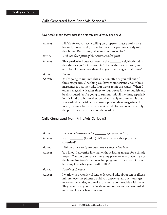### Calls Generated from Print Ads: Script #2

#### *Buyer calls in and learns that the property has already been sold*

| AGENT:        | Hi <i>Mr. Buyer</i> , you were calling on property. That's a really nice<br>house. Unfortunately, I have bad news for you: we already sold<br>that house. But tell me, what are you looking for?                                                                                                                                                                                                                                                                                                                                                                                                                |
|---------------|-----------------------------------------------------------------------------------------------------------------------------------------------------------------------------------------------------------------------------------------------------------------------------------------------------------------------------------------------------------------------------------------------------------------------------------------------------------------------------------------------------------------------------------------------------------------------------------------------------------------|
| <b>BUYER:</b> | Well, the description of that house sounded great.                                                                                                                                                                                                                                                                                                                                                                                                                                                                                                                                                              |
| AGENT:        | That particular house was over in the _______ neighborhood. Is<br>that the area you're interested in? I know the area real well, and I<br>sell a lot of houses over there. Do you have an agent right now?                                                                                                                                                                                                                                                                                                                                                                                                      |
| <b>BUYER:</b> | I don't.                                                                                                                                                                                                                                                                                                                                                                                                                                                                                                                                                                                                        |
| AGENT:        | You're going to run into this situation often as you call out of<br>these magazines. One thing you have to understand about these<br>magazines is that they take four weeks to hit the stands. When I<br>order a magazine, it takes three to four weeks for it to publish and<br>be distributed. You're going to run into this all the time, especially<br>in this kind of a hot market. So what I really recommend is that<br>you settle down with an agent-stop using these magazines. I<br>mean, it's okay, but what an agent can do for you is get you only<br>the properties that are still on the market. |

## Calls Generated from Print Ads: Script #3

| <b>BUYER:</b> | I saw an advertisement for _______(property address).                                                                                                                                                                                                                                                         |
|---------------|---------------------------------------------------------------------------------------------------------------------------------------------------------------------------------------------------------------------------------------------------------------------------------------------------------------|
| AGENT:        | It's in ___________ (location). Where exactly is that property<br>advertised?                                                                                                                                                                                                                                 |
| BUYER:        | Well, that's not really the area we're looking to buy into.                                                                                                                                                                                                                                                   |
| AGENT:        | You know, I advertise like that without listing an area for a simple<br>reason. You can purchase a house any place for zero down. It's not<br>the house itself—it's the financing program that we use. Do you<br>have any idea what your credit is like?                                                      |
| <b>BUYER:</b> | I really don't know.                                                                                                                                                                                                                                                                                          |
| AGENT:        | I work with a wonderful lender. It would take about ten or fifteen<br>minutes over the phone: would you answer a few questions, get<br>to know the lender, and make sure you're comfortable with them.<br>They would call you back in about an hour or an hour-and-a-half<br>to let you know where you stand. |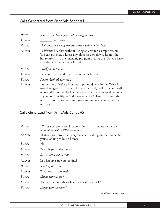## Calls Generated from Print Ads: Script #4

| BUYER: | Where is the house you're advertising located?                                                                                                                                                                                                                                                                                                                    |
|--------|-------------------------------------------------------------------------------------------------------------------------------------------------------------------------------------------------------------------------------------------------------------------------------------------------------------------------------------------------------------------|
| AGENT: | (location)                                                                                                                                                                                                                                                                                                                                                        |
| BUYER: | Well, that's not really the area we're looking to buy into.                                                                                                                                                                                                                                                                                                       |
| AGENT: | I advertise like that without listing an area for a simple reason.<br>You can purchase a house any place for zero down. It's not the<br>house itself-it's the financing program that we use. Do you have<br>any idea what your credit is like?                                                                                                                    |
| BUYER: | I really don't know.                                                                                                                                                                                                                                                                                                                                              |
| AGENT: | Do you have any idea what your credit is like?                                                                                                                                                                                                                                                                                                                    |
| BUYER: | I don't think it's very good.                                                                                                                                                                                                                                                                                                                                     |
| AGENT: | I understand. We've all had our ups and downs in life. What I<br>would suggest is that you call my lender and, he'll run your credit<br>report. We can then look at whether or not you are qualified now.<br>If you don't qualify, we'll discuss what you'd have to do over the<br>next six months to make sure you can purchase a house within the<br>next year. |

## Calls Generated from Print Ads: Script #5

| <b>BUYER:</b> | Hi, I would like to get the address for _________ property that you<br>have advertised in XYZ newspaper. |
|---------------|----------------------------------------------------------------------------------------------------------|
| AGENT:        | That's a great property. Everyone's been calling on that home. So<br>you're looking to buy a home?       |
| BUYER:        | Yes.                                                                                                     |
| AGENT:        | What is your price range?                                                                                |
| BUYER:        | $$175,000$ to \$200,000.                                                                                 |
| AGENT:        | In what area are you looking?                                                                            |
| BUYER:        | South of the river.                                                                                      |
| AGENT:        | What was your name?                                                                                      |
| BUYER:        | [Buyer gives name.]                                                                                      |
| AGENT:        | And what's a number where I can call you back?                                                           |
| BUYER:        | [Buyer gives number.]                                                                                    |
|               | <i>(continued on next page)</i>                                                                          |

v3.2 • ©2004 Keller Williams Realty, Inc. 15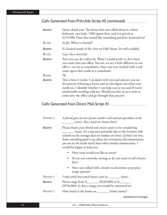### Calls Generated from Print Ads: Script #5 (continued)

| AGENT: | Great, thank you. The house that you called about is a three<br>bedroom, two bath, 1500 square foot, and it is priced at<br>\$175,000. Does that sound like something you'd be interested in?                                                                                                                           |
|--------|-------------------------------------------------------------------------------------------------------------------------------------------------------------------------------------------------------------------------------------------------------------------------------------------------------------------------|
| BUYER: | So far. Where's it located?                                                                                                                                                                                                                                                                                             |
| AGENT: | It's located south of the river on Hale Street. It's still available.                                                                                                                                                                                                                                                   |
| BUYER: | Can I do a drive-by?                                                                                                                                                                                                                                                                                                    |
| AGENT: | Sure you can do a drive-by. What I would prefer to do is have<br>you come into our office. You see, we act a little different in our<br>office—we act as consultants. Have you ever worked with a real<br>estate agent that works as a consultant?                                                                      |
| BUYER: | $No$ .                                                                                                                                                                                                                                                                                                                  |
| AGENT: | This is how it works. I sit down with you and educate you on<br>the process of buying a home and we also figure out what your<br>needs are. I identify whether I can help you or not and if you're<br>comfortable working with me. Would you like to set a time to<br>come into the office and go through that process? |

## Calls Generated from Direct Mail: Script #1

| PROSPECT: | A friend gave me one of your mailers and said you specialize in the<br>$(area)$ . How much are homes there?                                                                                                                                                                                                                                                           |
|-----------|-----------------------------------------------------------------------------------------------------------------------------------------------------------------------------------------------------------------------------------------------------------------------------------------------------------------------------------------------------------------------|
| AGENT:    | Please thank your friend and you're smart to be considering<br>(area). It's a top area primarily due to the location and<br>schools so the average days on market are lower [if that's not true,<br>know something good to say about the community that demonstrates<br>you are on the inside track] than other similar communities. I<br>would be happy to help you. |
|           | How soon would you like to move?                                                                                                                                                                                                                                                                                                                                      |
|           | So are you currently renting or do you need to sell a home<br>first?                                                                                                                                                                                                                                                                                                  |
|           | Have you talked with a lender to determine your price<br>range options?                                                                                                                                                                                                                                                                                               |
| PROSPECT: | I only asked how much houses were in _______ (area).                                                                                                                                                                                                                                                                                                                  |
| AGENT:    | Prices range from $\frac{\sqrt{250,000}}{250,000}$ to $\frac{\sqrt{250,000}}{250,000}$<br>(\$750,000). Is that a range you would be interested in?                                                                                                                                                                                                                    |
| PROSPECT: | How much is the house on ________ (street name)?                                                                                                                                                                                                                                                                                                                      |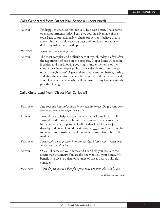### Calls Generated from Direct Mail: Script #1 (continued)

**AGENT:** I'm happy to check on that for you. But even better, I have some open appointments today. I can give you the advantage of the tools I use to professionally evaluate properties. I believe that in a few minutes I could save you days and possibly thousands of dollars by using a seasoned approach.

*PROSPECT: What else can you do for me?*

**AGENT:** The most complex and difficult part of my job today is often after the negotiation of price on the property. Proper home inspection is critical and not knowing your rights under the terms of the contract is where people get hurt. If we decide to commit to each other through Buyer's Agency, then I represent you before, during and after the sale. And I would be delighted and happy to provide you references of clients who will confirm that my loyalty extends past the closing.

### Calls Generated from Direct Mail: Script #2

| PROSPECT:     | I see that you just sold a house in my neighborhood. Do you have any<br>idea what my home might be worth?                                                                                                                                                                                                                                              |
|---------------|--------------------------------------------------------------------------------------------------------------------------------------------------------------------------------------------------------------------------------------------------------------------------------------------------------------------------------------------------------|
| <b>AGENT:</b> | I would love to help you identify what your home is worth. First<br>I would need to see your home. There are so many factors that<br>influence what a property will sell for that I would never just<br>drive by and guess. I could break away at ____ (time) and come by<br>today or is tomorrow better? How soon do you plan to be on the<br>market? |
| Prospect:     | I never said I was putting it on the market. I just want to know how<br>much you can sell it for.                                                                                                                                                                                                                                                      |
| AGENT:        | Okay, I'll come see your home and I can help you evaluate the<br>recent market activity. You are the one who sells your home. My<br>benefit is to give you data on a range of prices that you should<br>consider.                                                                                                                                      |
| PROSPECT:     | What do you mean? I thought agents were the ones who sold houses.                                                                                                                                                                                                                                                                                      |
|               | (continued on next page)                                                                                                                                                                                                                                                                                                                               |
|               |                                                                                                                                                                                                                                                                                                                                                        |
|               |                                                                                                                                                                                                                                                                                                                                                        |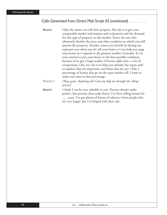## Calls Generated from Direct Mail: Script #2 (continued)

| AGENT:    | Only the owner can sell their property. My job is to give you       |
|-----------|---------------------------------------------------------------------|
|           | comparable market information and evaluations and the demand        |
|           | for this type of property in this market. You're the one who        |
|           | ultimately decides the price and what condition in which you will   |
|           | present the property. Another reason you benefit by having me       |
|           | represent you when you do sell your home is I can help you stage    |
|           | your house so it appeals to the greatest number of people. It's in  |
|           | your interest to put your house in the best possible condition,     |
|           | because we've got a huge market of homes right now-a lot of         |
|           | competition. One my role is to help you identify the repair and/    |
|           | or updates that are important, and those that are not. Only a       |
|           | percentage of homes that go on the open market sell. I want to      |
|           | make sure your in that percentage.                                  |
| PROSPECT: | Okay, great. Anything else? Can you help me through the selling     |
|           | process?                                                            |
| AGENT:    | I think I can be very valuable to you. Practice doesn't make        |
|           | perfect, but practice does make better. I've been selling homes for |
|           | ___ years. I've got plenty of letters of reference from people who  |
|           | are very happy that I've helped with their sale.                    |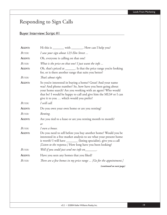# Responding to Sign Calls

# Buyer Interview: Script #1

| AGENT:        | Hi this is _________ with _________. How can I help you?                                                                                                                                                                                                                                             |
|---------------|------------------------------------------------------------------------------------------------------------------------------------------------------------------------------------------------------------------------------------------------------------------------------------------------------|
| <b>BUYER:</b> | I saw your sign about 123 Elm Street                                                                                                                                                                                                                                                                 |
| AGENT:        | Oh, everyone is calling on that one!                                                                                                                                                                                                                                                                 |
| BUYER:        | What is the price on that one? I just want the info                                                                                                                                                                                                                                                  |
| AGENT:        | Oh, that's priced at _______. Is that the price range you're looking<br>for, or is there another range that suits you better?                                                                                                                                                                        |
| BUYER:        | That's about right.                                                                                                                                                                                                                                                                                  |
| AGENT:        | So you're interested in buying a home? Great! And your name<br>was? And phone number? So, how have you been going about<br>your home search? Are you working with an agent? Who would<br>that be? I would be happy to call and give him the MLS# or I can<br>give it to you  which would you prefer? |
| <b>BUYER:</b> | I will call.                                                                                                                                                                                                                                                                                         |
| AGENT:        | Do you own your own home or are you renting?                                                                                                                                                                                                                                                         |
| <b>BUYER:</b> | Renting.                                                                                                                                                                                                                                                                                             |
| AGENT:        | Are you tied to a lease or are you renting month to month?                                                                                                                                                                                                                                           |
|               | or                                                                                                                                                                                                                                                                                                   |
| <b>BUYER:</b> | I own a house.                                                                                                                                                                                                                                                                                       |
| AGENT:        | Do you need to sell before you buy another home? Would you be<br>interested in a free market analysis to see what your present home<br>is worth? I will have __________ (listing specialist), give you a call<br>[Listen to the response.] How long have you been looking?                           |
| <b>BUYER:</b> | Well if you could just send me info on________.                                                                                                                                                                                                                                                      |
| <b>AGENT:</b> | Have you seen any homes that you liked?                                                                                                                                                                                                                                                              |
| <b>BUYER:</b> | There are a few homes in my price range  [Go for the appointment.]                                                                                                                                                                                                                                   |
|               | (continued on next page)                                                                                                                                                                                                                                                                             |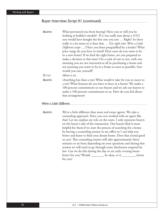### Buyer Interview: Script #1 (continued)

| AGENT:                   | What prevented you from buying? Have you or will you be                                                                                                                                                                                                                               |
|--------------------------|---------------------------------------------------------------------------------------------------------------------------------------------------------------------------------------------------------------------------------------------------------------------------------------|
|                          | looking at builder's models? If it was really just about a 3/2/2                                                                                                                                                                                                                      |
|                          | you would have bought the first one you saw  Right? So there                                                                                                                                                                                                                          |
|                          | really is a lot more to it than that  [Go right into: We're a Little                                                                                                                                                                                                                  |
|                          | Different script ] Have you been prequalified by a lender? What                                                                                                                                                                                                                       |
|                          | price range do you have in mind? How soon do you want to be                                                                                                                                                                                                                           |
|                          | in a new home? If we find the right home, are you prepared to                                                                                                                                                                                                                         |
|                          | make a decision at this time? On a scale of one to ten, with one                                                                                                                                                                                                                      |
|                          | meaning you are not interested at all in purchasing a home and                                                                                                                                                                                                                        |
|                          | ten meaning you want to be in a home as soon as possible, how                                                                                                                                                                                                                         |
|                          | would you rate yourself?                                                                                                                                                                                                                                                              |
| BUYER:                   | About a six.                                                                                                                                                                                                                                                                          |
| AGENT:                   | (Anything less than a ten) What would it take for you to move to<br>a ten? What features do you have to have in a home? We make a<br>100 percent commitment to our buyers and we ask our buyers to<br>make a 100 percent commitment to us. How do you feel about<br>that arrangement? |
| We're a Little Different |                                                                                                                                                                                                                                                                                       |
|                          |                                                                                                                                                                                                                                                                                       |

AGENT: We're a little different than most real estate agents. We take a counseling approach. Have you ever worked with an agent like that? Let me explain my role on the team. I only represent buyers on the buyer's side of the transaction. Our buyers find it most helpful for them if we start the process of searching for a home by having a counseling session in my office so I can help you better and faster to find your dream home. Does that sound good to you? This counseling session will take approximately thirty minutes to an hour depending on your questions and during that session we will need to go through some disclosures required by law. Can we do this during the day or are early evening hours better for you? Would \_\_\_\_\_\_\_\_\_\_ be okay, or is \_\_\_\_\_\_\_\_\_\_\_\_better for you?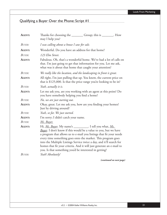# Qualifying a Buyer Over the Phone: Script #1

| AGENT:        | Thanks for choosing the _________ Group; this is ________. How<br>may I help you?                                                                                                                                                                                                                                                                                                                                                                                                      |
|---------------|----------------------------------------------------------------------------------------------------------------------------------------------------------------------------------------------------------------------------------------------------------------------------------------------------------------------------------------------------------------------------------------------------------------------------------------------------------------------------------------|
| BUYER:        | I was calling about a house I saw for sale.                                                                                                                                                                                                                                                                                                                                                                                                                                            |
| <b>AGENT:</b> | Wonderful. Do you have an address for that home?                                                                                                                                                                                                                                                                                                                                                                                                                                       |
| <b>BUYER:</b> | 123 Elm Street.                                                                                                                                                                                                                                                                                                                                                                                                                                                                        |
| AGENT:        | Fabulous. Oh, that's a wonderful home. We've had a lot of calls on<br>that. I'm just going to get that information for you. Let me ask,<br>what was it about that home that caught your attention?                                                                                                                                                                                                                                                                                     |
| BUYER:        | We really like the location, and the landscaping in front is great.                                                                                                                                                                                                                                                                                                                                                                                                                    |
| <b>AGENT:</b> | All right, I'm just pulling that up. You know, the current price on<br>that is \$125,000. Is that the price range you're looking to be in?                                                                                                                                                                                                                                                                                                                                             |
| BUYER:        | Yeah, actually it is.                                                                                                                                                                                                                                                                                                                                                                                                                                                                  |
| <b>AGENT:</b> | Let me ask you, are you working with an agent at this point? Do<br>you have somebody helping you find a home?                                                                                                                                                                                                                                                                                                                                                                          |
| <b>BUYER:</b> | No, we are just starting out.                                                                                                                                                                                                                                                                                                                                                                                                                                                          |
| AGENT:        | Okay, great. Let me ask you, how are you finding your homes?<br>Just by driving around?                                                                                                                                                                                                                                                                                                                                                                                                |
| <b>BUYER:</b> | Yeah, so far. We just started.                                                                                                                                                                                                                                                                                                                                                                                                                                                         |
| <b>AGENT:</b> | I'm sorry; I didn't catch your name.                                                                                                                                                                                                                                                                                                                                                                                                                                                   |
| <b>BUYER:</b> | Ms. Buyer.                                                                                                                                                                                                                                                                                                                                                                                                                                                                             |
| AGENT:        | Hi, Ms. Buyer. My name's __________. I tell you what, Ms.<br><b>Buyer</b> . I don't know if this would be a value to you, but we have<br>a program that allows us to e-mail you listings that fit your needs<br>every time something goes onto the market. This program goes<br>into the Multiple Listings Service twice a day, and it'll search for<br>homes that fit your criteria. And it will just generate an e-mail to<br>you. Is that something you'd be interested in getting? |
| <b>BUYER:</b> | Yeah! Absolutely!                                                                                                                                                                                                                                                                                                                                                                                                                                                                      |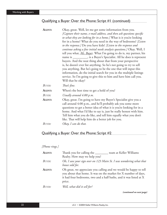# Qualifying a Buyer Over the Phone: Script #1 (continued)

| AGENT:        | Okay, great. Well, let me get some information from you.                                                                                                                                               |
|---------------|--------------------------------------------------------------------------------------------------------------------------------------------------------------------------------------------------------|
|               | [Capture their name, e-mail address, and then ask questions specific                                                                                                                                   |
|               | to what they are looking for in a home.] What is it you're looking                                                                                                                                     |
|               | for in a home? What do you need in the way of bedrooms? [Listen                                                                                                                                        |
|               | to the response.] Do you have kids? [Listen to the response and                                                                                                                                        |
|               | continue asking a few initial needs analysis questions.] Okay. Well, I                                                                                                                                 |
|               | tell you what, Ms. Buyer. What I'm going to do is, my partner, his                                                                                                                                     |
|               | name is __________, is a Buyer's Specialist. All he does is represent                                                                                                                                  |
|               | buyers. And the neat thing about that from your perspective                                                                                                                                            |
|               | is, he doesn't ever list anything. So he's not going to try to sell                                                                                                                                    |
|               | you anything. But he's going to be the one that will input this                                                                                                                                        |
|               | information, do the initial search for you in the multiple listings                                                                                                                                    |
|               | service. So I'm going to give this to him and have him call you.                                                                                                                                       |
|               | Will that be okay?                                                                                                                                                                                     |
| <b>BUYER:</b> | That's fine.                                                                                                                                                                                           |
| AGENT:        | When's the best time to get a hold of you?                                                                                                                                                             |
| BUYER:        | Usually around $4:00 \ p.m.$                                                                                                                                                                           |
| <b>AGENT:</b> | Okay, great. I'm going to have my Buyer's Specialist give you a<br>call around 4:00 p.m., and he'll probably ask you some more<br>questions to get a better idea of what it is you're looking for in a |
|               | home. And what I'd like to say is, just be really honest with him.                                                                                                                                     |
|               | Tell him what you do like, and tell him equally what you don't                                                                                                                                         |
|               | like. That will help him do a better job for you.                                                                                                                                                      |
| Buyer:        | Okay, I can do that.                                                                                                                                                                                   |

## Qualifying a Buyer Over the Phone: Script #2

### *[Phone rings.]*

| AGENT: | Thank you for calling the ________<br>team at Keller Williams<br>Realty. How may we help you?                                                                                                                        |
|--------|----------------------------------------------------------------------------------------------------------------------------------------------------------------------------------------------------------------------|
| BUYER: | Oh, I saw your sign over on 123 Main St. I was wondering what that<br>house sold for.                                                                                                                                |
| AGENT: | Oh great, we appreciate you calling and we would be happy to tell<br>you about that home. It was on the market for X number of days,<br>it had four bedrooms, two and a half baths, and it was listed at X<br>price. |
| BUYER: | Well, what did it sell for?                                                                                                                                                                                          |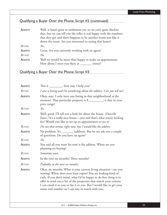# Qualifying a Buyer Over the Phone: Script #2 (continued)

| AGENT:     | Well, it hasn't gone to settlement yet, so we can't quite disclose<br>that, but we can tell you the seller is real happy with the numbers<br>that they got and there happens to be another home just like it<br>down the street. Are you interested in seeing that home? |
|------------|--------------------------------------------------------------------------------------------------------------------------------------------------------------------------------------------------------------------------------------------------------------------------|
| $B_{UVFR}$ | Yes.                                                                                                                                                                                                                                                                     |
| AGENT:     | Great. Are you currently working with an agent?                                                                                                                                                                                                                          |
| $B_{UVFR}$ | $N_o$ .                                                                                                                                                                                                                                                                  |
| AGENT:     | Well we would be more than happy to make an appointment.<br>How about I meet you there at _________ (time)?                                                                                                                                                              |

Qualifying a Buyer Over the Phone: Script #3

| AGENT:        | This is _________, how may I help you?                                                                                                                                                                                                                                                                                                                                                                      |
|---------------|-------------------------------------------------------------------------------------------------------------------------------------------------------------------------------------------------------------------------------------------------------------------------------------------------------------------------------------------------------------------------------------------------------------|
| <b>BUYER:</b> | I saw a listing and I'm wondering about the address. Can you tell me?                                                                                                                                                                                                                                                                                                                                       |
| AGENT:        | Okay, sure. I only have one listing in that neighborhood at the<br>moment. That particular property is \$________; is that in your<br>price range?                                                                                                                                                                                                                                                          |
| <b>BUYER:</b> | Yes.                                                                                                                                                                                                                                                                                                                                                                                                        |
| <b>AGENT:</b> | Well, good. I'll tell you a little bit about the house. [Describe<br>house.] It's a really nice house—you said that's what you're looking<br>for? Would you like to set up an appointment to see it?                                                                                                                                                                                                        |
| BUYER:        | I'm not that serious right now, but I would like the address                                                                                                                                                                                                                                                                                                                                                |
| AGENT:        | No problem. It's ________ (address). But let me ask you a couple<br>of questions. Do you have an agent?                                                                                                                                                                                                                                                                                                     |
| <b>BUYER:</b> | $No$ .                                                                                                                                                                                                                                                                                                                                                                                                      |
| AGENT:        | You said all you want for now is the address. When are you<br>planning on buying?                                                                                                                                                                                                                                                                                                                           |
| BUYER:        | Sometime soon.                                                                                                                                                                                                                                                                                                                                                                                              |
| <b>AGENT:</b> | In the next six months? Three months?                                                                                                                                                                                                                                                                                                                                                                       |
| <b>BUYER:</b> | Probably in the next six months.                                                                                                                                                                                                                                                                                                                                                                            |
| <b>AGENT:</b> | Okay, six months. What is your current living situation-are you<br>renting? When does your lease expire? You are looking kind of<br>early. If you don't mind, what I'd be happy to do first thing is to<br>offer to send you a list of the properties that match your criteria.<br>I can email it to you or fax it to you. But I would like to get your<br>name and number so I can stay in touch with you. |

v3.2 • ©2004 Keller Williams Realty, Inc. 23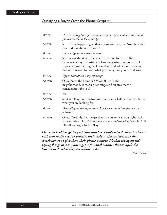### Qualifying a Buyer Over the Phone: Script #4

| <b>BUYER:</b> | Hi. I'm calling for information on a property you advertised. Could<br>you tell me about the property?                                                                                                                                                              |
|---------------|---------------------------------------------------------------------------------------------------------------------------------------------------------------------------------------------------------------------------------------------------------------------|
| <b>AGENT:</b> | Sure. I'd be happy to give that information to you. Now, how did<br>you find out about the home?                                                                                                                                                                    |
| BUYER:        | I saw a sign on my drive to work.                                                                                                                                                                                                                                   |
| AGENT:        | So you saw the sign. Excellent. Thank you for that. I like to<br>know where my advertising dollars are getting a response, so I<br>appreciate your letting me know that. And while I'm retrieving<br>that information for you, what price range are you considering |
| <b>BUYER:</b> | Upper \$200,000s is my top range.                                                                                                                                                                                                                                   |
| AGENT:        | Okay. Now, the home is $$249,000$ . It's in the $\_\_$<br>neighborhood. Is that a price range and an area that's a<br>consideration for you?                                                                                                                        |
| <b>BUYER:</b> | Yes.                                                                                                                                                                                                                                                                |
| <b>AGENT:</b> | So it is! Okay. Four bedrooms, three-and-a-half bathrooms. Is that<br>what you are looking for?                                                                                                                                                                     |
| <b>BUYER:</b> | Depending on the appearance. Maybe you could just give me the<br>address?                                                                                                                                                                                           |
| AGENT:        | Okay. Certainly. Let me get that for you and call you right back.<br>Your number, please? [Take down contact information.] Got it. And<br>I'll call you right back. Okay?                                                                                           |

*I have no problem getting a phone number. People who do have problems*  with that really need to practice their scripts. The problem isn't that *somebody won't give them their phone number. It's that the agent isn't saying things in a convincing, professional manner that compels the listener to do what they are asking to do.*

*-Mike Netzel*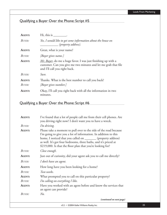# Qualifying a Buyer Over the Phone: Script #5

| AGENT:                  | Hi, this is                                                                                                                                                       |
|-------------------------|-------------------------------------------------------------------------------------------------------------------------------------------------------------------|
| BUYER:                  | Yes, I would like to get some information about the house on<br>(property address).                                                                               |
| <b>AGENT:</b>           | Great, what is your name?                                                                                                                                         |
| BUYER:                  | [Buyer gives name.]                                                                                                                                               |
| <b>AGENT:</b>           | Mr. Buyer, do me a huge favor. I was just finishing up with a<br>customer. Can you give me two minutes and let me grab that file<br>and I'll call you right back. |
| BUYER:                  | Sure.                                                                                                                                                             |
| <b>AGENT:</b><br>BUYER: | Thanks. What is the best number to call you back?<br>[Buyer gives number.]                                                                                        |
| AGENT:                  | Okay, I'll call you right back with all the information in two<br>minutes.                                                                                        |

| AGENT:        | I've found that a lot of people call me from their cell phones. Are                                                                                                                                                                                                                                                                       |
|---------------|-------------------------------------------------------------------------------------------------------------------------------------------------------------------------------------------------------------------------------------------------------------------------------------------------------------------------------------------|
|               | you driving right now? I don't want you to have a wreck.                                                                                                                                                                                                                                                                                  |
| BUYER:        | I'm driving.                                                                                                                                                                                                                                                                                                                              |
| AGENT:        | Please take a moment to pull over to the side of the road because<br>I'm going to give you a lot of information. In addition to this<br>home, I noticed that you called on _________ (property address)<br>as well. It's got four bedrooms, three baths, and it's priced at<br>\$219,000. Is that the floor plan that you're looking for? |
| <b>BUYER:</b> | Close enough.                                                                                                                                                                                                                                                                                                                             |
| AGENT:        | Just out of curiosity, did your agent ask you to call me directly?                                                                                                                                                                                                                                                                        |
| BUYER:        | I don't have an agent.                                                                                                                                                                                                                                                                                                                    |
| AGENT:        | How long have you been looking for a home?                                                                                                                                                                                                                                                                                                |
| BUYER:        | Two weeks.                                                                                                                                                                                                                                                                                                                                |
| AGENT:        | What prompted you to call on this particular property?                                                                                                                                                                                                                                                                                    |
| BUYER:        | I'm calling on everything I like.                                                                                                                                                                                                                                                                                                         |
| AGENT:        | Have you worked with an agent before and know the services that<br>an agent can provide?                                                                                                                                                                                                                                                  |
| BUYER:        | No.                                                                                                                                                                                                                                                                                                                                       |
|               | (continued on next page                                                                                                                                                                                                                                                                                                                   |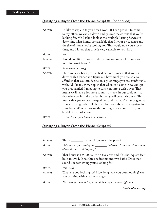# Qualifying a Buyer Over the Phone: Script #6 (continued)

| <b>AGENT:</b> | I'd like to explain to you how I work. If I can get you to come<br>to my office, we can sit down and go over the criteria that you're<br>looking for. We'll take a look at the Multiple Listing Service to<br>determine what homes are available that fit your price range and<br>the size of home you're looking for. This would save you a lot of<br>time, and I know that time is very valuable to you, isn't it?                                                                                                                                                                                                                                                                                                          |
|---------------|-------------------------------------------------------------------------------------------------------------------------------------------------------------------------------------------------------------------------------------------------------------------------------------------------------------------------------------------------------------------------------------------------------------------------------------------------------------------------------------------------------------------------------------------------------------------------------------------------------------------------------------------------------------------------------------------------------------------------------|
| BUYER:        | Yes.                                                                                                                                                                                                                                                                                                                                                                                                                                                                                                                                                                                                                                                                                                                          |
| AGENT:        | Would you like to come in this afternoon, or would tomorrow<br>morning work better?                                                                                                                                                                                                                                                                                                                                                                                                                                                                                                                                                                                                                                           |
| <b>BUYER:</b> | Tomorrow morning.                                                                                                                                                                                                                                                                                                                                                                                                                                                                                                                                                                                                                                                                                                             |
| AGENT:        | Have you ever been prequalified before? It means that you sit<br>down with a lender and figure out how much you are able to<br>afford so that you can decide on a price range you are comfortable<br>with. I'd like to set that up so that when you come in we can get<br>you prequalified. I'm going to turn you into a cash buyer. That<br>means we'll have a lot more room-or tools in our toolbox-so<br>that when we find the perfect home, you'll be a cash buyer. This<br>means that you've been prequalified and that you're just as good as<br>a buyer paying cash. It'll give us a lot more ability to negotiate in<br>your favor. We're removing the contingencies in order for you to<br>be able to afford a home. |
| BUYER:        | Great. I'll see you tomorrow morning.                                                                                                                                                                                                                                                                                                                                                                                                                                                                                                                                                                                                                                                                                         |

# Qualifying a Buyer Over the Phone: Script #7

| AGENT:        | This is _________ (name). How may I help you?                                                                                                                                       |
|---------------|-------------------------------------------------------------------------------------------------------------------------------------------------------------------------------------|
| BUYER:        | We're out at your listing on _______ (address). Can you tell me more<br>about this piece of property?                                                                               |
| AGENT:        | That house is \$250,000, it's on five acres and it's 2600 square feet,<br>built in 1964. It has three bedrooms and two baths. Does that<br>sound like something you're looking for? |
| <b>BUYER:</b> | Not really.                                                                                                                                                                         |
| <b>AGENT:</b> | What are you looking for? How long have you been looking? Are<br>you working with a real estate agent?                                                                              |
| BUYER:        | No, we're just out riding around looking at houses right now.                                                                                                                       |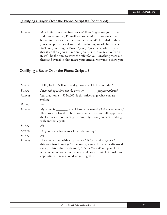### Qualifying a Buyer Over the Phone: Script #7 (continued)

**AGENT:** May I offer you some free services? If you'll give me your name and phone number, I'll mail you some information on all the homes in this area that meet your criteria. We'll be glad to show you some properties, if you'd like, including for sale by owners. We'll ask you to sign a Buyer Agency Agreement, which states that if we show you a home and you decide to write an offer on it, we'll be the ones to write the offer for you. Anything that's out there and available, that meets your criteria, we want to show you.

| AGENT:        | Hello, Keller Williams Realty, how may I help you today?                                                                                                                                                                                                                                                                      |
|---------------|-------------------------------------------------------------------------------------------------------------------------------------------------------------------------------------------------------------------------------------------------------------------------------------------------------------------------------|
| BUYER:        | I was calling to find out the price on _______ (property address).                                                                                                                                                                                                                                                            |
| AGENT:        | Yes, that home is \$124,000, is this price range what you are<br>seeking?                                                                                                                                                                                                                                                     |
| BUYER:        | Yes.                                                                                                                                                                                                                                                                                                                          |
| AGENT:        | My name is ________, may I have your name? [Write down name.]<br>This property has three bedrooms but you cannot fully appreciate<br>the features without seeing the property. Have you been working<br>with another agent?                                                                                                   |
| <b>BUYER:</b> | No.                                                                                                                                                                                                                                                                                                                           |
| AGENT:        | Do you have a home to sell in order to buy?                                                                                                                                                                                                                                                                                   |
| Buyer:        | $No$ .                                                                                                                                                                                                                                                                                                                        |
| AGENT:        | Have you visited with a loan officer? [Listen to the response.] Is<br>this your first home? [Listen to the response.] Has anyone discussed<br>agency relationships with you? [Explain this.] Would you like to<br>see some more homes in the area while we are out? Let's make an<br>appointment. When could we get together? |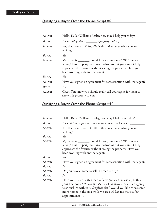# Qualifying a Buyer Over the Phone: Script #9

| AGENT: | Hello, Keller Williams Realty, how may I help you today?                                                                                                                                                                      |
|--------|-------------------------------------------------------------------------------------------------------------------------------------------------------------------------------------------------------------------------------|
| BUYER: | I was calling about _______(property address).                                                                                                                                                                                |
| AGENT: | Yes, that home is \$124,000, is this price range what you are<br>seeking?                                                                                                                                                     |
| BUYER: | Yes.                                                                                                                                                                                                                          |
| AGENT: | My name is ________, could I have your name? [Write down<br>name.] This property has three bedrooms but you cannot fully<br>appreciate the features without seeing the property. Have you<br>been working with another agent? |
| BUYER: | Yes.                                                                                                                                                                                                                          |
| AGENT: | Have you signed an agreement for representation with that agent?                                                                                                                                                              |
| BUYER: | Yes.                                                                                                                                                                                                                          |
| AGENT: | Great. You know you should really call your agent for them to<br>show this property to you.                                                                                                                                   |

| Hello, Keller Williams Realty, how may I help you today?                                                                                                                                                                                                                                      |
|-----------------------------------------------------------------------------------------------------------------------------------------------------------------------------------------------------------------------------------------------------------------------------------------------|
| I would like to get some information about the house on __                                                                                                                                                                                                                                    |
| Yes, that home is \$124,000, is this price range what you are<br>seeking?                                                                                                                                                                                                                     |
| Yes.                                                                                                                                                                                                                                                                                          |
| My name is ________, could I have your name? [Write down<br>name.] This property has three bedrooms but you cannot fully<br>appreciate the features without seeing the property. Have you<br>been working with another agent?                                                                 |
| Yes.                                                                                                                                                                                                                                                                                          |
| Have you signed an agreement for representation with that agent?                                                                                                                                                                                                                              |
| No.                                                                                                                                                                                                                                                                                           |
| Do you have a home to sell in order to buy?                                                                                                                                                                                                                                                   |
| $No$ .                                                                                                                                                                                                                                                                                        |
| Have you visited with a loan officer? [Listen to response.] Is this<br>your first home? [Listen to response.] Has anyone discussed agency<br>relationships with you? [Explain this.] Would you like to see some<br>more homes in the area while we are out? Let me make a few<br>appointments |
|                                                                                                                                                                                                                                                                                               |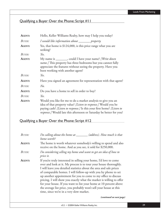# Qualifying a Buyer Over the Phone: Script #11

| AGENT:        | Hello, Keller Williams Realty, how may I help you today?                                                                                                                                                                                                                                |
|---------------|-----------------------------------------------------------------------------------------------------------------------------------------------------------------------------------------------------------------------------------------------------------------------------------------|
| <b>BUYER:</b> | I would like information about _______ property.                                                                                                                                                                                                                                        |
| AGENT:        | Yes, that home is \$124,000, is this price range what you are<br>seeking?                                                                                                                                                                                                               |
| BUYER:        | Yes.                                                                                                                                                                                                                                                                                    |
| AGENT:        | My name is ________, could I have your name? [Write down<br>name.] This property has three bedrooms but you cannot fully<br>appreciate the features without seeing the property. Have you<br>been working with another agent?                                                           |
| <b>BUYER:</b> | Yes.                                                                                                                                                                                                                                                                                    |
| AGENT:        | Have you signed an agreement for representation with that agent?                                                                                                                                                                                                                        |
| <b>BUYER:</b> | $No$ .                                                                                                                                                                                                                                                                                  |
| AGENT:        | Do you have a home to sell in order to buy?                                                                                                                                                                                                                                             |
| BUYER:        | Yes.                                                                                                                                                                                                                                                                                    |
| AGENT:        | Would you like for me to do a market analysis to give you an<br>idea of that property value? [Listen to response.] Would you be<br>paying cash? [Listen to response.] Is this your first home? [Listen to<br><i>response.]</i> Would late this afternoon or Saturday be better for you? |

| BUYER:        | I'm calling about the home at _______ (address). How much is that<br>home worth?                                                                                                                                                                                                                                                                                                                                                                                                                                                                                                                                 |
|---------------|------------------------------------------------------------------------------------------------------------------------------------------------------------------------------------------------------------------------------------------------------------------------------------------------------------------------------------------------------------------------------------------------------------------------------------------------------------------------------------------------------------------------------------------------------------------------------------------------------------------|
| <b>AGENT:</b> | The home is worth whatever somebody's willing to spend and also<br>receive on the home. And as you see, it sold for \$250,000.                                                                                                                                                                                                                                                                                                                                                                                                                                                                                   |
| BUYER:        | I'm considering selling my home and want to get an idea of how to<br>price it.                                                                                                                                                                                                                                                                                                                                                                                                                                                                                                                                   |
| AGENT:        | If you're truly interested in selling your home, I'd love to come<br>over and look at it. My process is to tour your house thoroughly.<br>I will leave you detailed statistics about the area and sale prices<br>of comparable homes. I will follow-up with you by phone to set<br>up another appointment for you to come to my office to discuss<br>pricing. I will show you exactly what the market is willing to offer<br>for your house. If you want to list your home at 10 percent above<br>the average list price, you probably won't sell your house at this<br>time, since we're in a very slow market. |
|               | (continued on next page)                                                                                                                                                                                                                                                                                                                                                                                                                                                                                                                                                                                         |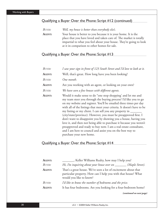## Qualifying a Buyer Over the Phone: Script #12 (continued)

| BUYER: | Well, my house is better than everybody else's.                    |
|--------|--------------------------------------------------------------------|
| AGENT: | Your house is better to you because it is your home. It is the     |
|        | place that you have loved and taken care of. The market is totally |
|        | impartial to what you feel about your house. They're going to look |
|        | at it in comparison to other homes for sale.                       |
|        |                                                                    |

# Qualifying a Buyer Over the Phone: Script #13

| Buyer:        | I saw your sign in front of 123 South Street and I'd love to look at it.                                                                                                                                                                                                                                                                                                                                                                                                                                                                                                                                                                                                                                                       |
|---------------|--------------------------------------------------------------------------------------------------------------------------------------------------------------------------------------------------------------------------------------------------------------------------------------------------------------------------------------------------------------------------------------------------------------------------------------------------------------------------------------------------------------------------------------------------------------------------------------------------------------------------------------------------------------------------------------------------------------------------------|
| <b>AGENT:</b> | Well, that's great. How long have you been looking?                                                                                                                                                                                                                                                                                                                                                                                                                                                                                                                                                                                                                                                                            |
| Buyer:        | One month.                                                                                                                                                                                                                                                                                                                                                                                                                                                                                                                                                                                                                                                                                                                     |
| <b>AGENT:</b> | Are you working with an agent, or looking on your own?                                                                                                                                                                                                                                                                                                                                                                                                                                                                                                                                                                                                                                                                         |
| Buyer:        | We have seen a few houses with different agents.                                                                                                                                                                                                                                                                                                                                                                                                                                                                                                                                                                                                                                                                               |
| <b>AGENT:</b> | Would it make sense to do "one stop shopping' and let me and<br>my team steer you through the buying process? I'd like you to go<br>on my website and register. You'll be emailed three times per day<br>with all of the listings that meet your criteria. It doesn't have to be<br>my listing or my client. I can sell you any property in _______<br>(city/state/province). However, you must be preapproved first. I<br>don't want to disappoint you by showing you a house, having you<br>love it, and then not being able to purchase it because you weren't<br>preapproved and ready to buy now. I am a real estate consultant,<br>and I am here to council and assist you on the best way to<br>purchase your new home. |

## Qualifying a Buyer Over the Phone: Script #14

| AGENT:        | "Keller Williams Realty, how may I help you?                                                                                                                |
|---------------|-------------------------------------------------------------------------------------------------------------------------------------------------------------|
| <b>BUYER:</b> | Hi, I'm inquiring about your house over on ________(Maple Street).                                                                                          |
| <b>AGENT:</b> | That's a great house. We've seen a lot of excitement about that<br>particular property. How can I help you with that house? What<br>would you like to know? |
| <b>BUYER:</b> | I'd like to know the number of bedrooms and the price.                                                                                                      |
| <b>AGENT:</b> | It has four bedrooms. Are you looking for a four-bedroom home?                                                                                              |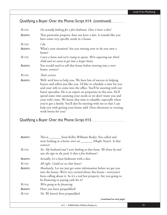# Qualifying a Buyer Over the Phone: Script #14 (continued)

| BUYER:        | I'm actually looking for a five-bedroom. Does it have a den?                                                                                                                                                                                                                                                                                                                                                                                                                                                                                                                               |
|---------------|--------------------------------------------------------------------------------------------------------------------------------------------------------------------------------------------------------------------------------------------------------------------------------------------------------------------------------------------------------------------------------------------------------------------------------------------------------------------------------------------------------------------------------------------------------------------------------------------|
| AGENT:        | That particular property does not have a den. It sounds like you<br>have some very specific needs in a house.                                                                                                                                                                                                                                                                                                                                                                                                                                                                              |
| <b>BUYER:</b> | $I$ do.                                                                                                                                                                                                                                                                                                                                                                                                                                                                                                                                                                                    |
| AGENT:        | What's your situation? Are you renting now or do you own a<br>home?                                                                                                                                                                                                                                                                                                                                                                                                                                                                                                                        |
| <b>BUYER:</b> | I own a home and we're trying to upsize. We're expecting our third<br>child and we want to get into a larger home.                                                                                                                                                                                                                                                                                                                                                                                                                                                                         |
| AGENT:        | You would need to sell that home before moving into a new<br>home, correct?                                                                                                                                                                                                                                                                                                                                                                                                                                                                                                                |
| BUYER:        | That's correct.                                                                                                                                                                                                                                                                                                                                                                                                                                                                                                                                                                            |
| AGENT:        | Well, we'd love to help you. We have lots of success in helping<br>buyers and sellers just like you. I'd like to schedule a time for you<br>and your wife to come into the office. You'll be meeting with our<br>buyer specialist. He is an expert on properties in this area. He'll<br>spend some time assessing your needs so we don't waste you and<br>your wife's time. We know that time is valuable, especially when<br>you've got a family. You'll also be meeting with me so that I can<br>help you with getting your home sold. Does afternoon or evening<br>work better for you? |

# Qualifying a Buyer Over the Phone: Script #15

| AGENT:        | This is ________ from Keller Williams Realty. You called and<br>were looking at a home over on __________ (Maple Street). Is that<br>correct?                                                                                                   |
|---------------|-------------------------------------------------------------------------------------------------------------------------------------------------------------------------------------------------------------------------------------------------|
| BUYER:        | Yes. My husband and I were looking at that home. We drove by and<br>saw the sign in the yard. Is that a five-bedroom?                                                                                                                           |
| <b>AGENT:</b> | Actually, it's a four-bedroom with a den.                                                                                                                                                                                                       |
| BUYER:        | All right. Could we see that house?                                                                                                                                                                                                             |
| <b>AGENT:</b> | Absolutely. Let me just get some information before we get you<br>into the house. We're very excited about this house—everyone's<br>been calling about it. So it's a real hot property. Are you going to<br>be financing or paying cash for it? |
| BUYER:        | We're going to be financing.                                                                                                                                                                                                                    |
| <b>AGENT:</b> | Have you been prequalified?                                                                                                                                                                                                                     |
| BUYER:        | No. We haven't been prequalified.                                                                                                                                                                                                               |
|               |                                                                                                                                                                                                                                                 |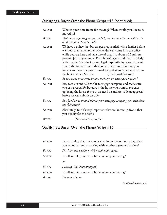# Qualifying a Buyer Over the Phone: Script #15 (continued)

| AGENT:        | What is your time frame for moving? When would you like to be<br>moved in?                                                                                                                                                                                                                                                                                                                                                                                                                                                                     |
|---------------|------------------------------------------------------------------------------------------------------------------------------------------------------------------------------------------------------------------------------------------------------------------------------------------------------------------------------------------------------------------------------------------------------------------------------------------------------------------------------------------------------------------------------------------------|
| BUYER:        | Well, we're expecting our fourth baby in four months, so we'd like to<br>do this as quickly as possible.                                                                                                                                                                                                                                                                                                                                                                                                                                       |
| AGENT:        | We have a policy that buyers get prequalified with a lender before<br>we show them any homes. My lender can come into the office<br>while you are here and take care of that. It's about a 15-minute<br>process. Just so you know, I'm a buyer's agent and I work strictly<br>with buyers. My fiduciary and legal responsibility is to represent<br>you in the transaction of this home. I want to make sure you<br>understand how the process works and that you're represented in<br>the best manner. So, does ________ (time) work for you? |
| <b>BUYER:</b> | So you want us to come in and talk to your mortgage company?                                                                                                                                                                                                                                                                                                                                                                                                                                                                                   |
| AGENT:        | Yes, come in and talk to the mortgage company and make sure<br>you can prequalify. Because if the house you want to see ends<br>up being the house for you, we need a conditional loan approval<br>before we can submit an offer.                                                                                                                                                                                                                                                                                                              |
| <b>BUYER:</b> | So after I come in and talk to your mortgage company, you will show<br>me that house?                                                                                                                                                                                                                                                                                                                                                                                                                                                          |
| AGENT:        | Absolutely. But it's very important that we know, up-front, that<br>you qualify for the home.                                                                                                                                                                                                                                                                                                                                                                                                                                                  |
| BUYER:        | ______(Date and time) is fine.                                                                                                                                                                                                                                                                                                                                                                                                                                                                                                                 |

# Qualifying a Buyer Over the Phone: Script #16

| AGENT:        | I'm assuming that since you called in on one of our listings that<br>you're not currently working with another agent at this time? |
|---------------|------------------------------------------------------------------------------------------------------------------------------------|
| <b>BUYER:</b> | No, I am not working with a real estate agent.                                                                                     |
| AGENT:        | Excellent! Do you own a home or are you renting?                                                                                   |
|               | or                                                                                                                                 |
| <b>BUYER:</b> | Actually, I do have an agent.                                                                                                      |
| AGENT:        | Excellent! Do you own a home or are you renting?                                                                                   |
| BUYER:        | I own my home.                                                                                                                     |

*(continued on next page)*

32 v3.2 • ©2004 Keller Williams Realty, Inc.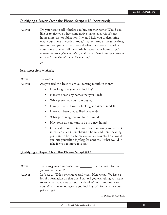### Qualifying a Buyer Over the Phone: Script #16 (continued)

**AGENT:** Do you need to sell it before you buy another home? Would you like us to give you a free comparative market analysis of your home at no cost or obligation? It would help you to determine what your home is worth in today's market. And at the same time, we can show you what to do—and what not do—in preparing your home for sale. Tell me a little bit about your home … *[Get address, multiple phone numbers, and try to schedule the appointment or have listing specialist give them a call.]*

*or*

#### *Buyer Leads from Marketing*

| BUYER:        | I'm renting.                                                                                                                                                                                                                                                                                 |
|---------------|----------------------------------------------------------------------------------------------------------------------------------------------------------------------------------------------------------------------------------------------------------------------------------------------|
| AGENT:        | Are you tied to a lease or are you renting month to month?                                                                                                                                                                                                                                   |
|               | How long have you been looking?                                                                                                                                                                                                                                                              |
|               | Have you seen any homes that you liked?                                                                                                                                                                                                                                                      |
|               | What prevented you from buying?<br>٠                                                                                                                                                                                                                                                         |
|               | Have you or will you be looking at builder's models?                                                                                                                                                                                                                                         |
|               | Have you been prequalified by a lender?                                                                                                                                                                                                                                                      |
|               | What price range do you have in mind?                                                                                                                                                                                                                                                        |
|               | How soon do you want to be in a new home?<br>$\bullet$                                                                                                                                                                                                                                       |
|               | On a scale of one to ten, with "one" meaning you are not<br>$\bullet$<br>interested at all in purchasing a home and "ten" meaning<br>you want to be in a home as soon as possible, how would<br>you rate yourself? [Anything less than ten?] What would it<br>take for you to move to a ten? |
|               | Qualifying a Buyer Over the Phone: Script #17                                                                                                                                                                                                                                                |
|               |                                                                                                                                                                                                                                                                                              |
| <b>BUYER:</b> | I'm calling about the property on _______ (street name). What can<br>you tell me about it?                                                                                                                                                                                                   |
| AGENT:        | Let's see  [Take a moment to look it up.] Here we go. We have a<br>lot of information on that one I can tell you everything you want                                                                                                                                                         |

| Buyer: | I'm calling about the property on ______<br>(street name). What can<br>you tell me about it?                                                                                                                                                                                            |
|--------|-----------------------------------------------------------------------------------------------------------------------------------------------------------------------------------------------------------------------------------------------------------------------------------------|
| AGENT: | Let's see  [Take a moment to look it up.] Here we go. We have a<br>lot of information on that one. I can tell you everything you want<br>to know, or maybe we can start with what's most important to<br>you. What square footage are you looking for? And what is your<br>price range? |
|        | (continued on next page)                                                                                                                                                                                                                                                                |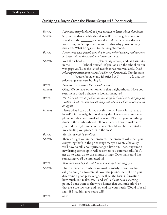# Qualifying a Buyer Over the Phone: Script #17 (continued)

| <b>BUYER:</b> | I like that neighborhood, so I just wanted to know about that house.                                                                                                                                                                                                                                                                                                                                                                          |
|---------------|-----------------------------------------------------------------------------------------------------------------------------------------------------------------------------------------------------------------------------------------------------------------------------------------------------------------------------------------------------------------------------------------------------------------------------------------------|
| AGENT:        | So you like that neighborhood as well? That neighborhood is<br>actually in the ________ (school district). Is the school district<br>something that's important to you? Is that why you're looking in                                                                                                                                                                                                                                         |
|               | that area? What brings you to that neighborhood?                                                                                                                                                                                                                                                                                                                                                                                              |
| BUYER:        | I have some close friends who live in that neighborhood, and we have<br>a six-year old so the schools are important to us.                                                                                                                                                                                                                                                                                                                    |
| <b>AGENT:</b> | Well the school is ________ (elementary school) and, as I said, it's<br>in the ________ (school district). If you look up the school on our<br>web page you'll see the list of awards it has received lately. [Add<br>other information about school and/or neighborhood]. That house is<br>(square footage) and it's priced at \$________. Is that the<br>price range you were hoping for?                                                   |
| BUYER:        | Actually, that's higher than I had in mind.                                                                                                                                                                                                                                                                                                                                                                                                   |
| AGENT:        | Okay. We do have other homes in that neighborhood. Have you<br>seen them or had a chance to look at them, yet?                                                                                                                                                                                                                                                                                                                                |
| <b>BUYER:</b> | No. I haven't seen any others in that neighborhood except the property<br>I called about. I'm not sure at this point whether I'll be working with<br>an agent.                                                                                                                                                                                                                                                                                |
| AGENT:        | Here's what I can do for you at this point. I work in that area a<br>lot-I'm in the neighborhood every day. Let me get your name,<br>phone number, and email address and I'll email you everything<br>that's in the neighborhood. I'll do whatever I can to make sure<br>you find the right home in the area. Would you be interested in<br>my emailing you properties in the area?                                                           |
| <b>BUYER:</b> | Yes, that would be excellent.                                                                                                                                                                                                                                                                                                                                                                                                                 |
| AGENT:        | Then we'll get you in that program. The program will email you<br>everything that's in the price range that you want. Obviously,<br>we'll have to talk about price range a little bit. Then, any time a<br>new listing comes up, it will be sent to you automatically. You'll<br>get up-to-date, up-to-the-minute listings. Does that sound like<br>something you'd be interested in?                                                         |
| BUYER:        | That does sound good. But I don't know my price range yet.                                                                                                                                                                                                                                                                                                                                                                                    |
| AGENT:        | I have a lender with whom we work regularly. I can have him<br>call you and you two can talk over the phone. He will help you<br>determine a good price range. He'll get the basic information-<br>how much you make, etc.—and we'll at least have a starting<br>point. I don't want to show you homes that you can't afford or<br>that are a too low-cost and low-end for your needs. Would it be all<br>right if I had him give you a call? |
| BUYER:        | Sure.                                                                                                                                                                                                                                                                                                                                                                                                                                         |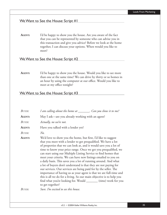### We Want to See the House: Script #1

**AGENT:** I'd be happy to show you the house. Are you aware of the fact that you can be represented by someone who can advise you in this transaction and give you advice? Before we look at the home together, I can discuss your options. When would you like to meet?

### We Want to See the House: Script #2

**AGENT:** I'd be happy to show you the house. Would you like to see more than one at the same time? We can drive by thirty or so homes in an hour by using the computer at our office. Would you like to meet at my office tonight?

### We Want to See the House: Script #3

| <b>BUYER:</b> | I am calling about the home at _________. Can you show it to me?                                                                                                                                                                                                                                                                                                                                                                                                                                                                                                                                                                                                                                                                                                                                                                                               |
|---------------|----------------------------------------------------------------------------------------------------------------------------------------------------------------------------------------------------------------------------------------------------------------------------------------------------------------------------------------------------------------------------------------------------------------------------------------------------------------------------------------------------------------------------------------------------------------------------------------------------------------------------------------------------------------------------------------------------------------------------------------------------------------------------------------------------------------------------------------------------------------|
| <b>AGENT:</b> | May I ask—are you already working with an agent?                                                                                                                                                                                                                                                                                                                                                                                                                                                                                                                                                                                                                                                                                                                                                                                                               |
| BUYER:        | Actually, no we're not.                                                                                                                                                                                                                                                                                                                                                                                                                                                                                                                                                                                                                                                                                                                                                                                                                                        |
| AGENT:        | Have you talked with a lender yet?                                                                                                                                                                                                                                                                                                                                                                                                                                                                                                                                                                                                                                                                                                                                                                                                                             |
| BUYER:        | $N0$ .                                                                                                                                                                                                                                                                                                                                                                                                                                                                                                                                                                                                                                                                                                                                                                                                                                                         |
| <b>AGENT:</b> | We'd love to show you the home, but first, I'd like to suggest<br>that you meet with a lender to get prequalified. We have a lot<br>of properties that we can look at, and it would save you a lot of<br>time to know your price range. Once we get you prequalified, we<br>can start using our Multiple Listing Service to find homes that<br>meet your criteria. We can have new listings emailed to you on<br>a daily basis. This saves you a lot of running around. And what<br>a lot of buyers don't understand is that they are not paying for<br>our services. Our services are being paid for by the seller. The<br>importance of having us as your agent is that we are full-time and<br>this is all we do for a living. So our main objective is to help you<br>find what you're looking for. Would ________ (time) work for you<br>to get together? |
| BUYER:        | Sure. I'm excited to see this house.                                                                                                                                                                                                                                                                                                                                                                                                                                                                                                                                                                                                                                                                                                                                                                                                                           |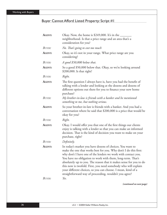# Buyer Cannot Afford Listed Property: Script #1

| AGENT:        | Okay. Now, the home is $$249,000$ . It's in the $\_\_$<br>neighborhood. Is that a price range and an area that's a<br>consideration for you?                                                                                                                                                                                                                                                                                                                                                                                    |
|---------------|---------------------------------------------------------------------------------------------------------------------------------------------------------------------------------------------------------------------------------------------------------------------------------------------------------------------------------------------------------------------------------------------------------------------------------------------------------------------------------------------------------------------------------|
| <b>BUYER:</b> | No. That's going to cost too much                                                                                                                                                                                                                                                                                                                                                                                                                                                                                               |
| AGENT:        | Okay, so it's not in your range. What price range are you<br>considering?                                                                                                                                                                                                                                                                                                                                                                                                                                                       |
| BUYER:        | A good \$50,000 below that.                                                                                                                                                                                                                                                                                                                                                                                                                                                                                                     |
| AGENT:        | So a good \$50,000 below that. Okay, so we're looking around<br>\$200,000. Is that right?                                                                                                                                                                                                                                                                                                                                                                                                                                       |
| <b>BUYER:</b> | Right.                                                                                                                                                                                                                                                                                                                                                                                                                                                                                                                          |
| AGENT:        | The first question I always have is, have you had the benefit of<br>talking with a lender and looking at the dozens and dozens of<br>different options out there for you to finance your new home<br>purchase?                                                                                                                                                                                                                                                                                                                  |
| <b>BUYER:</b> | My brother-in-law is friends with a banker and he mentioned<br>something to me, but nothing serious.                                                                                                                                                                                                                                                                                                                                                                                                                            |
| AGENT:        | So your brother-in-law is friends with a banker. And you had a<br>conversation where he said that \$200,000 is a price that would be<br>okay for you?                                                                                                                                                                                                                                                                                                                                                                           |
| <b>BUYER:</b> | Right.                                                                                                                                                                                                                                                                                                                                                                                                                                                                                                                          |
| AGENT:        | Okay. I would offer you that one of the first things our clients<br>enjoy is talking with a lender so that you can make an informed<br>decision. That is the kind of decision you want to make on your<br>purchase, right?                                                                                                                                                                                                                                                                                                      |
| BUYER:        | Definitely.                                                                                                                                                                                                                                                                                                                                                                                                                                                                                                                     |
| AGENT:        | In today's market you have dozens of choices. You want to<br>make the one that works best for you. Why don't I do this first:<br>why don't I have one of the lenders we work with contact you.<br>You have no obligation to work with them, long-term. That's<br>absolutely up to you. The reason that it makes sense for you to do<br>this now is twofold. First, you need somebody who will explain<br>your different choices, so you can choose. I mean, kind of a<br>straightforward way of proceeding, wouldn't you agree? |
| BUYER:        | Yes.                                                                                                                                                                                                                                                                                                                                                                                                                                                                                                                            |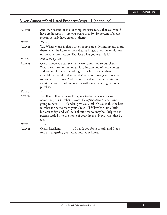# Buyer Cannot Afford Listed Property: Script #1 (continued)

| AGENT:        | And then second, it makes complete sense today that you would<br>have credit reports—are you aware that 30–40 percent of credit<br>reports actually have errors in them?                                                                                                                                                                                                                                                    |
|---------------|-----------------------------------------------------------------------------------------------------------------------------------------------------------------------------------------------------------------------------------------------------------------------------------------------------------------------------------------------------------------------------------------------------------------------------|
| BUYER:        | No way.                                                                                                                                                                                                                                                                                                                                                                                                                     |
| AGENT:        | Yes. What's worse is that a lot of people are only finding out about<br>them when the home of their dreams hinges upon the resolution<br>of the false information. That isn't what you want, is it?                                                                                                                                                                                                                         |
| <b>BUYER:</b> | Not at that point.                                                                                                                                                                                                                                                                                                                                                                                                          |
| AGENT:        | Okay. I hope you can see that we're committed to our clients.<br>What I want to do, first of all, is to inform you of your choices,<br>and second, if there is anything that is incorrect on there,<br>especially something that could affect your mortgage, allow you<br>to discover that now. And I would ask that if that's the kind of<br>agent that you're looking to work with on your six-figure home<br>purchase?   |
| $B_{UVER}$    | Yes.                                                                                                                                                                                                                                                                                                                                                                                                                        |
| AGENT:        | Excellent. Okay, so what I'm going to do is ask you for your<br>name and your number. [Gather the information.] Great. And I'm<br>going to have ____(lender) give you a call. Okay? Is this the best<br>number for her to reach you? Great. I'll follow back up a little<br>bit later today, and we'll talk about how we may best help you in<br>getting settled into the home of your dreams. Now, won't that be<br>great? |
| <b>BUYER:</b> | Yeah.                                                                                                                                                                                                                                                                                                                                                                                                                       |
| AGENT:        | Okay. Excellent. ________, I thank you for your call, and I look<br>forward to getting you settled into your home.                                                                                                                                                                                                                                                                                                          |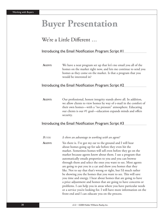# **Buyer Presentation**

# We're a Little Different ...

### Introducing the Email Notification Program: Script  $#I$

**AGENT:** We have a neat program set up that let's me email you all of the homes on the market right now, and lets me continue to send you homes as they come on the market. Is that a program that you would be interested in?

### Introducing the Email Notification Program: Script #2

**AGENT:** Our professional, honest integrity stands above all. In addition, we allow clients to view homes by way of e-mail in the comfort of their own homes—with a "no pressure" atmosphere. Educating our clients is our  $#1$  goal—education expands minds and offers security.

### Introducing the Email Notification Program: Script #3

| <b>BUYER:</b> | Is there an advantage to working with an agent?                                                                                                                                                                                                                                                                                                                                                                                                                                                                                                                                                                                                                                                                                                                                                                                                                                                                            |
|---------------|----------------------------------------------------------------------------------------------------------------------------------------------------------------------------------------------------------------------------------------------------------------------------------------------------------------------------------------------------------------------------------------------------------------------------------------------------------------------------------------------------------------------------------------------------------------------------------------------------------------------------------------------------------------------------------------------------------------------------------------------------------------------------------------------------------------------------------------------------------------------------------------------------------------------------|
| AGENT:        | Yes there is. I've got my ear to the ground and I will hear<br>about homes going up for sale before they even hit the<br>market. Sometimes homes will sell even before they go on the<br>market because agents know about them. I use a program that<br>automatically emails properties to you and you can browse<br>through them and select the ones you want to see. Most agents<br>are going to put you in a car and show you homes that they<br>like. Not to say that that's wrong or right, but I'd much rather<br>be showing you the homes that you want to see. This will save<br>you time and energy. I hear about homes that are going to have<br>a price adjustment and homes that are going to have concerns or<br>problems. I can help you in areas where you have particular needs<br>or a service you're looking for. I will have more information on the<br>front end and I can educate you on the process. |
|               |                                                                                                                                                                                                                                                                                                                                                                                                                                                                                                                                                                                                                                                                                                                                                                                                                                                                                                                            |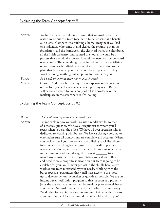### Explaining the Team Concept: Script #1

| We have a team—a real estate team—that we work with. The                                                                                                                                                                                          |
|---------------------------------------------------------------------------------------------------------------------------------------------------------------------------------------------------------------------------------------------------|
| reason we've put this team together is to better serve and benefit                                                                                                                                                                                |
| our clients. Compare it to building a home. Imagine if you had                                                                                                                                                                                    |
| one individual who came in and cleared the ground, put in the                                                                                                                                                                                     |
| foundation, did the framework, the electrical work, the plumbing,                                                                                                                                                                                 |
| all the finish carpentry, and painted the house. It would be a                                                                                                                                                                                    |
| process that would take forever. It would be two years before you'd                                                                                                                                                                               |
| own a home. The same thing is true in real estate. By specializing                                                                                                                                                                                |
| on our team, each individual has services that they bring to the                                                                                                                                                                                  |
| plate that better serve you, such as our buyer specialists. They                                                                                                                                                                                  |
| won't be doing anything but shopping for homes for you.                                                                                                                                                                                           |
| So I won't be working with you on a daily basis?                                                                                                                                                                                                  |
| Correct. And that's because my area of expertise on the team is<br>on the listing side. I am available to support my team. But you<br>will be better served by somebody who has knowledge of the<br>marketplace in the area where you're looking. |
|                                                                                                                                                                                                                                                   |

### Explaining the Team Concept: Script #2

*BUYER: How will working with a team benefit me?* 

**AGENT:** Let me explain how we work. We use a model similar to that of a medical practice. We have a receptionist to whom you'll speak when you call the office. We have a buyer specialist who is dedicated to working with buyers. We have a closing coordinator who makes sure all transactions are complete and accurate. When you decide to sell your house, we have a listing specialist whose full-time task is selling homes. Just like at a medical practice, where a receptionist, nurse, and doctor each take care of a patient in their unique and special way, the team at \_\_\_\_\_\_\_ (team name) works together to serve you. When you call our office and need to see a property, someone on our team is going to be available for you. You'll never get lost in the shuffle because we work as one team motivated by your needs. Working with the buyer specialist guarantees that you'll have access to the most up-to-date homes on the market as quickly as possible. We use an instant buyer notification program so that, as soon as a property joins the market, you are notified by email or phone—whichever you prefer. Our goal is to get you the best value for your money. We do that for you in the shortest amount of time, with the least amount of hassle. Does that sound like it would work for you?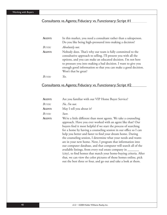# Consultants vs. Agents; Fiduciary vs. Functionary: Script #1

| AGENT:      | In this market, you need a consultant rather than a salesperson.<br>Do you like being high-pressured into making a decision?                                                                                                                                                                                                                             |
|-------------|----------------------------------------------------------------------------------------------------------------------------------------------------------------------------------------------------------------------------------------------------------------------------------------------------------------------------------------------------------|
| BUYER:      | Absolutely not.                                                                                                                                                                                                                                                                                                                                          |
| AGENT:      | Nobody does. That's why our team is fully committed to the<br>consultative approach to selling. I'll present you with all the<br>options, and you can make an educated decision. I'm not here<br>to pressure you into making a bad decision. I want to give you<br>enough good information so that you can make a good decision.<br>Won't that be great? |
| $R_{IIVFR}$ | Yes.                                                                                                                                                                                                                                                                                                                                                     |

# Consultants vs. Agents; Fiduciary vs. Functionary: Script #2

| <b>AGENT:</b> | Are you familiar with our VIP Home Buyer Service?                                                                                                                                                                                                                                                                                                                                                                                                                                                                                                                                                                                                                                                                                                                                                                  |
|---------------|--------------------------------------------------------------------------------------------------------------------------------------------------------------------------------------------------------------------------------------------------------------------------------------------------------------------------------------------------------------------------------------------------------------------------------------------------------------------------------------------------------------------------------------------------------------------------------------------------------------------------------------------------------------------------------------------------------------------------------------------------------------------------------------------------------------------|
| Buyer:        | No, I'm not.                                                                                                                                                                                                                                                                                                                                                                                                                                                                                                                                                                                                                                                                                                                                                                                                       |
| <b>AGENT:</b> | May I tell you about it?                                                                                                                                                                                                                                                                                                                                                                                                                                                                                                                                                                                                                                                                                                                                                                                           |
| Buyer:        | Sure.                                                                                                                                                                                                                                                                                                                                                                                                                                                                                                                                                                                                                                                                                                                                                                                                              |
| <b>AGENT:</b> | We're a little different than most agents. We take a counseling<br>approach. Have you ever worked with an agent like that? Our<br>buyers find it most helpful if we start the process of searching<br>for a home by having a counseling session in our office so I can<br>help you better and faster to find your dream home. During<br>the counseling session, I determine what your needs and wants<br>are in your new home. Next, I program that information into<br>our computer database, and that computer will search all of the<br>available listings, from every real estate company in _____<br>(city), to find homes that match your home-buying criteria. After<br>that, we can view the color pictures of those homes online, pick<br>out the best three or four, and go out and take a look at them. |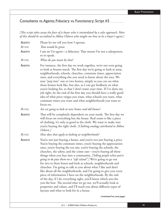# Consultants vs. Agents; Fiduciary vs. Functionary: Script #3

[This script takes away the fears of a buyer who is intimidated by a sales approach. Most *of this should be accredited to Althea Osborn who taught me how to be a buyer's agent.]* 

| AGENT:        | Please let me tell you how I operate.                                                                                                                                                                                                                                                                                                                                                                                                                                                                                                                                                                                                                                                                                                                                                                                                                                                                                                                      |
|---------------|------------------------------------------------------------------------------------------------------------------------------------------------------------------------------------------------------------------------------------------------------------------------------------------------------------------------------------------------------------------------------------------------------------------------------------------------------------------------------------------------------------------------------------------------------------------------------------------------------------------------------------------------------------------------------------------------------------------------------------------------------------------------------------------------------------------------------------------------------------------------------------------------------------------------------------------------------------|
| BUYER:        | That would be great.                                                                                                                                                                                                                                                                                                                                                                                                                                                                                                                                                                                                                                                                                                                                                                                                                                                                                                                                       |
| AGENT:        | I am an Un-agent—a fiduciary. That means I'm not a salesperson,<br>so to speak.                                                                                                                                                                                                                                                                                                                                                                                                                                                                                                                                                                                                                                                                                                                                                                                                                                                                            |
| BUYER:        | What do you mean by that?                                                                                                                                                                                                                                                                                                                                                                                                                                                                                                                                                                                                                                                                                                                                                                                                                                                                                                                                  |
| <b>AGENT:</b> | For instance, the first day we work together, we're not even going<br>to look at houses much. The first day we're going to look at areas,<br>neighborhoods, schools, churches, commute times, appreciation<br>rates, and everything else you need to know about the area. We<br>may "pop into" one or two homes, simply so you can see what<br>those homes look like, but also, so I can get feedback on what<br>you're looking for, so that I don't waste your time. If I've done my<br>job right, by the end of the first day you should have a really good<br>idea of what price ranges you want, what schools you want, what<br>commute times you want and what neighborhoods you want to<br>focus on.                                                                                                                                                                                                                                                 |
| <b>BUYER:</b> | Are we going to look at new homes and old homes?                                                                                                                                                                                                                                                                                                                                                                                                                                                                                                                                                                                                                                                                                                                                                                                                                                                                                                           |
| AGENT:        | That will be completely dependent on your needs. The first day we<br>will focus on everything but the house. Real estate is like a piece<br>of clothing: it's only as good as the cloth. We want to make sure<br>you're buying the right cloth. [Clothing analogy attributed to Althea<br>Osborn.]                                                                                                                                                                                                                                                                                                                                                                                                                                                                                                                                                                                                                                                         |
| BUYER:        | How does that apply to looking at neighborhoods?                                                                                                                                                                                                                                                                                                                                                                                                                                                                                                                                                                                                                                                                                                                                                                                                                                                                                                           |
| <b>AGENT:</b> | You're not just buying a house, and you're not just buying a price.<br>You're buying the commute times, you're buying the appreciation<br>rates, you're buying the tax rate, you're buying the schools, the<br>churches, the safety, and the crime rate—you're buying all those<br>things when you buy into a community. [Telling people what you're<br>going to do puts them on a "safe island".] We're going to go out<br>for two to three hours and look at schools, neighborhoods and<br>churches. I'm going to talk to you about what I like and don't<br>like about all the neighborhoods, and I'm going to give you every<br>piece of information I have on the neighborhoods. By the end<br>of the day, if I do everything right, you'll know which area fits<br>you the best. The second time we go out, we'll actually look at<br>properties and values, and I'll teach you about different types of<br>layouts and what to look for in a house. |
|               |                                                                                                                                                                                                                                                                                                                                                                                                                                                                                                                                                                                                                                                                                                                                                                                                                                                                                                                                                            |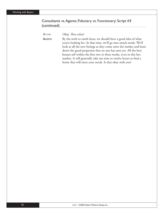### Consultants vs. Agents; Fiduciary vs. Functionary: Script #3 (continued)

*BUYER:* Okay. Then what? AGENT: By the sixth to ninth hour, we should have a good idea of what you're looking for. At that time, we'll go into attack mode. We'll look at all the new listings as they come onto the market and hunt down the good properties that no one has seen yet. All the best houses sell within the first two to three weeks, even in this hot market. It will generally take me nine to twelve hours to find a home that will meet your needs. Is that okay with you?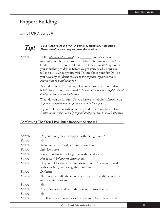# Rapport Building

## Using FORD: Script #1



*Tip!* Build Rapport around FORD: Family, Occupation, Recreation, Dreams—it's a great way to break the tension. **D**reams—it's a great way to break the tension.

AGENT: Hello, <u>*Mr. and Mrs. Buyer*</u>! I'm \_\_\_\_\_\_, and it's a pleasure meeting you. Did you have any problems finding my office? It's kind of \_\_\_\_\_\_\_ (hot, etc.) out there today, isn't it? May I offer you something to drink? Before we get started, why don't you tell me a little about yourselves? Tell me about your family—do you have any children? *[Listen to the response, reply/respond as appropriate to build rapport.]*

> What do you do for a living? How long have you been in that field? Do you enjoy your work? *[Listen to the response, reply/respond as appropriate to build rapport.]*

What do you do for fun? Do you have any hobbies? *[Listen to the response, reply/respond as appropriate to build rapport.]*

If you could live anywhere in the world, where would you live? *[Listen to the response, reply/respond as appropriate to build rapport.]* 

## Confirming That You Have Built Rapport: Script #1

| AGENT:        | Do you think you're in rapport with me right now?                                                      |
|---------------|--------------------------------------------------------------------------------------------------------|
| BUYER:        | Yes.                                                                                                   |
| AGENT:        | We've known each other for only how long?                                                              |
| BUYER:        | Less than a day.                                                                                       |
| <b>AGENT:</b> | It really doesn't take a long time with me, does it?                                                   |
| BUYER:        | Not at all. I feel like you listen to me.                                                              |
| AGENT:        | Do you feel I know what I'm talking about? You want to work<br>with somebody knowledgeable, don't you? |
| BUYER:        | Definitely.                                                                                            |
| <b>AGENT:</b> | The longer we talk, the more you realize that I'm different from<br>most agents, don't you?            |
| BUYER:        | Yes.                                                                                                   |
| AGENT:        | You do want to work with the best agent, isn't that correct?                                           |
| BUYER:        | Yes.                                                                                                   |
| AGENT:        | Excellent. I want to work with you as well. Here's how I work.                                         |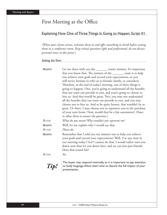# First Meeting at the Office

### Explaining How One of Three Things Is Going to Happen: Script #1

*[When your clients arrive, welcome them in and offer something to drink before seating them in a conference room. Keep initial questions light and professional; do not discuss personal issues at this point.]*

*Setting the Tone:* 

| <b>AGENT:</b> | Let me share with you the ________ team's mission. It's important                                                                                                                                                                                                                                 |
|---------------|---------------------------------------------------------------------------------------------------------------------------------------------------------------------------------------------------------------------------------------------------------------------------------------------------|
|               | that you know that. The mission of the ________ team is to help<br>you achieve your goals and exceed your expectations, so you                                                                                                                                                                    |
|               | will never, hesitate to refer us to friends, family, or coworkers.                                                                                                                                                                                                                                |
|               | Therefore, at the end of today's meeting, one of three things is                                                                                                                                                                                                                                  |
|               | going to happen. One, you're going to understand all the benefits                                                                                                                                                                                                                                 |
|               | that our team can provide to you, and you're going to choose to                                                                                                                                                                                                                                   |
|               | hire us. And that would be great. Two, you may not understand                                                                                                                                                                                                                                     |
|               | all the benefits that our team can provide to you, and you may                                                                                                                                                                                                                                    |
|               | choose not to hire us. And to be quite honest, that wouldn't be so                                                                                                                                                                                                                                |
|               | great. Or three, I may choose not to represent you in the purchase<br>of your next home. Now, would that be a fair assessment? [Pause                                                                                                                                                             |
|               | to allow them to answer the question.]                                                                                                                                                                                                                                                            |
| <b>BUYER:</b> | What do you mean? Why wouldn't you represent me?                                                                                                                                                                                                                                                  |
| <b>AGENT:</b> | Well, let me explain why I would say that.                                                                                                                                                                                                                                                        |
| <b>BUYER:</b> | Please do.                                                                                                                                                                                                                                                                                        |
| AGENT:        | Remember that I told you my mission was to help you achieve<br>your goals and exceed your expectations? Well, if at any time in<br>our meeting today I feel I cannot do that, I would rather turn you<br>down now than let you down later, and we can just part friends.<br>Does that sound fair? |
| BUYER:        | Yes.                                                                                                                                                                                                                                                                                              |
|               | The buyer may respond internally, so it is important to pay attention                                                                                                                                                                                                                             |

**Tip!** The buyer may respond internally, so it is important to pay attention to body language. Allow them time to absorb the full impact of your to body language. Allow them time to absorb the full impact of your presentation.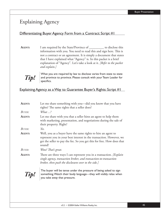# Explaining Agency

## Differentiating Buyer Agency Form from a Contract: Script #1

AGENT: I am required by the State/Province of \_\_\_\_\_\_\_\_\_\_ to disclose this information with you. You need to read this and sign here. This is not a contract or an agreement. It is simply a document that states that I have explained what "Agency" is. In this packet is a brief explanation of "Agency". Let's take a look at it. *[Refer to the packet and explain.]*



**Tip!** What you are required by law to disclose varies from state to state<br>and province to province. Please consult with your Team Leader for<br>specifics and province to province. Please consult with your Team Leader for specifics.

Explaining Agency as a Way to Guarantee Buyer's Rights: Script #1

| AGENT:        | Let me share something with you—did you know that you have<br>rights? The same rights that a seller does?                                                                                                                |
|---------------|--------------------------------------------------------------------------------------------------------------------------------------------------------------------------------------------------------------------------|
| BUYER:        | $Wbat \dots$ ?                                                                                                                                                                                                           |
| AGENT:        | Let me share with you that a seller hires an agent to help them<br>with marketing, presentation, and negotiations during the sale of<br>their property. Right?                                                           |
| BUYER:        | Yes.                                                                                                                                                                                                                     |
| AGENT:        | Well, you as a buyer have the same rights to hire an agent to<br>represent you in your best interest in the transaction. However, we<br>get the seller to pay the fee. So you get this for free. How does that<br>sound? |
| <b>BUYER:</b> | Wow! That's great.                                                                                                                                                                                                       |
| AGENT:        | There are three ways I can represent you in a transaction. [Explain]<br>single agency, transaction broker, and transaction-to-transaction<br>broker, then push the disclosures over to the side.]                        |
|               | The buyer will be tense under the pressure of being asked to sign<br>something. Watch their body language—they will visibly relax when<br>you take away that pressure.                                                   |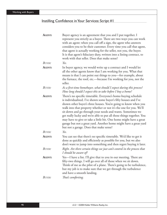# Instilling Confidence in Your Services: Script #1

| AGENT:        | Buyer agency is an agreement that you and I put together. I<br>represent you strictly as a buyer. There are two ways you can work<br>with an agent: when you call off a sign, the agent who answers<br>considers you to be their customer. Every time you call that agent,<br>that agent is actually working for the seller, not you, the buyer.<br>It is that agent's fiduciary duty, written into a listing contract, to<br>work with that seller. Does that make sense?                                                                                                                               |
|---------------|----------------------------------------------------------------------------------------------------------------------------------------------------------------------------------------------------------------------------------------------------------------------------------------------------------------------------------------------------------------------------------------------------------------------------------------------------------------------------------------------------------------------------------------------------------------------------------------------------------|
| BUYER:        | Yes.                                                                                                                                                                                                                                                                                                                                                                                                                                                                                                                                                                                                     |
| AGENT:        | In buyer agency, we would write up a contract and I would let<br>all the other agents know that I am working for you. What that<br>means is that I can point out things to you-for example, about<br>the furnace, the roof, etc.—because I'm working for you, not the<br>seller.                                                                                                                                                                                                                                                                                                                         |
| <b>BUYER:</b> | As a first-time homebuyer, what should I expect during this process?<br>How long should I expect this to take before I buy a home?                                                                                                                                                                                                                                                                                                                                                                                                                                                                       |
| AGENT:        | There's no specific timetable. Everyone's home-buying schedule<br>is individualized. I've shown some buyer's fifty houses and I've<br>shown other buyer's three houses. You're going to know when you<br>walk into that property whether or not it's the one for you. We'll<br>sit down and go through your needs and wants. Sometimes we<br>get really lucky and we're able to put all those things together. You<br>may have to give or take a little bit. One home might have a great<br>garage but not a great yard. Another home might have a great yard<br>but not a garage. Does that make sense? |
| <b>BUYER:</b> | Yes.                                                                                                                                                                                                                                                                                                                                                                                                                                                                                                                                                                                                     |
| AGENT:        | You can see that there's no specific timetable. We'd like to get it<br>done as quickly and efficiently as possible for you, but we also<br>don't want to jump into something and then regret buying it later.                                                                                                                                                                                                                                                                                                                                                                                            |
| <b>BUYER:</b> | Right. Are there certain things we just can't control in the process that<br>I should be aware of?                                                                                                                                                                                                                                                                                                                                                                                                                                                                                                       |
| AGENT:        | Yes—I have a list. I'll give that to you in our meeting. There are<br>fifty-two things. I will go over all of those when we sit down.<br>Think of me as the pilot of a plane. There's going to be turbulence,<br>but my job is to make sure that we get through the turbulence<br>and have a smooth landing.                                                                                                                                                                                                                                                                                             |
| <b>BUYER:</b> | That's comforting.                                                                                                                                                                                                                                                                                                                                                                                                                                                                                                                                                                                       |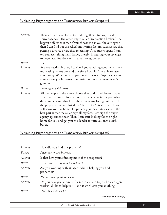# Explaining Buyer Agency and Transaction Broker: Script #1

| AGENT:        | There are two ways for us to work together. One way is called<br>"buyer agency." The other way is called "transaction broker." The<br>biggest difference is that if you choose me as your buyer's agent,<br>then I can find out the seller's motivating factors, such as: are they<br>getting a divorce or are they relocating? As a buyer's agent, I can<br>tell you everything that I know, thereby increasing your leverage<br>to negotiate. You do want to save money, correct?                                                                            |
|---------------|----------------------------------------------------------------------------------------------------------------------------------------------------------------------------------------------------------------------------------------------------------------------------------------------------------------------------------------------------------------------------------------------------------------------------------------------------------------------------------------------------------------------------------------------------------------|
| BUYER:        | Yes.                                                                                                                                                                                                                                                                                                                                                                                                                                                                                                                                                           |
| <b>AGENT:</b> | As a transaction broker, I can't tell you anything about what their<br>motivating factors are, and therefore I wouldn't be able to save<br>you money. Which way do you prefer to work? Buyer agency and<br>saving money? Or transaction broker and not knowing what's<br>going on?                                                                                                                                                                                                                                                                             |
| <b>BUYER:</b> | Buyer agency, definitely.                                                                                                                                                                                                                                                                                                                                                                                                                                                                                                                                      |
| <b>AGENT:</b> | All the people in the know choose that option. All brokers have<br>access to the same information. I've had clients in the past who<br>didn't understand that I can show them any listing out there. If<br>the property has been listed by ABC or XYZ Real Estate, I can<br>still show you the home. I represent your best interests, and the<br>best part is that the seller pays all my fees. Let's sign the buyer<br>agency agreement now. Then I can start looking for the right<br>home for you and get you to a lender to turn you into a cash<br>buyer. |

# Explaining Buyer Agency and Transaction Broker: Script #2

| AGENT: | How did you find this property?                                                                                                |
|--------|--------------------------------------------------------------------------------------------------------------------------------|
| BUYER: | I was just on the Internet.                                                                                                    |
| AGENT: | Is that how you're finding most of the properties?                                                                             |
| BUYER: | Yeah—we're really into the Internet.                                                                                           |
| AGENT: | Are you working with an agent who is helping you find<br>properties?                                                           |
| BUYER: | No, we can't afford an agent.                                                                                                  |
| AGENT: | Do you have just a minute for me to explain to you how an agent<br>works? I'd like to help you—and it won't cost you anything. |
| BUYER: | How does that work?<br>$\sim$ $\sim$ $\sim$ $\sim$ $\sim$                                                                      |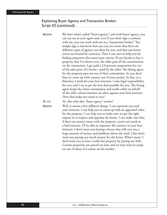### Explaining Buyer Agency and Transaction Broker: Script #2 (continued)

**AGENT:** We have what's called "buyer agency," and with buyer agency, you can use me as your agent and, even if you don't sign a contract with me, you can work with me as a "transaction broker." You simply sign a statement that says you are aware that there are different types of agency out there for you, and that you know you're not bound by contracts. Then I can start to help you by finding properties that meet your criteria. If you decide to buy a property that I've shown you, the seller pays all the commissions on the transaction. I get paid a 2.8 percent cooperation fee out of the sales price of a home—paid by the seller. The listing agent for the property pays me out of their commission. So you don't have to come up with a penny out of your pocket. In fact, as a fiduciary, I work for your best interests. I take legal responsibility for you, and I try to get the best deal possible for you, The listing agent keeps the entire commission and works solely on behalf of the seller, whose interests are often against your best interests. Does that make any sense to you? *BUYER: Yes. But what does "buyer agency" involve?*  AGENT: Well, it means a few different things. I can represent you and your interests. I can help you to come up with an appraised value for the property. I can help you to make sure we get the right experts in to inspect and appraise the home. I can make sure that, if there are unseen issues with the property, you're not stuck in a bad contract. I'll be able to represent the contract in your best interests. I don't want you buying a house that will cost you a

> huge amount of money and problems down the road. I also don't want you paying too much money for the home. What's more, I don't want you to lose a really hot property by paying too little. Certain properties are priced too low, and we may want to jump

on one of those if it comes on the market.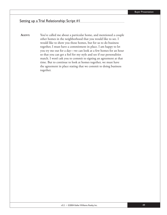### Setting up a Trial Relationship: Script #1

**AGENT:** You've called me about a particular home, and mentioned a couple other homes in the neighborhood that you would like to see. I would like to show you those homes, but for us to do business together, I must have a commitment in place. I am happy to let you try me out for a day—we can look at a few homes for an hour so that you can get a feel for my style and see if our personalities match. I won't ask you to commit to signing an agreement at that time. But to continue to look at homes together, we must have the agreement in place stating that we commit to doing business together.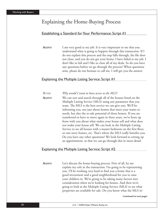# Explaining the Home-Buying Process

### Establishing a Standard for Your Performance: Script #1

**AGENT:** I am very good at my job. It is very important to me that you understand what is going to happen through this transaction. If I do not explain this process and the step falls through, the file does not close, and you do not get your home, I have failed at my job. I don't like to fail and I like to close all of my deals. So do you have any questions before we go through the process? When questions arise, please do not hesitate to call me. I will get you the answer.

### Explaining the Multiple Listing Service: Script #1

*BUYER: Why would I want to have access to the MLS?* **AGENT:** We can sort and search through all of the houses listed on the Multiple Listing Service (MLS) using any parameter that you want. The MLS is the best service we can give you. We'll be informing you, not just about homes that meet your wants or needs, but also the re-sale potential of those homes. If you are transferred or have to move again in three years, we've been up front with you about what makes your house sell and what does not make your house sell. We can look in the Multiple Listing Service to see all houses with a master bedroom on the first floor, or one-story homes, etc. That's where the MLS really benefits you. Do you have any other questions? We look forward to setting up an appointment, so that we can go through this in more detail.

### Explaining the Multiple Listing Service: Script #2

**AGENT:** Let's discuss the home-buying process. First of all, let me explain my role in the transaction. I'm going to be representing you. I'll be working very hard to find you a home that is a good investment and a good neighborhood for you to raise your children in. We're going to be taking many factors into consideration when we're looking for homes. And then we're going to look at the Multiple Listing Service (MLS) to see what properties are available for sale. Do you know what the MLS is?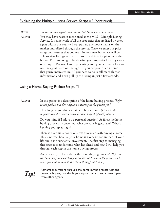### Explaining the Multiple Listing Service: Script #2 (continued)

*BUYER: I've heard some agents mention it, but I'm not sure what it is.* **AGENT:** You may have heard it mentioned as the MLS—Multiple Listing Service. It is a network of all the properties that are listed by every agent within our county. I can pull up any house that is on the market and offered through the service. Once we enter our price range and features that you want in your new home, we will be able to view listings with virtual tours and interior pictures of the homes. I'm also going to be showing you properties listed by every other agent. Because I am representing you, you need to call me not the agent listed on the sign—if you happen to see a home that you're interested in. All you need to do is call me with that information and I can pull up the listing in just a few seconds.

### Using a Home-Buying Packet: Script #1

**AGENT:** In this packet is a description of the home-buying process. *[Refer to the packet, but don't explain anything in the packet yet.]*

> How long do you think it takes to buy a home? *[Listen to the response and then give a range for how long it typically takes.]*

Do you mind if I ask you a personal question? As far as the homebuying process is concerned, what are your biggest fears? What's keeping you up at night?

There is a certain amount of stress associated with buying a home. This is normal because your home is a very important part of your life and it is a substantial investment. The first step to managing this stress is to understand what lies ahead and how I will help you through each step in the home-buying process.

Are you ready to learn about the home-buying process? *[Refer to the home-buying packet as you explain each step in the process and what you will do to help the client through each step.]*

**Tip!** Remember, as you go through the home-buying process with the potential buyers, that this is your opportunity to set yourself apart potential buyers, that this is your opportunity to set yourself apart from other agents.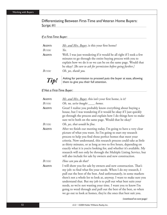### Differentiating Between First-Time and Veteran Home Buyers: Script #1

### *If a First-Time Buyer:*

| <b>AGENT:</b> | Mr. and Mrs. Buyer, is this your first home?                                                                                                                                                                                                                           |
|---------------|------------------------------------------------------------------------------------------------------------------------------------------------------------------------------------------------------------------------------------------------------------------------|
| Buyer:        | Yes.                                                                                                                                                                                                                                                                   |
| <b>AGENT:</b> | Well, I was just wondering if it would be all right if I took a few<br>minutes to go through the entire buying process with you to<br>explain how we do it so we can be on the same page. Would that<br>be okay? [Be sure to ask for permission before going further.] |
| Buyer:        | Oh, yes, thank you.                                                                                                                                                                                                                                                    |
| Tip!          | Asking for permission to proceed puts the buyer at ease, allowing<br>them to give you their full attention.                                                                                                                                                            |

### *If Not a First-Time Buyer:*

| <b>AGENT:</b> | Mr. and Mrs. Buyer, this isn't your first home, is it?                                                                                                                                                                                                                                                                                                                                                                                                                                                                                                    |
|---------------|-----------------------------------------------------------------------------------------------------------------------------------------------------------------------------------------------------------------------------------------------------------------------------------------------------------------------------------------------------------------------------------------------------------------------------------------------------------------------------------------------------------------------------------------------------------|
| <b>BUYER:</b> | Oh, no, we've bought ____ homes.                                                                                                                                                                                                                                                                                                                                                                                                                                                                                                                          |
| AGENT:        | Great! I realize you probably know everything about buying a<br>house, but I was wondering if it would be okay if I just quickly<br>go through the process and explain how I do things here to make<br>sure we're both on the same page. Would that be okay?                                                                                                                                                                                                                                                                                              |
| BUYER:        | Oh, yes, that would be fine.                                                                                                                                                                                                                                                                                                                                                                                                                                                                                                                              |
| AGENT:        | After we finish our meeting today, I'm going to have a very clear<br>picture of what you want. So I'm going to start my research<br>process to help you find those perfect homes that meet your<br>criteria. Now understand, this research process could take as little<br>as thirty minutes, or as long as two to five hours, depending on<br>exactly what it is you're looking for, and whether it's available. My<br>research will not only be through the Multiple Listing Service, but<br>will also include for sale by owners and new construction. |
| <b>BUYER:</b> | How can you do that?                                                                                                                                                                                                                                                                                                                                                                                                                                                                                                                                      |
| AGENT:        | I will show you for sale by owners and new construction. That's<br>my job: to find what fits your needs. When I do my research, I<br>pull out the best of the best. And unfortunately, in some markets<br>there's not a whole lot to look at, anyway. I want to make sure you<br>understand that. But my job is to pull out what best suits your<br>needs, so we're not wasting your time. I want you to know I'm<br>going to weed through and pull out the best of the best, so when<br>we go out to look at homes, they're the ones that best suit you. |
|               |                                                                                                                                                                                                                                                                                                                                                                                                                                                                                                                                                           |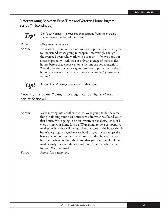Differentiating Between First-Time and Veteran Home Buyers: Script #1 (continued)



 $\overline{T}$ *Tip!*  $\left| \begin{array}{c}$  Don't cut corners—always set expectations from the start, no matter how experienced the buyer matter how experienced the buyer.

*BUYER: Okay, that sounds good.*

**AGENT:** Now, when we go out the door to look at properties, I want you to understand what's going to happen. Interestingly enough, the average buyers who work with our team—if we've done our research properly—will look at only an average of three to five homes before they choose a home. Let me ask you a question. Would it be okay, when we go out to look at properties, if the first house you saw was the perfect house? *[You are setting them up for success.]*



*Tip!* Remember: It's always about them—their time.

## Preparing the Buyer Moving into a Significantly Higher-Priced Market: Script #1

AGENT: We're moving into another market. We're going to do the same thing in finding your next house as we did when we found your first house. We're going to do an investment analysis, just as if I were listing your home for sale. We're going to do a comparative market analysis that will tell us what the value of the house should be. We're going to negotiate very hard on your behalf to get the best value for your money. Let's look at all the choices that we have, and when you find the house that you want; we'll pull our market analysis even tighter to make sure that the value is there for you. Will that work?

*BUYER: Sounds like a great plan.*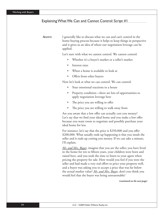#### Explaining What We Can and Cannot Control: Script #1

**AGENT:** I generally like to discuss what we can and can't control in the home-buying process because it helps to keep things in perspective and it gives us an idea of where our negotiation leverage can be applied.

Let's start with what we cannot control. We cannot control:

- Whether it's a buyer's market or a seller's market
- Interest rates
- When a home is available to look at
- Offers from other buyers

Now let's look at what we can control. We can control:

- Your emotional reactions to a house
- Property condition—there are lots of opportunities to apply negotiation leverage here
- The price you are willing to offer
- The price you are willing to walk away from

Are you aware that a low offer can actually cost you money? Let's say that we find your ideal home and you make a low offer because you want room to negotiate and possibly purchase your ideal home for less.

For instance, let's say that the price is \$250,000 and you offer \$200,000. What usually ends up happening is that you insult the seller and it ends up costing you money. If we can take a minute, I'll explain.

*Mr. and Mrs. Buyer*, imagine that you are the seller; you have lived in the home for ten to fifteen years, your children were born and raised here, and you took the time to listen to your agent when pricing the property for sale. How would you feel if you were the seller and had made a very real effort to price your property well, and a buyer was asking you to accept a price that was far below the actual market value? *Mr. and Mrs. Buyer*, don't you think you would feel that the buyer was being unreasonable?

*(continued on the next page)*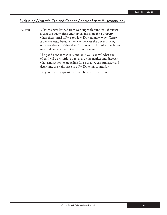#### Explaining What We Can and Cannot Control: Script #1 (continued)

**AGENT:** What we have learned from working with hundreds of buyers is that the buyer often ends up paying more for a property when their initial offer is too low. Do you know why? *[Listen*] *to the response.]* Because the seller believes the buyer is being unreasonable and either doesn't counter at all or gives the buyer a much higher counter. Does that make sense?

> The good news is that you, and only you, control what you offer. I will work with you to analyze the market and discover what similar homes are selling for so that we can strategize and determine the right price to offer. Does this sound fair?

Do you have any questions about how we make an offer?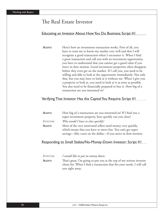# The Real Estate Investor

### Educating an Investor About How You Do Business: Script #1

**AGENT:** Here's how an investment transaction works. First of all, you have to trust me to know my market very well and that I will recognize a good transaction when I encounter it. When I find a great transaction and call you with an investment opportunity, you have to understand that you cannot get a good value if you move in slow motion. Good investment properties often disappear before they even get on the market. If I call you, you need to be willing and able to look at the opportunity immediately. Not only that, but you may have to look at it without me. When I give you a property to look at, you need to look at it as soon as possible. You also need to be financially prepared to buy it. How big of a transaction are you interested in?

#### Verifying That Investor Has the Capital You Require: Script #1

| AGENT:           | How big of a transaction are you interested in? If I find you a |
|------------------|-----------------------------------------------------------------|
|                  | super investment property, how quickly can you close?           |
| <i>INVESTOR:</i> | Why would I have to close quickly?                              |
| <b>AGENT:</b>    | Most of the very motivated sellers need money very quickly,     |
|                  | which means that you have to move fast. You can't get super     |
|                  | savings—fifty cents on the dollar—if you move in slow-motion.   |

#### Responding to Small Stakes/No-Money-Down Investor: Script #1

| <i>Investor:</i> | I would like to put no money down.                                       |
|------------------|--------------------------------------------------------------------------|
| AGENT:           | That's great. I'm going to put you at the top of my serious investor     |
|                  | client list. When I find a transaction that fits your needs, I will call |
|                  | you right away.                                                          |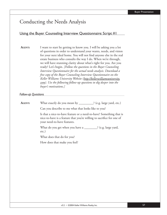# Conducting the Needs Analysis

### Using the Buyer Counseling Interview Questionnaire: Script #1

**AGENT:** I want to start by getting to know you. I will be asking you a lot of questions in order to understand your wants, needs, and vision for your next ideal home. You will not find anyone else in the real estate business who consults the way I do. When we're through, we will have stunning clarity about what's right for you. Are you ready? Let's begin. *[Follow the questions in the Buyer Counseling Interview Questionnaire for the actual needs analysis. Download a free copy of the Buyer Counseling Interview Questionnaire on the Keller Williams University Website (http://kellerwilliamsuniversity. com). Use the following follow-up questions to dig deeper into the buyer's motivations.]*

*Follow-up Questions* 

| <b>AGENT:</b> | What exactly do you mean by _________? (e.g. large yard, etc.)                                                                                                              |
|---------------|-----------------------------------------------------------------------------------------------------------------------------------------------------------------------------|
|               | Can you describe to me what that looks like to you?                                                                                                                         |
|               | Is that a nice-to-have feature or a need-to-have? Something that is<br>nice-to-have is a feature that you're willing to sacrifice for one of<br>your need-to-have features. |
|               | What do you get when you have a _________? (e.g. large yard,<br>$etc.$ )                                                                                                    |
|               | What does that do for you?                                                                                                                                                  |
|               | How does that make you feel?                                                                                                                                                |
|               |                                                                                                                                                                             |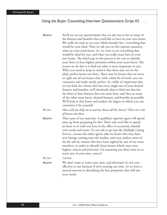# Using the Buyer Counseling Interview Questionnaire: Script #2

| AGENT:        | You'll see on our questionnaire that we ask you to list as many of<br>the features and benefits that you'd like to have in your new home.<br>We really do want to see your whole laundry list-everything that<br>would be your ideal. Then we ask you on this separate question,<br>what are your must-haves. So, we want to see everything that<br>would be ideal for you, and what you really must have in your<br>new home. The third step in this process is for you to identify<br>your three or four highest priorities within your must-haves. The<br>reason we do this is to find out what is most important to you.<br>What you need to keep in mind is that there may not be the<br>ideal, perfect home out there. There may be homes that are seven<br>or eight out of ten homes that, with a little bit of work, you can<br>customize and make nearly perfect. So, while it's important that<br>we not look for a home that has every single one of your desired<br>features and benefits, we'll absolutely plan to find one that has<br>the three or four features that you must have, and then as many<br>of the other must-haves, desired features, and benefits as possible.<br>We'll look at that home and analyze the degree to which you can |
|---------------|-----------------------------------------------------------------------------------------------------------------------------------------------------------------------------------------------------------------------------------------------------------------------------------------------------------------------------------------------------------------------------------------------------------------------------------------------------------------------------------------------------------------------------------------------------------------------------------------------------------------------------------------------------------------------------------------------------------------------------------------------------------------------------------------------------------------------------------------------------------------------------------------------------------------------------------------------------------------------------------------------------------------------------------------------------------------------------------------------------------------------------------------------------------------------------------------------------------------------------------------------------------------|
|               | customize it for yourself.                                                                                                                                                                                                                                                                                                                                                                                                                                                                                                                                                                                                                                                                                                                                                                                                                                                                                                                                                                                                                                                                                                                                                                                                                                      |
| <b>BUYER:</b> | How will you help me to narrow down all the choices? There are a lot<br>of houses out there.                                                                                                                                                                                                                                                                                                                                                                                                                                                                                                                                                                                                                                                                                                                                                                                                                                                                                                                                                                                                                                                                                                                                                                    |
| AGENT:        | That's part of our expertise. A qualified, superior agent will spend<br>time up front preparing for this. That's why we'd like to spend<br>an hour or so with you here in the office to accurately identify<br>your needs and wants. It's our job to go into the Multiple Listing<br>Service, contact the other agents who we know who may have<br>new listings coming onto the market, and even analyze some of<br>the for sale by owners who have been sighted by one of our team<br>members, in order to identify those homes which meet your<br>highest criteria and priorities. I'm assuming you don't want us to<br>waste any of your time, correct?                                                                                                                                                                                                                                                                                                                                                                                                                                                                                                                                                                                                      |
| <b>BUYER:</b> | Correct.                                                                                                                                                                                                                                                                                                                                                                                                                                                                                                                                                                                                                                                                                                                                                                                                                                                                                                                                                                                                                                                                                                                                                                                                                                                        |
| AGENT:        | We don't want to waste your time, and obviously it's not cost-<br>effective to our business if we're wasting our time. So we have a<br>mutual interest in identifying the best properties that will suit<br>your needs.                                                                                                                                                                                                                                                                                                                                                                                                                                                                                                                                                                                                                                                                                                                                                                                                                                                                                                                                                                                                                                         |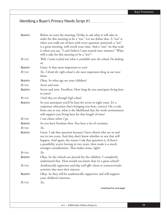# Identifying a Buyer's Primary Needs: Script #1

| AGENT:        | Before we start the meeting, I'd like to ask what it will take in<br>order for this meeting to be a "ten." Let me define that. A "ten" is<br>when you walk out of here with every question answered; a "ten"<br>is a great meeting, well worth your time. And a "one" on that scale                                            |
|---------------|--------------------------------------------------------------------------------------------------------------------------------------------------------------------------------------------------------------------------------------------------------------------------------------------------------------------------------|
|               | is when you say, "I can't believe I just wasted sixty minutes." What<br>will it take for this meeting to be a "ten"?                                                                                                                                                                                                           |
| <b>BUYER:</b> | Well, I want to find out what is available near the schools I'm looking<br>at.                                                                                                                                                                                                                                                 |
| AGENT:        | Great. Is that most important to you?                                                                                                                                                                                                                                                                                          |
| <b>BUYER:</b> | Yes, I think the right school is the most important thing in our next<br>home.                                                                                                                                                                                                                                                 |
| <b>AGENT:</b> | Okay. So what age are your children?                                                                                                                                                                                                                                                                                           |
| <b>BUYER:</b> | Seven and nine.                                                                                                                                                                                                                                                                                                                |
| AGENT:        | Seven and nine. Excellent. How long do you anticipate living here<br>in town?                                                                                                                                                                                                                                                  |
| BUYER:        | Until they are through high school.                                                                                                                                                                                                                                                                                            |
| AGENT:        | So you anticipate you'll be here for seven to eight years. It's a<br>corporate relocation that's bringing you here, correct? On a scale<br>from one to ten, what is the likelihood that the work environment<br>will support you living here for that length of time?                                                          |
| <b>BUYER:</b> | I can choose where I go.                                                                                                                                                                                                                                                                                                       |
| AGENT:        | So you have freedom then. You have a lot of certainty.                                                                                                                                                                                                                                                                         |
| <b>BUYER:</b> | Yes.                                                                                                                                                                                                                                                                                                                           |
| AGENT:        | Great. I ask that question because I have clients who are in and<br>out in two years. And they don't know whether or not that will<br>happen. And again, the reason I ask that question is, if there's<br>a possibility you're leaving in two years, then resale is a much<br>stronger consideration. That makes sense, right? |
| <b>BUYER:</b> | Yes.                                                                                                                                                                                                                                                                                                                           |
| AGENT:        | Okay. So the schools are pivotal for the children. I completely<br>understand that. How would you know that it's a great school?                                                                                                                                                                                               |
| <b>BUYER:</b> | Academically supportive and they will offer classes or extracurricular<br>activities that meet their interests                                                                                                                                                                                                                 |
| AGENT:        | Okay. So they will be academically supportive and will support<br>your children's interests.                                                                                                                                                                                                                                   |
| BUYER:        | Yes.                                                                                                                                                                                                                                                                                                                           |
|               | (continued on next page)                                                                                                                                                                                                                                                                                                       |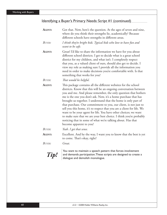# Identifying a Buyer's Primary Needs: Script #1 (continued)

| AGENT:        | Got that. Now, here's the question. At the ages of seven and nine,<br>where do you think their strengths lie, academically? Because<br>different schools have strengths in different areas.                                                                                                                                                                                                                                                                                                                                                                                                                                                                                                                                    |
|---------------|--------------------------------------------------------------------------------------------------------------------------------------------------------------------------------------------------------------------------------------------------------------------------------------------------------------------------------------------------------------------------------------------------------------------------------------------------------------------------------------------------------------------------------------------------------------------------------------------------------------------------------------------------------------------------------------------------------------------------------|
| BUYER:        | I think they're bright kids. Typical kids who love to have fun and<br>want to be safe.                                                                                                                                                                                                                                                                                                                                                                                                                                                                                                                                                                                                                                         |
| <b>AGENT:</b> | Great! I'd like to share the information we have for you about<br>different school districts. I get to decide what is a great school<br>district for my children, and what isn't. I completely respect<br>that you, as a valued client of ours, should also get to decide. I<br>view my role as making sure I provide all the information you<br>need in order to make decisions you're comfortable with. Is that<br>something that works for you?                                                                                                                                                                                                                                                                             |
| BUYER:        | That would be helpful.                                                                                                                                                                                                                                                                                                                                                                                                                                                                                                                                                                                                                                                                                                         |
| AGENT:        | This package contains all the different websites for the school<br>districts. Know that this will be an ongoing conversation between<br>you and me. And please remember, the only question that bothers<br>me is the one you don't ask. Now, it's a home purchase that has<br>brought us together. I understand that the home is only part of<br>that purchase. Our commitment to you, our client, is not just to<br>sell you this home, it's to respect that you are a client for life. We<br>want to be your agent for life. You have other choices; we want<br>to make sure that we are your best choice. I think you're probably<br>noticing that in some of what we're talking about. Has that<br>become apparent to you? |
| <b>BUYER:</b> | Yeah. I get that sense.                                                                                                                                                                                                                                                                                                                                                                                                                                                                                                                                                                                                                                                                                                        |
| AGENT:        | Excellent. And by the way, I want you to know that the best is yet<br>to come. That's okay, right?                                                                                                                                                                                                                                                                                                                                                                                                                                                                                                                                                                                                                             |
| <b>BUYER:</b> | Great.                                                                                                                                                                                                                                                                                                                                                                                                                                                                                                                                                                                                                                                                                                                         |
| Tip!          | You want to maintain a speech pattern that forces involvement<br>and demands participation. These scripts are designed to create a<br>dialogue and demolish monologue.                                                                                                                                                                                                                                                                                                                                                                                                                                                                                                                                                         |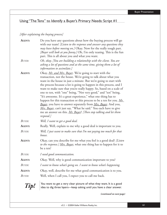## Using "The Tens" to Identify a Buyer's Primary Needs: Script #1

#### *[After explaining the buying process]*

| <b>AGENT:</b> | Do you have any questions about how the buying process will go<br>with our team? [Listen to the response and answer any questions they<br>may have before moving on.] Okay. Now for the really tough part.<br>[Buyer will look at you funny.] Oh, I'm only teasing. This is the fun<br>part. This is all about you and what you want.                                                                                                                                                                                                                                                                                                                                                                                                                                                     |
|---------------|-------------------------------------------------------------------------------------------------------------------------------------------------------------------------------------------------------------------------------------------------------------------------------------------------------------------------------------------------------------------------------------------------------------------------------------------------------------------------------------------------------------------------------------------------------------------------------------------------------------------------------------------------------------------------------------------------------------------------------------------------------------------------------------------|
| <b>BUYER:</b> | Oh, okay. [You are building a relationship with the client. You are<br>asking a lot of questions and at the same time, giving them a lot of<br>information to assimilate.]                                                                                                                                                                                                                                                                                                                                                                                                                                                                                                                                                                                                                |
| <b>AGENT:</b> | Okay, <i>Mr. and Mrs. Buyer</i> . We're going to start with the<br>transaction, not the house. We're going to talk about what you<br>want in the house in just a minute. But we're going to start with<br>the process because a lot is going to happen in this process, and I<br>want to make sure that you're really happy. So, based on a scale of<br>one to ten, with "one" being, "Not very good," and "ten" being,<br>"It's awesome. It's a great experience," what one thing has to<br>happen for this transaction or this process to be a ten for you. Mr.<br>Buyer, you have to answer separately from Mrs. Buyer. And you,<br>Mrs. Buyer, can't just say, "What he said." You each have to give<br>me an answer on this. Mr. Buyer? [Then stop talking and let them<br>respond.] |
| BUYER:        | Well, I want to get a good deal.                                                                                                                                                                                                                                                                                                                                                                                                                                                                                                                                                                                                                                                                                                                                                          |
| <b>AGENT:</b> | Really. Well, explain to me why a good deal is important to you.                                                                                                                                                                                                                                                                                                                                                                                                                                                                                                                                                                                                                                                                                                                          |
| BUYER:        | Well, I just want to make sure that I'm not paying too much for that<br>house.                                                                                                                                                                                                                                                                                                                                                                                                                                                                                                                                                                                                                                                                                                            |
| <b>AGENT:</b> | Okay, can you describe for me what you feel is a good deal? [Listen]<br>to the response.] <u>Mrs. Buyer</u> , what one thing has to happen for it to<br>be a ten?                                                                                                                                                                                                                                                                                                                                                                                                                                                                                                                                                                                                                         |
| BUYER:        | I need good communication.                                                                                                                                                                                                                                                                                                                                                                                                                                                                                                                                                                                                                                                                                                                                                                |
| <b>AGENT:</b> | Okay. Well, why is good communication important to you?                                                                                                                                                                                                                                                                                                                                                                                                                                                                                                                                                                                                                                                                                                                                   |
| BUYER:        | I want to know what's going on. I want to know what's happening.                                                                                                                                                                                                                                                                                                                                                                                                                                                                                                                                                                                                                                                                                                                          |
| <b>AGENT:</b> | Okay, well, describe for me what good communication is to you.                                                                                                                                                                                                                                                                                                                                                                                                                                                                                                                                                                                                                                                                                                                            |
| <b>BUYER:</b> | Well, when I call you, I expect you to call me back.                                                                                                                                                                                                                                                                                                                                                                                                                                                                                                                                                                                                                                                                                                                                      |



*Tip!*  $\int_{0}^{x}$  You want to get a very clear picture of what they want. It is a good idea to dig three layers—keep asking until you have a clear answer.

*(continued on next page)*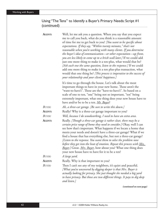## Using "The Tens" to Identify a Buyer's Primary Needs: Script #1 (continued)

| AGENT:        | Well, let me ask you a question. When you say that you expect<br>me to call you back, what do you think is a reasonable amount<br>of time for me to get back to you? [You want to be specific about<br>expectations. If they say, "Within twenty minutes," that's not<br>reasonable when you're working with many clients. If you determine<br>the buyer's idea of communication—or other expectation—up front,<br>you are less likely to come up to a brick wall later.] If we could add<br>just one more thing to make it a ten-plus, what would that be?<br>[Ask each one the same question, listen to the response.] If we could<br>add one more thing to make it a ten plus-plus transaction, what<br>would that one thing be? [This process is imperative to the success of<br>your relationship and your clients' happiness.] |
|---------------|--------------------------------------------------------------------------------------------------------------------------------------------------------------------------------------------------------------------------------------------------------------------------------------------------------------------------------------------------------------------------------------------------------------------------------------------------------------------------------------------------------------------------------------------------------------------------------------------------------------------------------------------------------------------------------------------------------------------------------------------------------------------------------------------------------------------------------------|
|               | It's time to go through the house. Let's talk about the most<br>important things to have in your new home. These aren't the<br>"want-to-have's". These are the "have-to-have's". So based on a<br>scale of one to ten, "one" being not so important, "ten" being<br>extremely important, what one thing does your new house have to<br>have and/or be to be a ten. Mr. Buyer?                                                                                                                                                                                                                                                                                                                                                                                                                                                        |
| <b>BUYER:</b> | Ah, a three-car garage. [Be sure to write this down.]                                                                                                                                                                                                                                                                                                                                                                                                                                                                                                                                                                                                                                                                                                                                                                                |
| <b>AGENT:</b> | Really? Why is a three-car garage important to you?                                                                                                                                                                                                                                                                                                                                                                                                                                                                                                                                                                                                                                                                                                                                                                                  |
| BUYER:        | Well, because I do woodworking, I need to have an extra area.                                                                                                                                                                                                                                                                                                                                                                                                                                                                                                                                                                                                                                                                                                                                                                        |
| AGENT:        | Really. [Though a three-car garage is rather clear, there may be a<br>certain price range of home they need to consider.] Okay, well I can<br>see how that's important. What happens if we locate a home that<br>meets your needs and doesn't have a three-car garage? What if we<br>find a house that has everything else, but not a three-car garage?<br>[Listen to the response. You want them to solve the problem now<br>before they get into the heat of emotion. Repeat this process with <u>Mrs.</u><br><b>Buyer.</b> ] Great. <i>Mrs. Buyer</i> , how about you? What one thing does<br>your new house have to have for it to be a ten?                                                                                                                                                                                     |
| <b>BUYER:</b> | A large yard.                                                                                                                                                                                                                                                                                                                                                                                                                                                                                                                                                                                                                                                                                                                                                                                                                        |
| <b>AGENT:</b> | Really. Why is that important to you?                                                                                                                                                                                                                                                                                                                                                                                                                                                                                                                                                                                                                                                                                                                                                                                                |
| <b>BUYER:</b> | Then I can't see any of my neighbors, it's quiet and peaceful.<br>[What you've uncovered by digging deeper is that Mrs. Buyer is<br>actually looking for privacy. She just thought she needed a big yard<br>to have privacy. But those are two different things. It pays to dig deep<br>and listen.]                                                                                                                                                                                                                                                                                                                                                                                                                                                                                                                                 |

*(continued on next page)*

62 v3.2 • ©2004 Keller Williams Realty, Inc.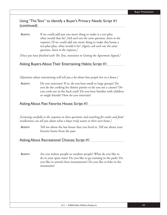## Using "The Tens" to Identify a Buyer's Primary Needs: Script #1 (continued)

**AGENT:** If we could add just one more thing to make it a ten-plus, what would that be? *[Ask each one the same question, listen to the response.]* If we could add one more thing to make this house a ten-plus-plus, what would it be? *[Again, ask each one the same question, listen to the response.]*

*[Once you have finished with The Tens, transition to Getting the Agreement Signed.]* 

### Asking Buyers About Their Entertaining Habits: Script #1

*[Questions about entertaining will tell you a lot about how people live in a house.]*

**AGENT:** Do you entertain? If so, do you host small or large groups? Do you do the cooking for dinner parties or do you use a caterer? Do you cook out in the back yard? Do you host families with children or single friends? How do you entertain?

## Asking About Past Favorite House: Script #1

*[Listening carefully to the responses to these questions and watching for smiles and fond recollections can tell you about what a buyer truly wants in their next home.]*

**AGENT:** Tell me about the last house that you lived in. Tell me about your favorite home from the past.

### Asking About Recreational Choices: Script #1

**AGENT:** Are you indoor people or outdoor people? What do you like to do in your spare time? Do you like to go running in the park? Do you like to attend chess tournaments? Do you like to hike in the mountains?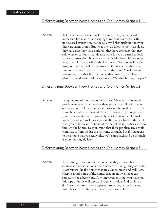#### Differentiating Between New Homes and Old Homes: Script #1

**AGENT:** Tell me about your comfort level. Can you buy a preowned home that has mature landscaping? One that has carpet with undisclosed stains? Because the seller will absolutely not know if there are stains or not. But what they do know is they have dogs, they have cats, they have children, they have company that may spill wine or coffee. If that doesn't work for you we need to look at new construction. Now once carpet is laid down, it's no longer new, but at least you will be the first owner. Your dog will be the first; your toddler will be the first to spill milk across the carpet. But you also won't have the mature landscaping. You'll have to save money to either buy mature landscaping, or you'll have to plant trees and wait until they grow up. Will that be okay for you?

#### Differentiating Between New Homes and Old Homes: Script #2

**AGENT:** I'm going to point out to you what I call "defects" or potential problem areas when we look at these properties. I'll point them out as we go or I'll make notes and we can discuss them later. It's your choice when you would like me to convey my thoughts to you. If the agent's there, I probably won't be as verbal. I'll make notes instead and we'll talk about it after we get back in the car. I want you to know up-front all of the defects that I notice as we go through the homes. Keep in mind that these problem areas could eliminate it from the list the first time through. But if it happens to be a home that you really like, we'll come back and go through it more thoroughly later.

#### Differentiating Between New Homes and Old Homes: Script #3

AGENT: You're going to see houses that look like they've never been cleaned and ones that look brand-new, even though they are older. Most buyers like the homes that are cleaner, nicer, and well-kept. Keep in mind, some of the homes that are not well-kept can sometimes be a better buy. Any improvements that you make on this type of home will directly increase its value. And so, if you don't want to look at those types of properties, let me know up front, because I'll eliminate them from our search.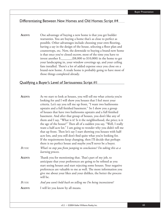#### Differentiating Between New Homes and Old Homes: Script #4

**AGENT:** One advantage of buying a new home is that you get builder warranties. You are buying a home that's as close to perfect as possible. Other advantages include choosing your own flooring, having a say in the design of the house, selecting a floor plan and countertops, etc. Now, the downside to buying a brand-new home is that once you've closed escrow, most of the time you have to invest another  $\frac{\sqrt{88,000}}{2}$  to \$10,000) in the home to get your landscaping in, your window coverings up, and your ceiling fans installed. There's a lot of added expense once you close on a brand-new home. A resale home is probably going to have most of those things completed already.

#### Qualifying a Buyer's Level of Seriousness: Script #1

| AGENT:        | As we start to look at houses, you will tell me what criteria you're  |
|---------------|-----------------------------------------------------------------------|
|               | looking for and I will show you houses that I feel meet your          |
|               | criteria. Let's say you tell me up front, "I want two bathrooms       |
|               | upstairs and a full finished basement." So I show you a group         |
|               | of houses that have two bathrooms upstairs and a full finished        |
|               | basement. And after that group of houses, you don't like any of       |
|               | them and I say, "What is it? Is it the neighborhood, the price; is it |
|               | the age of the house?" Then all of a sudden you say, "Well, I really  |
|               | want a half-acre lot." I am going to wonder why you didn't tell me    |
|               | that up front. Then let's say I start showing you houses with half-   |
|               | acre lots, and you still don't find quite what you're looking for.    |
|               | If the requirements keep changing, then I'll decide that perhaps      |
|               | there is no perfect house and maybe you'll never be a buyer.          |
| <b>BUYER:</b> | What's to stop you from jumping to conclusions? I'm taking this as a  |
|               | learning process.                                                     |
|               |                                                                       |
| <b>AGENT:</b> | Thank you for mentioning that. That's part of my job, to              |
|               | anticipate that your preferences are going to be refined as you       |
|               | start seeing houses and start rejecting some houses. Your negative    |
|               | preferences are valuable to me as well. The more information you      |
|               | give me about your likes and your dislikes, the better the process    |
|               | will be.                                                              |
| <b>BUYER:</b> | And you won't hold back on telling me I'm being inconsistent?         |
| AGENT:        | I will let you know by all means.                                     |
|               |                                                                       |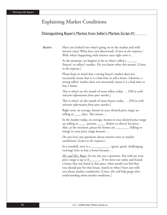# Explaining Market Conditions

# Distinguishing Buyer's Market from Seller's Market: Script #1

| <b>AGENT:</b> | Have you looked into what's going on in the market and with<br>interest rates? What have you discovered? [Listen to the response.]<br>Well, what's happening with interest rates right now is                                                                                                                                                                                        |
|---------------|--------------------------------------------------------------------------------------------------------------------------------------------------------------------------------------------------------------------------------------------------------------------------------------------------------------------------------------------------------------------------------------|
|               | At the moment, we happen to be in what's called a<br>(buyers' or sellers') market. Do you know what this means? [Listen]<br>to the response.]                                                                                                                                                                                                                                        |
|               | Please keep in mind that a strong buyer's market does not<br>necessarily mean that it is a bad time to sell a home. Likewise, a<br>strong sellers' market does not necessarily mean it is a bad time to<br>buy a home.                                                                                                                                                               |
|               | This is what's on the minds of most sellers today  [Fill in with]<br>relevant information from your market.]                                                                                                                                                                                                                                                                         |
|               | This is what's on the minds of most buyers today  [Fill in with]<br>relevant information from your market.]                                                                                                                                                                                                                                                                          |
|               | Right now, on average, homes in your desired price range are<br>selling in _____ days. This means                                                                                                                                                                                                                                                                                    |
|               | In the market today, on average, homes in your desired price range<br>are selling at ______ percent ______ (below or above) list price.<br>Also, at the moment, prices for homes are ________ (falling or<br>rising) in your price range because                                                                                                                                     |
|               | Do you have any questions about interest rates or market<br>conditions? [Listen to the response.]                                                                                                                                                                                                                                                                                    |
|               | In a nutshell, now is a ___________ (great, good, challenging,<br>exciting) time to buy a home because                                                                                                                                                                                                                                                                               |
|               | Mr. and Mrs. Buyer, let me ask you a question. You told me your<br>price range is up to \$________. If we went out today and found<br>a home that was listed at this price, what would you feel that<br>you should pay for that house, based on what I have just told<br>you about market conditions? [Listen, this will help gauge their<br>understanding about market conditions.] |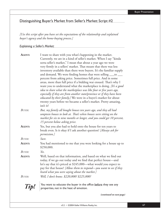### Distinguishing Buyer's Market from Seller's Market: Script #2

*[Use this script after you have set the expectations of the relationship and explained buyer's agency and the home-buying process.]*

*Explaining a Seller's Market:* 

| AGENT:        | I want to share with you what's happening in the market.<br>Currently, we are in a kind of seller's market. When I say "kinda<br>sorta seller's market," I mean that about a year ago we were<br>very firmly in a sellers' market. That meant that there was less<br>inventory available than there were buyers. It's the familiar supply<br>and demand. We were finding homes that were selling ___to _<br>percent from asking price. Sometimes full price. And in some<br>areas, more than full price if a bidding war ensued. That's why I<br>want you to understand what the marketplace is doing. [It's a good<br>idea to share what the marketplace was like four or five years ago,<br>especially if they are from another state/province or if they have been<br><i>educated by their family.]</i> We were in a buyer's market for about<br>twenty years before we became a seller's market. Pretty amazing,<br>isn't it? |
|---------------|-----------------------------------------------------------------------------------------------------------------------------------------------------------------------------------------------------------------------------------------------------------------------------------------------------------------------------------------------------------------------------------------------------------------------------------------------------------------------------------------------------------------------------------------------------------------------------------------------------------------------------------------------------------------------------------------------------------------------------------------------------------------------------------------------------------------------------------------------------------------------------------------------------------------------------------|
| <b>BUYER:</b> | But, my family all bought houses ten years ago, and they all had<br>umpteen houses to look at. That's when houses were sitting on the<br>market for six to nine months or longer, and you could get 10 percent,<br>15 percent below asking price.                                                                                                                                                                                                                                                                                                                                                                                                                                                                                                                                                                                                                                                                                 |
| AGENT:        | Yes, but you also had to hold onto the house for ten years to<br>break even. Is it okay if I ask another question? [Always ask for<br>permission.]                                                                                                                                                                                                                                                                                                                                                                                                                                                                                                                                                                                                                                                                                                                                                                                |
| <b>BUYER:</b> | Sure.                                                                                                                                                                                                                                                                                                                                                                                                                                                                                                                                                                                                                                                                                                                                                                                                                                                                                                                             |
| AGENT:        | You had mentioned to me that you were looking for a house up to<br>\$250,000.                                                                                                                                                                                                                                                                                                                                                                                                                                                                                                                                                                                                                                                                                                                                                                                                                                                     |
| <b>BUYER:</b> | Yes.                                                                                                                                                                                                                                                                                                                                                                                                                                                                                                                                                                                                                                                                                                                                                                                                                                                                                                                              |
| AGENT:        | Well, based on that information, and based on what we find out<br>today, if we go out today and we find that perfect house—and<br>let's say that it's priced at \$245,000—what would you expect to<br>pay for that house? [Allow them to respond—you want to see if they<br>heard what you were saying about the market.]                                                                                                                                                                                                                                                                                                                                                                                                                                                                                                                                                                                                         |
| <b>BUYER:</b> | Well, I don't know. \$220,000? \$225,000?                                                                                                                                                                                                                                                                                                                                                                                                                                                                                                                                                                                                                                                                                                                                                                                                                                                                                         |
|               | March contract the condition to the changes in the conflict leaf and there                                                                                                                                                                                                                                                                                                                                                                                                                                                                                                                                                                                                                                                                                                                                                                                                                                                        |

*Tip!* You want to educate the buyer in the offi ce before they see any properties, not in the heat of emotion.

*(continued on next page)*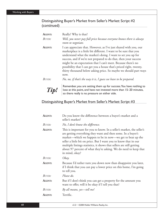## Distinguishing Buyer's Market from Seller's Market: Script #2 (continued)

| AGENT:        | Really? Why is that?                                                                                                                                                                                                                                                                                                                                                                                                                                                                           |
|---------------|------------------------------------------------------------------------------------------------------------------------------------------------------------------------------------------------------------------------------------------------------------------------------------------------------------------------------------------------------------------------------------------------------------------------------------------------------------------------------------------------|
| BUYER:        | Well, you never pay full price because everyone knows there is always<br>room to negotiate.                                                                                                                                                                                                                                                                                                                                                                                                    |
| AGENT:        | I can appreciate that. However, as I've just shared with you, our<br>marketplace is a little bit different. I want to be sure that you<br>understand what the market's doing. I want to set you up for<br>success, and if we're not prepared to do that, then your success<br>might be an expectation that I can't meet. Because there's no<br>possibility that I can get you a house that's priced right, twenty,<br>thirty thousand below asking price. So maybe we should part ways<br>now. |
| <b>BUYER:</b> | No, no, if that's the way it is, I guess we have to be prepared.                                                                                                                                                                                                                                                                                                                                                                                                                               |
| Tip           | Remember, you are setting them up for success. You have nothing to<br>lose at this point, and have not invested more than 15-20 minutes,<br>so there really is no pressure on either side.                                                                                                                                                                                                                                                                                                     |

## Distinguishing Buyer's Market from Seller's Market: Script #3

| <b>AGENT:</b> | Do you know the difference between a buyer's market and a<br>seller's market?                                                                                                                                                                                                                                                                                                                                                         |
|---------------|---------------------------------------------------------------------------------------------------------------------------------------------------------------------------------------------------------------------------------------------------------------------------------------------------------------------------------------------------------------------------------------------------------------------------------------|
| Buyer:        | No, I don't know the difference.                                                                                                                                                                                                                                                                                                                                                                                                      |
| <b>AGENT:</b> | This is important for you to know. In a seller's market, the seller's<br>are getting everything they want and then some. In a buyer's<br>market—which we happen to be in now—we get to beat up the<br>seller a little bit on price. But I want you to know that in our<br>multiple listings statistics, it shows that sellers are still getting<br>about 97 percent of what they're asking. We do need to keep that<br>in mind, okay? |
| <b>BUYER:</b> | Okay.                                                                                                                                                                                                                                                                                                                                                                                                                                 |
| <b>AGENT:</b> | Because I'd rather turn you down now than disappoint you later,<br>if I think that you can pay a lower price on this home, I'm going<br>to tell you.                                                                                                                                                                                                                                                                                  |
| <b>BUYER:</b> | Please do.                                                                                                                                                                                                                                                                                                                                                                                                                            |
| <b>AGENT:</b> | But if I don't think you can get a property for the amount you<br>want to offer, will it be okay if I tell you that?                                                                                                                                                                                                                                                                                                                  |
| <b>BUYER:</b> | By all means, yes-tell me!                                                                                                                                                                                                                                                                                                                                                                                                            |
| <b>AGENT:</b> | Terrific.                                                                                                                                                                                                                                                                                                                                                                                                                             |
|               |                                                                                                                                                                                                                                                                                                                                                                                                                                       |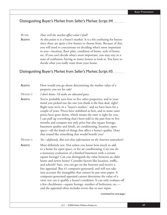#### Distinguishing Buyer's Market from Seller's Market: Script #4

#### *BUYER: How will the market affect what I find?*

**AGENT:** At this point it is a buyer's market. It is a bit confusing for buyers since there are quite a few homes to choose from. Because of this, you will need to concentrate on deciding what's most important to you—location, floor plan, condition of home, style of home, etc. If you can't decide what's most important, you may stay in a state of confusion, having so many homes to look at. You have to decide what you really want from your home.

#### Distinguishing Buyer's Market from Seller's Market: Script #5

| AGENT:    | How would you go about determining the market value of a<br>property you see for sale?                                                                                                                                                                                                                                                                                                                                                                                                                                                                                                                                                                                  |
|-----------|-------------------------------------------------------------------------------------------------------------------------------------------------------------------------------------------------------------------------------------------------------------------------------------------------------------------------------------------------------------------------------------------------------------------------------------------------------------------------------------------------------------------------------------------------------------------------------------------------------------------------------------------------------------------------|
| PROSPECT: | I don't know. I'd make an educated guess.                                                                                                                                                                                                                                                                                                                                                                                                                                                                                                                                                                                                                               |
| AGENT:    | You've probably seen four or five other properties, and in your<br>mind you picked out the one you think is the best deal, right?<br>Right now we're in a "buyer's market," and we have been for a<br>couple of years. Prices have stabilized at best, and in some cases<br>prices have gone down, which means the time is right for you.<br>I can pull up everything that's been sold in the past four or five<br>months and compare not only price but also square footage,<br>basement quality and finish, air conditioning, location, open<br>space—all the kinds of things that affect a home's quality. Does<br>that sound like something that would benefit you? |

*PROSPECT: Yes—definitely. But isn't that information on the Internet somewhere?* 

**AGENT:** Most definitely not. Not unless you know how much to add to a home for open space, or for air conditioning. Can you do a monetary evaluation of a finished basement with a certain square footage? Can you distinguish the value between an older home and newer home? Consider factors like location, traffic, and schools? Sure, you can get on the Internet and receive a free appraisal. But it's computer-generated, and will not take into account the intangibles that cannot be put onto paper. A computer-generated appraisal cannot determine the value of a view, nor can it qualify a home's condition. It can only evaluate off a few checkboxes—square footage, number of bedrooms, etc. and the appraisal often includes errors due to user input.

*(continued on next page)*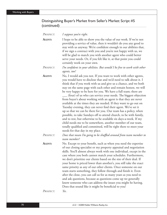## Distinguishing Buyer's Market from Seller's Market: Script #5 (continued)

| PROSPECT: | I suppose you're right.                                                                                                                                                                                                                                                                                                                                                                                                                                                                                                                                                                                                                                                                                                                                                                                                                                                                                                                                                                                           |
|-----------|-------------------------------------------------------------------------------------------------------------------------------------------------------------------------------------------------------------------------------------------------------------------------------------------------------------------------------------------------------------------------------------------------------------------------------------------------------------------------------------------------------------------------------------------------------------------------------------------------------------------------------------------------------------------------------------------------------------------------------------------------------------------------------------------------------------------------------------------------------------------------------------------------------------------------------------------------------------------------------------------------------------------|
| AGENT:    | I hope to be able to show you the value of our work. If we're not<br>providing a service of value, then it wouldn't do you any good to<br>stay with us anyway. We're confident enough in our abilities that,<br>if we sign a contract with you and you're not happy with us, we<br>will be glad to match you with another agent who could better<br>serve your needs. Or, if you felt like it, at that point you could<br>certainly work on your own.                                                                                                                                                                                                                                                                                                                                                                                                                                                                                                                                                             |
| PROSPECT: | I'm confident in your abilities. But would I be free to work with other<br>agents, too?                                                                                                                                                                                                                                                                                                                                                                                                                                                                                                                                                                                                                                                                                                                                                                                                                                                                                                                           |
| AGENT:    | No, I would ask you not. If you want to work with other agents,<br>you would have to disclose that and we'd need to talk about it. I<br>think that if you work with us and give us a chance, and we both<br>stay on the same page with each other and remain honest, we will<br>be very happy to be here for you. We have a full team; there are<br>(four) of us who can service your needs. The biggest objection<br>from buyer's about working with an agent is that they are never<br>available at the times they are needed. If they want to go out on<br>Tuesday evening, they can never find their agent. We've set it<br>up so that we can be there for you. Our team has a policy, when<br>possible, to take Sundays off to attend church, to be with family,<br>and to rest, but otherwise to be available six days-a-week. If my<br>child needs me to be somewhere, another member of our team,<br>totally qualified and committed, will be right there to meet your<br>needs for that day in my place. |
| PROSPECT: | Does that mean I'm going to be shuffled around from team member to<br>team member?                                                                                                                                                                                                                                                                                                                                                                                                                                                                                                                                                                                                                                                                                                                                                                                                                                                                                                                                |
| AGENT:    | No. Except to your benefit, such as when you need the expertise<br>of our closing specialist or my property appraisal and negotiation<br>skills. You'll almost always work with one individual, except in the<br>case where you both cannot match your schedules. Furthermore,<br>we don't prioritize our clients based on the size of their deal. If<br>your home is priced lower than another's, you still take the exact<br>same priority as any of our other clients. Once someone on our<br>team starts something, they follow through and finish it. Even<br>after the close, you can call us for as many years as you need to<br>and ask questions, because as questions come up we generally<br>know someone who can address the issues you might be having.<br>Does that sound like it might be beneficial to you?                                                                                                                                                                                       |
| PROSPECT: | Yes.                                                                                                                                                                                                                                                                                                                                                                                                                                                                                                                                                                                                                                                                                                                                                                                                                                                                                                                                                                                                              |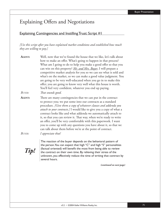# Explaining Offers and Negotiations

## Explaining Contingencies and Instilling Trust: Script #1

*[Use this script after you have explained market conditions and established how much they are willing to pay.]*

| AGENT:<br>BUYER: | Well, now that we've found the house that we like, let's talk about<br>how to make an offer. What's going to happen in that process?<br>What am I going to do to help you make a good offer so that you<br>can win on this property? Mr. and Mrs. Buyer, I will prepare a<br>competitive market analysis for you so we can see what is sold and<br>what's on the market, so we can make a good value judgment. You<br>are going to be very well-educated when you go in to make this<br>offer; you are going to know very well what this house is worth.<br>You'll feel very confident, whatever you end up paying.<br>That sounds good. |
|------------------|------------------------------------------------------------------------------------------------------------------------------------------------------------------------------------------------------------------------------------------------------------------------------------------------------------------------------------------------------------------------------------------------------------------------------------------------------------------------------------------------------------------------------------------------------------------------------------------------------------------------------------------|
|                  |                                                                                                                                                                                                                                                                                                                                                                                                                                                                                                                                                                                                                                          |
| AGENT:           | There are many contingencies that we can put in the contract<br>to protect you; we put some into our contracts as a standard<br>procedure. [Give them a copy of whatever clauses and addenda you<br><i>attach to your contracts.]</i> I would like to give you a copy of what a<br>contract looks like and what addenda we automatically attach to<br>it, so that you can review it. That way, when we're ready to write<br>an offer, you'll be very comfortable with this paperwork. I want<br>you to come up with any questions you have about it, so that we<br>can talk about them before we're at the point of contract.            |
| BUYER:           | I appreciate that!                                                                                                                                                                                                                                                                                                                                                                                                                                                                                                                                                                                                                       |

*Tip!*

The reaction of the buyer depends on the behavioral pattern of the person. You can expect that high "C" and high "S" personalities (factual oriented) will benefit the most from being able to review the contract on their own time. By relieving their stress of the unknown, you effectively reduce the time of writing that contract by several hours.

*(continued on next page)*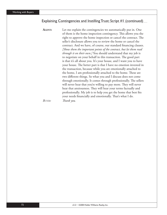#### Explaining Contingencies and Instilling Trust: Script #1 (continued)

**AGENT:** Let me explain the contingencies we automatically put in. One of them is the home inspection contingency. This allows you the right to approve the home inspection or cancel the contract. The seller's disclosure allows you to review the home or cancel the contract. And we have, of course, our standard financing clauses. *[Show them the important points of the contract, but let them read through it on their own.]* You should understand that my job is to negotiate on your behalf in this transaction. The good part is that it's all about you. It's your house, and I want you to have your house. The better part is that I have no emotion invested in the transaction, because while you are emotionally attached to the home, I am professionally attached to the home. These are two different things. So what you and I discuss does not come through emotionally. It comes through professionally. The sellers will never hear that you're willing to pay more. They will never hear that anxiousness. They will hear your terms factually and professionally. My job is to help you get the home that best fits your needs financially and emotionally. That's what I do. *BUYER: Thank you.*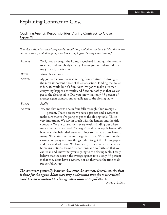# Explaining Contract to Close

## Outlining Agent's Responsibilities During Contract to Close: Script #1

*[Use this script after explaining market conditions, and after you have briefed the buyers*  on the contract, and after going over Discussing Offers: Setting Expectations.]

| AGENT:        | Well, now we've got the home, negotiated it out, got the contract<br>together, and everybody's happy. I want you to understand that<br>my job really starts now.                                                                                                                                                                                                                                                                                                                                                                                                                                                                                                                                                                                                                                                                                                                                                                                                                          |
|---------------|-------------------------------------------------------------------------------------------------------------------------------------------------------------------------------------------------------------------------------------------------------------------------------------------------------------------------------------------------------------------------------------------------------------------------------------------------------------------------------------------------------------------------------------------------------------------------------------------------------------------------------------------------------------------------------------------------------------------------------------------------------------------------------------------------------------------------------------------------------------------------------------------------------------------------------------------------------------------------------------------|
| <b>BUYER:</b> | What do you mean ?                                                                                                                                                                                                                                                                                                                                                                                                                                                                                                                                                                                                                                                                                                                                                                                                                                                                                                                                                                        |
| AGENT:        | My job starts now, because getting from contract to closing is<br>the most important phase of this transaction. Finding the house<br>is fun. It's work, but it's fun. Now I've got to make sure that<br>everything happens correctly and flows smoothly so that we can<br>get to the closing table. Did you know that only 75 percent of<br>average agent transactions actually get to the closing table?                                                                                                                                                                                                                                                                                                                                                                                                                                                                                                                                                                                 |
| <b>BUYER:</b> | Really!                                                                                                                                                                                                                                                                                                                                                                                                                                                                                                                                                                                                                                                                                                                                                                                                                                                                                                                                                                                   |
| AGENT:        | Yes, and that means one in four falls through. Our average is<br>percent. That's because we have a process and a system to<br>make sure that you're going to get to the closing table. This is<br>very important. We stay in touch with the lenders and the title<br>company. We are constantly—every week—finding out where<br>we are and what we need. We negotiate all your repair issues. We<br>handle all the behind-the-scenes things so that you don't have to<br>worry. We make sure the mortgage is correct. We make sure the<br>closing company is doing things right. We get the closing papers<br>and review all of those. We handle any issues that arise between<br>home inspections, termite inspections, and so forth, so that you<br>can relax and know that you're going to the closing table. I truly<br>believe that the reason the average agent's rate is only 75 percent<br>is that they don't have a system, nor do they take the time to do<br>proper follow-up. |

The consumer generally believes that once the contract is written, the deal *is done for the agent. Make sure they understand that the most critical work period is contract to closing, when things can fall apart.*

*-Nikki Ubaldini*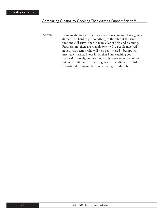### Comparing Closing to Cooking Thanksgiving Dinner: Script #1

**AGENT:** Bringing the transaction to a close is like cooking Thanksgiving dinner—it's hard to get everything to the table at the same time and still serve it hot. It takes a lot of help and planning. Furthermore, there are roughly twenty-five people involved in your transaction who will help get it closed—bumps will inevitably surface. Please know that I am watching your transaction closely, and we can usually take care of the minor things. Just like at Thanksgiving, sometimes dinner is a little late—but don't worry, because we will get to the table.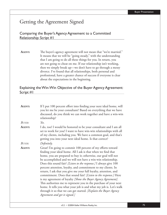# Getting the Agreement Signed

## Comparing the Buyer's Agency Agreement to a Committed Relationship: Script #1

**AGENT:** The buyer's agency agreement will not mean that "we're married." It means that we will be "going steady," with the understanding that I am going to do all these things for you. In return, you are not going to cheat on me. If our relationship isn't working, then we simply break up—we don't have to go through a messy divorce. I've found that all relationships, both personal and professional, have a greater chance of success if everyone is clear about the expectations in the beginning.

## Explaining the Win-Win Objective of the Buyer Agency Agreement: Script #1

| AGENT:        | If I put 100 percent effort into finding your next ideal home, will<br>you let me be your consultant? Based on everything that we have<br>discussed, do you think we can work together and have a win-win<br>relationship?                                                                                                                                                                                                                                                                                                                                                                                                                                                                                                                                                                                                                                 |
|---------------|------------------------------------------------------------------------------------------------------------------------------------------------------------------------------------------------------------------------------------------------------------------------------------------------------------------------------------------------------------------------------------------------------------------------------------------------------------------------------------------------------------------------------------------------------------------------------------------------------------------------------------------------------------------------------------------------------------------------------------------------------------------------------------------------------------------------------------------------------------|
| BUYER:        | Yes.                                                                                                                                                                                                                                                                                                                                                                                                                                                                                                                                                                                                                                                                                                                                                                                                                                                       |
| <b>AGENT:</b> | I do, too! I would be honored to be your consultant and I am all<br>set to work for you! I want to have win-win relationships with all<br>of my clients, including you. We have a common goal, and that's<br>getting you into your next ideal home. Is that correct?                                                                                                                                                                                                                                                                                                                                                                                                                                                                                                                                                                                       |
| <b>BUYER:</b> | Definitely.                                                                                                                                                                                                                                                                                                                                                                                                                                                                                                                                                                                                                                                                                                                                                                                                                                                |
| <b>AGENT:</b> | Great! I'm going to commit 100 percent of my efforts toward<br>finding your ideal home. All I ask is that when we find that<br>home, you are prepared to buy it; otherwise, our goal will not<br>be accomplished and we will not have a win-win relationship.<br>Does this sound fair? [Listen to the response.] I always give 100<br>percent attention, loyalty, and commitment to my clients. In<br>return, I ask that you give me your full loyalty, attention, and<br>commitment. Does that sound fair? [Listen to the response.] Here<br>is my agreement of loyalty [Show the Buyer Agency Agreement].<br>This authorizes me to represent you in the purchase of your next<br>home. It tells you what your job is and what my job is. Let's walk<br>through it so that we can get started. [Explain the Buyer Agency<br>Agreement and get it signed.] |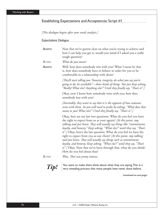## Establishing Expectations and Acceptances: Script #1

*[Th is dialogue begins after your needs analysis.]*

*Expectations Dialogue* 

| <b>AGENT:</b> | Now that we've gotten clear on what you're trying to achieve and<br>how I can help you get it, would you mind if I asked you a really<br>tough question?                                                                                                                                                                                                                                                                                                                                                                                                                                                                                                                                           |
|---------------|----------------------------------------------------------------------------------------------------------------------------------------------------------------------------------------------------------------------------------------------------------------------------------------------------------------------------------------------------------------------------------------------------------------------------------------------------------------------------------------------------------------------------------------------------------------------------------------------------------------------------------------------------------------------------------------------------|
| BUYER:        | What do you mean?                                                                                                                                                                                                                                                                                                                                                                                                                                                                                                                                                                                                                                                                                  |
| <b>AGENT:</b> | Well, how does somebody win with you? What I mean by that<br>is, how does somebody have to behave in order for you to be<br>comfortable in a relationship with them?                                                                                                                                                                                                                                                                                                                                                                                                                                                                                                                               |
|               | [They'll start telling you "honesty, integrity, do what you say you're<br>going to do, be available"—those kinds of things. You just keep asking,<br>"Really? What else? Anything else?" Until they finally say, "That's it".]                                                                                                                                                                                                                                                                                                                                                                                                                                                                     |
|               | Okay, now I know how somebody wins with you; how does<br>somebody lose with you?                                                                                                                                                                                                                                                                                                                                                                                                                                                                                                                                                                                                                   |
|               | [Inevitably, they want to say that it is the opposite of how someone<br>wins with them. So you will need to probe by asking, "What does that<br>mean to you? What else?" Until they finally say, "That's it".]                                                                                                                                                                                                                                                                                                                                                                                                                                                                                     |
|               | Okay, here are my last two questions: What do you feel you have<br>the right to expect from us as your agents? [At this point, stop<br>talking and just listen. They will usually say things like "commitment,<br>loyalty, and honesty." Keep asking, "What else?" until they say, "That's<br>it".] Okay, here's the last question: What do you feel we have the<br>right to expect from you as our client? [At this point, stop talking<br>and just listen. They will usually say things such as commitment,<br>loyalty, and honesty. Keep asking, "What else?" until they say, "That's<br><i>it".]</i> Okay. Now that we've been through that, what do you think?<br>How do you feel about that? |
| <b>BUYER:</b> | Wow. That was pretty intense.                                                                                                                                                                                                                                                                                                                                                                                                                                                                                                                                                                                                                                                                      |
| Tip!          | You want to make them think about what they are saying. This is a<br>very revealing process that many people have never done before.                                                                                                                                                                                                                                                                                                                                                                                                                                                                                                                                                               |
|               | (continued on next page)                                                                                                                                                                                                                                                                                                                                                                                                                                                                                                                                                                                                                                                                           |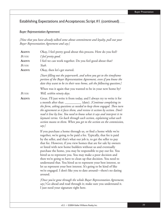## Establishing Expectations and Acceptances: Script #1 (continued)

### *Buyer Representation Agreement*

*[Now that you have already talked some about commitment and loyalty, pull out your Buyer Representation Agreement and say:]* 

| AGENT:        | Okay, I feel pretty good about this process. How do you feel?                                                                                                                                                                                                                                                                                                                                                                                                                                                                                                                                                                                                                                                                                                                                                                                                                                                                                                   |
|---------------|-----------------------------------------------------------------------------------------------------------------------------------------------------------------------------------------------------------------------------------------------------------------------------------------------------------------------------------------------------------------------------------------------------------------------------------------------------------------------------------------------------------------------------------------------------------------------------------------------------------------------------------------------------------------------------------------------------------------------------------------------------------------------------------------------------------------------------------------------------------------------------------------------------------------------------------------------------------------|
| BUYER:        | I feel pretty good.                                                                                                                                                                                                                                                                                                                                                                                                                                                                                                                                                                                                                                                                                                                                                                                                                                                                                                                                             |
| AGENT:        | I feel we can work together. Do you feel good about that?                                                                                                                                                                                                                                                                                                                                                                                                                                                                                                                                                                                                                                                                                                                                                                                                                                                                                                       |
| <b>BUYER:</b> | Yeah.                                                                                                                                                                                                                                                                                                                                                                                                                                                                                                                                                                                                                                                                                                                                                                                                                                                                                                                                                           |
| AGENT:        | Okay, then let's get started.                                                                                                                                                                                                                                                                                                                                                                                                                                                                                                                                                                                                                                                                                                                                                                                                                                                                                                                                   |
|               | [Start filling out the paperwork, and when you get to the timeframe<br>portion of the Buyer Representation Agreement, even if you know the<br>date they want to be in their new home, ask the following question:]                                                                                                                                                                                                                                                                                                                                                                                                                                                                                                                                                                                                                                                                                                                                              |
| <b>BUYER:</b> | When was it again that you wanted to be in your new home by?<br>Well, within ninety days.                                                                                                                                                                                                                                                                                                                                                                                                                                                                                                                                                                                                                                                                                                                                                                                                                                                                       |
| AGENT:        | Great. I'll just write it from today, and I always try to write it for<br>(date). [Continue completing in<br>a month after that:<br>the form, asking questions as needed to keep them engaged. Then turn<br>the agreement so it faces them, and review it section by section. Don't<br>read it line by line. You need to know what it says and interpret it in<br>layman's terms. Go back through each section, explaining what each<br>section means to them. When you get to the section on the commission,<br>say:]                                                                                                                                                                                                                                                                                                                                                                                                                                          |
|               | If you purchase a home through us, or find a home while we're<br>together, we're going to be paid a fee. Typically, that fee is paid<br>by the seller, and that's what our job is, to get the seller to pay<br>that fee. However, if you view homes that are for sale by owners<br>or listed with new home builders without us and eventually<br>purchase the home, you may be responsible to pay our fee. You<br>hired us to represent you. You may make a poor decision and<br>then we're going to have to clean up that decision. You need to<br>understand that. You hired us to represent your best interest, so<br>let us represent your best interest. It's going to be kind of like<br>we're engaged. I don't like you to date around-there's no dating<br>around.<br>[Once you've gone through the whole Buyer Representation Agreement,<br>say:] Go ahead and read through it; make sure you understand it.<br>I just need your signature right here. |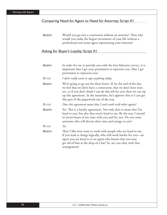## Comparing Need for Agent to Need for Attorney: Script #1

**AGENT:** Would you go into a courtroom without an attorney? Then why would you make the largest investment of your life without a professional real estate agent representing your interests?

## Asking for Buyer's Loyalty: Script #1

| AGENT:        | In order for me to provide you with the best fiduciary service, it is<br>important that I get your permission to represent you. May I get<br>permission to represent you?                                                                                                                                                            |
|---------------|--------------------------------------------------------------------------------------------------------------------------------------------------------------------------------------------------------------------------------------------------------------------------------------------------------------------------------------|
| <b>BUYER:</b> | I don't really want to sign anything today.                                                                                                                                                                                                                                                                                          |
| <b>AGENT:</b> | We're going to go out for three hours. If, by the end of the day,<br>we feel that we don't have a connection, that we don't have trust<br>yet, or if you don't think I can do this job for you, then we can rip<br>up this agreement. In the meantime, let's approve this so I can get<br>this part of the paperwork out of the way. |
| BUYER:        | Does this agreement mean that I can't work with other agents?                                                                                                                                                                                                                                                                        |
| <b>AGENT:</b> | Yes. This is a loyalty agreement. Not only does it mean that I'm<br>loyal to you, but also that you're loyal to me. By the way, I intend<br>to invest hours of my time with you and for you. Do you want<br>someone who will devote their time and energy to you?                                                                    |
| BUYER:        | Yes.                                                                                                                                                                                                                                                                                                                                 |
| AGENT:        | Then I like-wise want to work with people who are loyal to me.<br>If you look at things logically, who will work harder for you-an<br>agent you are loyal to or an agent who knows that you may<br>get rid of him at the drop of a hat? So, are you okay with that<br>arrangement?                                                   |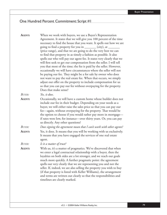# One Hundred Percent Commitment: Script #1

| When we work with buyers, we use a Buyer's Representation<br>Agreement. It states that we will give you 100 percent of the time<br>necessary to find the house that you want. It spells out how we are<br>going to find a property for you in ________ (city), at ________<br>(price range), and that we are going to do the very best we can<br>to find that property in as timely a fashion as possible. It also<br>spells out who will pay our agent fee. It states very clearly that we<br>will first seek to get our compensation from the seller. I will tell<br>you that most of the time; the fee is paid by the seller. However,<br>occasionally we will have circumstances where the seller will not<br>be paying our fee. They might be a for sale by owner who does<br>not want to pay the real estate fee. When that occurs, we simply<br>adjust our offer on the property to include compensation for us<br>so that you can pay our fee without overpaying for the property.<br>Does that make sense? |
|---------------------------------------------------------------------------------------------------------------------------------------------------------------------------------------------------------------------------------------------------------------------------------------------------------------------------------------------------------------------------------------------------------------------------------------------------------------------------------------------------------------------------------------------------------------------------------------------------------------------------------------------------------------------------------------------------------------------------------------------------------------------------------------------------------------------------------------------------------------------------------------------------------------------------------------------------------------------------------------------------------------------|
| Yes, it does.                                                                                                                                                                                                                                                                                                                                                                                                                                                                                                                                                                                                                                                                                                                                                                                                                                                                                                                                                                                                       |
| Occasionally, we will have a custom home whose builder does not<br>include our fee in their budget. Depending on your needs as a<br>buyer, we will either raise the sales price so that you can pay our<br>fee-again, without overpaying for the property. That would be<br>the option to choose if you would rather pay more in mortgage-<br>if rates were low, for instance—over thirty years. Or, you can pay<br>us directly. Any other questions?                                                                                                                                                                                                                                                                                                                                                                                                                                                                                                                                                               |
| Does signing the agreement mean that I can't work with other agents?                                                                                                                                                                                                                                                                                                                                                                                                                                                                                                                                                                                                                                                                                                                                                                                                                                                                                                                                                |
| Yes, it does. It means that you will be working with us exclusively.<br>It means that you have engaged the services of one real estate<br>agent.                                                                                                                                                                                                                                                                                                                                                                                                                                                                                                                                                                                                                                                                                                                                                                                                                                                                    |
| Is it a matter of trust?                                                                                                                                                                                                                                                                                                                                                                                                                                                                                                                                                                                                                                                                                                                                                                                                                                                                                                                                                                                            |
| With us, it's a matter of pragmatics. We've discovered that when<br>we enter a legal contractual relationship with a buyer, then the<br>loyalties on both sides are a lot stronger, and we reach our goals<br>much more quickly. A further pragmatic point: the agreement<br>spells out very clearly that we are representing you and not the<br>seller. If, indeed, we are also selling the property you wish to buy<br>(if that property is listed with Keller Williams), the arrangement<br>and terms are written out clearly so that the responsibilities and<br>timelines are clearly marked.                                                                                                                                                                                                                                                                                                                                                                                                                  |
|                                                                                                                                                                                                                                                                                                                                                                                                                                                                                                                                                                                                                                                                                                                                                                                                                                                                                                                                                                                                                     |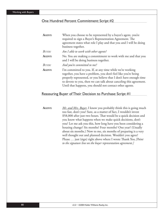#### One Hundred Percent Commitment: Script #2

| AGENT:        | When you choose to be represented by a buyer's agent, you're                                                                                                                                                                                                            |
|---------------|-------------------------------------------------------------------------------------------------------------------------------------------------------------------------------------------------------------------------------------------------------------------------|
|               | required to sign a Buyer's Representation Agreement. The                                                                                                                                                                                                                |
|               | agreement states what role I play and that you and I will be doing                                                                                                                                                                                                      |
|               | business together.                                                                                                                                                                                                                                                      |
| <b>BUYER:</b> | Am I able to work with other agents?                                                                                                                                                                                                                                    |
| AGENT:        | No. You are making a commitment to work with me and that you<br>and I will be doing business together.                                                                                                                                                                  |
| <b>BUYER:</b> | And you're committed to me?                                                                                                                                                                                                                                             |
| AGENT:        | I'm committed to you. If, at any time while we're working<br>together, you have a problem, you don't feel like you're being<br>properly represented, or you believe that I don't have enough time<br>to devote to you, then we can talk about canceling this agreement. |
|               | Until that happens, you should not contact other agents.                                                                                                                                                                                                                |

#### Reassuring Buyer of Their Decision to Purchase: Script #1

**AGENT:** *Mr. and Mrs. Buyer*, I know you probably think this is going much too fast, don't you? Sure, as a matter of fact, I wouldn't invest \$58,000 after just two hours. That would be a quick decision and you know what happens when we make quick decisions, don't you? Let me ask you this, how long have you been considering a housing change? Six months? Four months? One year? (Usually about six months.) Now to me, six months of preparing is a very well thought out and planned decision. Wouldn't you agree? Please ... just (sign) right above where I wrote Thank You *[Point to the signature line on the buyer representation agreement.]*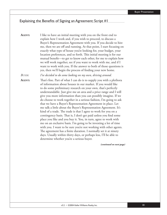#### Explaining the Benefits of Signing an Agreement: Script  $#I$

**AGENT:** I like to have an initial meeting with you on the front end to explain how I work and, if you wish to proceed, to discuss a Buyer's Representation Agreement with you. If you decide to hire me, then we are off and running. At that point, I start focusing on exactly what type of house you're looking for, your budget, your location preferences, and so forth. This initial meeting is for our mutual benefit—to get to know each other, for me to explain how we will work together, see if you want to work with me, and if I want to work with you. If the answer to both of those questions is yes, then we'll begin the process of finding your new home. *BUYER: I've decided to do some looking on my own, driving around.* **AGENT:** That's fine. Part of what I can do is to supply you with a plethora

of information about houses in our market. If you would like to do some preliminary research on your own, that's perfectly understandable. Just give me an area and a price range and I will give you more information than you can possibly imagine. If we do choose to work together in a serious fashion, I'm going to ask that we have a Buyer's Representation Agreement in place. Let me talk a little about the Buyer's Representation Agreement. It's kind of a trade. The trade is that I agree to work for you on a contingency basis. That is, I don't get paid unless you find some place you like and you buy it. You, in turn, agree to work with me on an exclusive basis. I'm going to be investing a lot of time with you. I want to be sure you're not working with other agents. The agreement has a finite duration. I normally set it at ninety days. Usually within thirty days, or perhaps less, I'll be able to determine whether you're a serious buyer.

*(continued on next page)*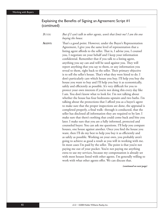### Explaining the Benefits of Signing an Agreement: Script  $#I$ (continued)

*BUYER: But if I can't talk to other agents, won't that limit me? I am the one buying the house.* AGENT: That's a good point. However, under the Buyer's Representation Agreement, I give you the same level of representation that a listing agent affords to the seller. That is, I advise you, I counsel you, I negotiate on your behalf and I keep your information confidential. Remember that if you talk to a listing agent, anything you say can and will be used against you. They will report anything that you say to them, or any information you reveal to them, right back to the seller. Their primary objective is to sell the seller's house. That's what they were hired to do. I don't particularly care which house you buy. I'll help you buy the house you want to buy and I'll help you buy it as economically, safely and efficiently as possible. It's very difficult for you to protect your own interests if you're not doing this every day like I am. You don't know what to look for. I'm not talking about whether the house has four bedrooms upstairs and two baths. I'm talking about the protections that I afford you as a buyer's agent to make sure that the proper inspections are done, the appraisal is completed properly, a final walk- through is conducted, that the seller has disclosed all information they are required to by law. I make sure that there's nothing that could come back and bite you later. I make sure that you are a fully informed, protected and counseled buyer. You can ask me questions. I'll help you compare houses, one house against another. Once you find the house you want, then I'll do my best to help you buy it as efficiently and as safely as possible. Working on your own, you probably aren't going to achieve as good a result as you will in working with me. In most cases I'm paid by the seller. The point is that you're not paying me out of your pocket. You're not paying me anything extra to use my services, because my compensation is already set with most houses listed with other agents. I'm generally willing to work with what other agents offer. We can discuss that.

*(continued on next page)*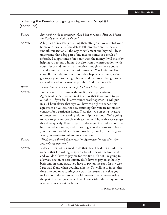## Explaining the Benefits of Signing an Agreement: Script  $\#I$ (continued)

| <b>BUYER:</b> | But you'll get the commission when I buy the house. How do I know<br>you'll take care of all the details?                                                                                                                                                                                                                                                                                                                                                                                                                                                                                                                                                                                                                                                                                                    |
|---------------|--------------------------------------------------------------------------------------------------------------------------------------------------------------------------------------------------------------------------------------------------------------------------------------------------------------------------------------------------------------------------------------------------------------------------------------------------------------------------------------------------------------------------------------------------------------------------------------------------------------------------------------------------------------------------------------------------------------------------------------------------------------------------------------------------------------|
| AGENT:        | A big part of my job is ensuring that, after you have selected your<br>home of choice, all of the details fall into place and we have a<br>smooth transaction all the way to settlement and beyond. Please<br>understand that a big part of my income comes as a result of<br>referrals. I support myself not only with the money I will make by<br>helping you to buy a home, but also from the introductions with<br>your friends and family that I receive through you once you're<br>a wildly enthusiastic and ecstatic customer. You'll refer me like<br>crazy. But in order to bring about that happy occurrence, we've<br>got to get you into the right house, and the process has got to be<br>as painless and as pleasant as possible. And that's my job.                                           |
| BUYER:        | I guess if we have a relationship, I'll learn to trust you.                                                                                                                                                                                                                                                                                                                                                                                                                                                                                                                                                                                                                                                                                                                                                  |
| AGENT:        | I understand. The thing with our Buyer's Representation<br>Agreement is that I structure it in a way that if you want to get<br>out of it-if you feel like we cannot work together-I will put<br>in a 24-hour clause that says you have the right to cancel this<br>agreement on 24-hour notice, assuming that you are not under<br>contract for a particular house. That gives you an extra measure<br>of protection. It's a learning relationship for us both. We're going<br>to have to get comfortable with each other. I hope that we can get<br>that done quickly. If we do get that done quickly, and you start to<br>have confidence in me, and I start to get good information from<br>you, then we should be able to move fairly quickly to getting you<br>what you want—to put you in a new home. |
| <b>BUYER:</b> | What's in the Buyer's Representation Agreement for me? How does<br>that help me trust you?                                                                                                                                                                                                                                                                                                                                                                                                                                                                                                                                                                                                                                                                                                                   |
| <b>AGENT:</b> | It doesn't. It's not designed to do that. Like I said, it's a trade. The<br>trade is that I'm willing to spend a lot of time on the front end<br>and you don't have to pay me for this time. It's not like going to<br>a lawyer, doctor, or accountant. You'd have to pay on an hourly<br>basis and, in some cases, you have to pay on the spot. In my case,<br>I get paid if and when you find a home. I'm willing to invest this<br>time into you on a contingency basis. In return, I ask that you<br>make a commitment to work with me—and only me—during<br>the period of the agreement. I will know within thirty days or less<br>whether you're a serious buyer.                                                                                                                                      |
|               | (continued on next page)                                                                                                                                                                                                                                                                                                                                                                                                                                                                                                                                                                                                                                                                                                                                                                                     |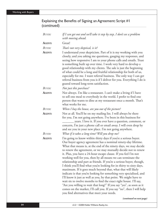## Explaining the Benefits of Signing an Agreement: Script  $\#I$ (continued)

| <b>BUYER:</b> | If I can get out and we'll take it step by step, I don't see a problem<br>with moving ahead.                                                                                                                                                                                                                                                                                                                                                                                                                                                                                                                                                                                                                                                                                                                                                                                                                                                                                                                                               |
|---------------|--------------------------------------------------------------------------------------------------------------------------------------------------------------------------------------------------------------------------------------------------------------------------------------------------------------------------------------------------------------------------------------------------------------------------------------------------------------------------------------------------------------------------------------------------------------------------------------------------------------------------------------------------------------------------------------------------------------------------------------------------------------------------------------------------------------------------------------------------------------------------------------------------------------------------------------------------------------------------------------------------------------------------------------------|
| <b>AGENT:</b> | Great!                                                                                                                                                                                                                                                                                                                                                                                                                                                                                                                                                                                                                                                                                                                                                                                                                                                                                                                                                                                                                                     |
| <b>BUYER:</b> | That's not very skeptical, is it?                                                                                                                                                                                                                                                                                                                                                                                                                                                                                                                                                                                                                                                                                                                                                                                                                                                                                                                                                                                                          |
| AGENT:        | I understand your skepticism. Part of it is my working with you<br>closely, and you asking me questions, gauging my responses, and<br>seeing how responsive I am to your phone calls and emails. Trust<br>is something built up over time. I work very hard to develop a<br>good relationship with my clients. The sale is just the beginning<br>of what could be a long and fruitful relationship for both of us,<br>especially for me. I want referral business. The only way I can get<br>referral business from you is if I deliver for you. Everything I do is<br>geared toward long-term satisfaction.                                                                                                                                                                                                                                                                                                                                                                                                                               |
| BUYER:        | Not just this purchase?                                                                                                                                                                                                                                                                                                                                                                                                                                                                                                                                                                                                                                                                                                                                                                                                                                                                                                                                                                                                                    |
| AGENT:        | Not always. I'm like a restaurant. I can't make a living if I have<br>to sell one meal to everybody in the world. I prefer to find one<br>person that wants to dine at my restaurant once a month. That's<br>what works for me.                                                                                                                                                                                                                                                                                                                                                                                                                                                                                                                                                                                                                                                                                                                                                                                                            |
| <b>BUYER:</b> | When I buy the house, are you out of the picture?                                                                                                                                                                                                                                                                                                                                                                                                                                                                                                                                                                                                                                                                                                                                                                                                                                                                                                                                                                                          |
| AGENT:        | Not at all. You'll be on my mailing list. I will always be there<br>for you. I'm not going anywhere. I've been in this business for<br>years. I love it. If you ever have a question, comment, or<br>concern, I'm just a phone call or email away. I will even drop by<br>and see you in your new place. I'm not going anywhere.                                                                                                                                                                                                                                                                                                                                                                                                                                                                                                                                                                                                                                                                                                           |
| <b>BUYER:</b> | What if it takes a long time? Will you drop me?                                                                                                                                                                                                                                                                                                                                                                                                                                                                                                                                                                                                                                                                                                                                                                                                                                                                                                                                                                                            |
| AGENT:        | I'm going to know within thirty days if you're a serious buyer.<br>Our buyer agency agreement has a nominal ninety-day lifetime.<br>What that means is, at the end of the ninety days, we may decide<br>to renew the agreement, or we may mutually decide not to renew<br>it. Plus, you have a 24-hour escape clause. If you feel I'm not<br>working well for you, then by all means we can terminate the<br>relationship and part as friends. If you're a serious buyer, though,<br>I think you'll find what you're looking for in thirty to sixty days,<br>maximum. If it goes much beyond that, what that will likely<br>indicate is that you're looking for something very specialized, and<br>I'll know it just as well as you, by that point. We might have to<br>wait six to twelve months to find the exact right house. I'll say,<br>"Are you willing to wait that long?" If you say "yes", as soon as it<br>comes on the market, I'll call you. If you say "no", then I will help<br>you find alternatives that meet your needs. |

 *(continued on next page)*

84 v3.2 • ©2004 Keller Williams Realty, Inc.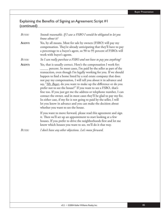## Explaining the Benefits of Signing an Agreement: Script  $\#I$ (continued)

| <b>BUYER:</b> | Sounds reasonable. If I saw a FSBO I would be obligated to let you<br>know about it?                                                                                                                                                                                                                                                                                                                                                                                                                                                                                                                                                                                                                                                                                                                              |
|---------------|-------------------------------------------------------------------------------------------------------------------------------------------------------------------------------------------------------------------------------------------------------------------------------------------------------------------------------------------------------------------------------------------------------------------------------------------------------------------------------------------------------------------------------------------------------------------------------------------------------------------------------------------------------------------------------------------------------------------------------------------------------------------------------------------------------------------|
| AGENT:        | Yes, by all means. Most for sale by owners (FSBO) will pay my<br>compensation. They're already anticipating that they'll have to pay<br>a percentage to a buyer's agent, so 90 to 95 percent of FSBOs will<br>work with buyer's agents.                                                                                                                                                                                                                                                                                                                                                                                                                                                                                                                                                                           |
| <b>BUYER:</b> | So I can really purchase a FSBO and not have to pay you anything?                                                                                                                                                                                                                                                                                                                                                                                                                                                                                                                                                                                                                                                                                                                                                 |
| AGENT:        | Yes, that is usually correct. Here's the compensation I work for:<br>percent. In most cases, I'm paid by the seller as part of the<br>transaction, even though I'm legally working for you. If we should<br>happen to find a home listed by a real estate company that does<br>not pay my compensation, I will tell you about it in advance and<br>say, "Mr. Buyer, do you want to make up the difference or do you<br>prefer not to see the house?" If you want to see a FSBO, that's<br>fine too. If you just get me the address or telephone number, I can<br>contact the owner, and in most cases they'll be glad to pay my fee.<br>In either case, if my fee is not going to paid by the seller, I will<br>let you know in advance and you can make the decision about<br>whether you want to see the house. |
|               | If you want to move forward, please read this agreement and sign<br>it. Then we'll set up an appointment to start looking at a few<br>houses. If you prefer to drive the neighborhoods first and let me<br>know which houses you want to see, we'll do it that way.                                                                                                                                                                                                                                                                                                                                                                                                                                                                                                                                               |
|               | T <i>I I I I</i> <b>I I I I I I I</b>                                                                                                                                                                                                                                                                                                                                                                                                                                                                                                                                                                                                                                                                                                                                                                             |

*BUYER: I don't have any other objections. Let's move forward.*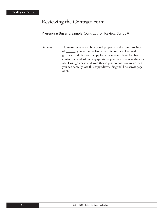# Reviewing the Contract Form

### Presenting Buyer a Sample Contract for Review: Script #1

**AGENT:** No matter where you buy or sell property in the state/province of \_\_\_\_\_\_, you will most likely use this contract. I wanted to go ahead and give you a copy for your review. Please feel free to contact me and ask me any questions you may have regarding its use. I will go ahead and void this so you do not have to worry if you accidentally lose this copy (draw a diagonal line across page one).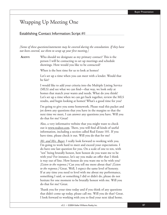# Wrapping Up Meeting One

#### Establishing Contact Information: Script #1

*[Some of these questions/statements may be covered during the consultation. If they have*  not been covered, use them to wrap up your first meeting.]

**AGENT:** Who should we designate as my primary contact? This is the person I will be contacting to set up meetings and schedule showings. How would you like to be contacted?

When is the best time for us to look at homes?

Let's set up a time when you can meet with a lender. Would that be fair?

I would like to add your criteria into the Multiple Listing Service (MLS) and see what we can find—that way, we look only at homes that match your wants and needs. What do you think? Let's set up a time when we can get back together, review the MLS results, and begin looking at homes! What's a good time for you?

I'm going to give you some homework. Please read this packet and jot down any questions that you have in the margins so that the next time we meet, I can answer any questions you have. Will you do that for me? Great!

Also, a very informative website that you might want to check out is www.realtor.com. There, you will find all kinds of useful information, including a section called Real Estate 101. If you have time, please check it out. Will you do that for me?

*Mr. and Mrs. Buyer*, I really look forward to working with you. I'm going to work hard to meet and exceed your expectations. I do have one last question for you. On a scale of one to ten, with "ten" being brutally honest, how honest do you want me to be with you? For instance, let's say you make an offer that I think is way out of line. How honest do you want me to be with you? *[Listen to the response.]* Can you tell me more about that? *[Listen to the response.]* Great. Well, I expect the same level of honesty. If at any time you need to level with me about my performance, something I said, or something I did or didn't do, please do not hesitate for one moment to be brutally honest with me. Will you do that for me? Great.

Thank you for your time today and if you think of any questions that didn't come up today, please call me. Will you do that? Great. I look forward to working with you to find your next ideal home.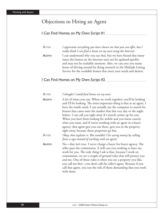# Objections to Hiring an Agent

#### I Can Find Homes on My Own: Script #1

*BUYER: I appreciate everything you have shown me that you can offer, but I* really think I can find a home on my own using the Internet. **AGENT:** I can understand why you say that, but we have found that many times the homes on the Internet may not be updated quickly and may not be available anymore. Also, we can save you many hours of driving around by doing research in the Multiple Listing Service for the available homes that meet your needs and desires.

### I Can Find Homes on My Own: Script #2

| Buyer:        | I thought I could find homes on my own.                                                                                                                                                                                                                                                                                                                                                                                                                                                                                                                                                                   |
|---------------|-----------------------------------------------------------------------------------------------------------------------------------------------------------------------------------------------------------------------------------------------------------------------------------------------------------------------------------------------------------------------------------------------------------------------------------------------------------------------------------------------------------------------------------------------------------------------------------------------------------|
| <b>AGENT:</b> | A lot of times you can. When we work together; you'll be looking<br>and I'll be looking. The most important thing is that as an agent, I<br>have the inside track: I can actually use the computer to search for<br>houses that came onto the market that this very day or the night<br>before. I can call you right away if a match comes up for you.<br>When you have been looking for awhile and you know exactly<br>what you want, and if you're working with an agent in a buyer<br>agency, that agent gets you out there, gets you in the property<br>right away, because those properties go fast. |
| Buyer:        | Okay, that explains it. But wouldn't I be saving money by calling<br>from a sign instead of working with an agent?                                                                                                                                                                                                                                                                                                                                                                                                                                                                                        |
| <b>AGENT:</b> | No-that isn't true. I never charge a buyer for buyer agency. The<br>seller pays the commission. It will cost you nothing to have me<br>work for you. The only thing I ask is that, because I work on<br>commission, we set a couple of ground rules that will protect you<br>and me. One of those rules is when you see a property you like,<br>you call me first—you don't call the seller's agent. Because if you<br>call that agent, you run the risk of them demanding that you work<br>with them.                                                                                                    |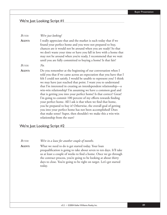### We're Just Looking: Script #1

*BUYER: We're just looking!*

**AGENT:** I really appreciate that and the market is such today that if we found your perfect home and you were not prepared to buy, chances are it would not be around when you are ready! So that we don't waste your time or have you fall in love with a home that may not be around when you're ready, I recommend that we wait until you are fully committed to buying a home! Is that fair?

*BUYER: No.*

**AGENT:** Do you remember at the beginning of our conversation when I told you that if we came across an expectation that you have that I felt I could not satisfy, I would be unable to represent you? I think we may have just reached that point. I want you to understand that I'm interested in creating an interdependent relationship—a win-win relationship! I'm assuming we have a common goal and that is getting you into your perfect home! Is that correct? Great! I'm going to commit 100 percent of my efforts towards finding your perfect home. All I ask is that when we find that home, you be prepared to buy it! Otherwise, the overall goal of getting you into your perfect home has not been accomplished! Does that make sense? Super, then shouldn't we make this a win-win relationship from the start?

### We're Just Looking: Script #2

*BUYER: We're in a lease for another couple of months.*

**AGENT:** What we need to do is get started today. Your loan prequalification is going to take about seven to ten days. It'll take us at least a couple of weeks to find a home. Once we go through the contract process, you're going to be looking at about thirty days to close. You're going to be right on target. Let's get started today.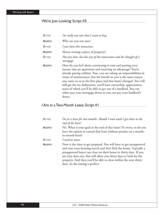## We're Just Looking: Script #3

| <b>BUYER:</b> | I'm really not sure that I want to buy.                                                                                                                                                                                                                                                                                                                                                                                                                                                                                                                     |
|---------------|-------------------------------------------------------------------------------------------------------------------------------------------------------------------------------------------------------------------------------------------------------------------------------------------------------------------------------------------------------------------------------------------------------------------------------------------------------------------------------------------------------------------------------------------------------------|
| <b>AGENT:</b> | Why are you not sure?                                                                                                                                                                                                                                                                                                                                                                                                                                                                                                                                       |
| Buyer:        | I just have this uneasiness.                                                                                                                                                                                                                                                                                                                                                                                                                                                                                                                                |
| <b>AGENT:</b> | About owning a piece of property?                                                                                                                                                                                                                                                                                                                                                                                                                                                                                                                           |
| Buyer:        | Not just that, but the size of the transaction and the thought of a<br>mortgage.                                                                                                                                                                                                                                                                                                                                                                                                                                                                            |
| <b>AGENT:</b> | How do you feel about continuing to rent and putting your<br>money into an apartment and receiving no advantage? You're<br>already paying utilities. True, you are taking on responsibilities in<br>terms of maintenance, but the benefit to you is the same reason<br>you came to us in the first place and that hasn't changed. You will<br>still get the tax deductions, you'll have ownership, appreciation,<br>none of which you'll be able to get out of a landlord. You can<br>either pay your mortgage down or you can pay your landlord's<br>down. |

## I Am in a Two-Month Lease: Script #1

| <b>BUYER:</b> | I'm in a lease for two months. Should I wait until I get closer to the<br>end of the lease?                                                                                                                                                                                                                                                                                                |
|---------------|--------------------------------------------------------------------------------------------------------------------------------------------------------------------------------------------------------------------------------------------------------------------------------------------------------------------------------------------------------------------------------------------|
| <b>AGENT:</b> | No. What is your goal at the end of that lease? To move, or do you<br>have the option to extend that lease without penalty on a month-<br>to-month basis?                                                                                                                                                                                                                                  |
| Buyer:        | I need to move.                                                                                                                                                                                                                                                                                                                                                                            |
| <b>AGENT:</b> | Now is the time to get prepared. You will have to get preapproved<br>and start your housing search and then find the house. Typically a<br>preapproved buyer can close on their home in thirty days. If you<br>are sixty days out, that will allow you thirty days to look for the<br>property. And then you'll be able to close within the next thirty<br>days. So the timing is perfect. |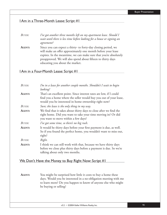## I Am in a Three-Month Lease: Script #1

*BUYER: I've got another three months left on my apartment lease. Should I wait until there is less time before looking for a house or signing an agreement?* **AGENT:** Since you can expect a thirty- to forty-day closing period, we will make an offer approximately one month before your lease expires. In the meantime, we can make sure that you're absolutely

educating you about the market.

preapproved. We will also spend about fifteen to thirty days

## I Am in a Four-Month Lease: Script #1

| BUYER:        | I'm in a lease for another couple months. Shouldn't I wait to begin<br>looking?                                                                                                                  |
|---------------|--------------------------------------------------------------------------------------------------------------------------------------------------------------------------------------------------|
| <b>AGENT:</b> | That's an excellent point. Since interest rates are low, if I could<br>find you a home where the seller would buy you out of your lease,<br>would you be interested in home ownership right now? |
| <b>BUYER:</b> | Sure; the lease is the only thing in my way.                                                                                                                                                     |
| <b>AGENT:</b> | We find that it takes about thirty days to close after we find the<br>right home. Did you want to take your time moving in? Or did<br>you want to move within a few days?                        |
| BUYER:        | I've got some time, so there's no big rush.                                                                                                                                                      |
| <b>AGENT:</b> | It would be thirty days before your first payment is due, as well.<br>So if you found the perfect home, you wouldn't want to miss out,<br>right?                                                 |
| BUYER:        | Right.                                                                                                                                                                                           |
| <b>AGENT:</b> | I think we can still work with that, because we have thirty days<br>before we close plus thirty days before a payment is due. So we're<br>talking about only two months.                         |

### We Don't Have the Money to Buy Right Now: Script #1

**AGENT:** You might be surprised how little it costs to buy a home these days. Would you be interested in a no-obligation meeting with me to learn more? Do you happen to know of anyone else who might be buying or selling?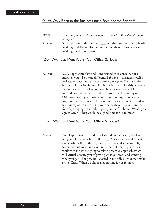### You've Only Been in the Business for a Few Months: Script #1

| $\mathit{BUY}\!\mathit{ER}\!$ : | You've only been in the business for ____ months. Why should I work |
|---------------------------------|---------------------------------------------------------------------|
|                                 | with you?                                                           |
| Agent:                          | Sure I've been in this business months, but I am smart, hard-       |
|                                 | working, and I've received more training than the average agent     |
|                                 | working for the competition.                                        |

### I Don't Want to Meet You in Your Office: Script #1

**AGENT:** Well, I appreciate that and I understand your concern, but I must tell you—I operate differently! You see, I consider myself a real estate consultant and not a real estate agent. I'm not in the business of showing houses. I'm in the business of satisfying needs. Before I can satisfy what you need in your next home, I first must identify those needs, and that process is done in my office. Otherwise, we're just wasting your time looking at homes that may not meet your needs. It makes more sense to me to spend an hour in my office uncovering your needs than to spend three or four days hoping we stumble upon your perfect home. Would you agree? Great! When would be a good time for us to meet?

### I Don't Want to Meet You in Your Office: Script #2

**AGENT:** Well I appreciate that and I understand your concern, but I must tell you—I operate a little differently! You see I'm not like most agents who will just throw you into the car and show you fifty homes hoping we stumble upon the perfect one. If you choose to work with me we are going to take a proactive approach which will virtually assure you of getting what you want and wanting what you get. That process is started in my office. Does that make sense? Great! When would be a good time for us to meet?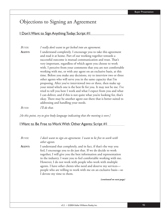## Objections to Signing an Agreement

I Don't Want to Sign Anything Today: Script #1

*BUYER: I really don't want to get locked into an agreement.*

**AGENT:** I understand completely. I encourage you to take this agreement and read it at home. Part of our working together towards a successful outcome is mutual communication and trust. That's very important, regardless of which agent you choose to work with. I perceive from your comments that you are not comfortable working with me, or with any agent on an exclusive basis, at this time. Before you make any decisions, try to interview two or three other agents who will serve you in the same capacity that I'm proposing. After you've interviewed two or three, then make up your mind which one is the best fit for you. It may not be me. I've tried to tell you how I work and what I expect from you and what I can deliver, and if this is not quite what you're looking for, that's okay. There may be another agent out there that is better suited to addressing and handling your needs.

*BUYER: I'll do that.*

*[At this point, try to give body language indicating that the meeting is over.]* 

## I Want to Be Free to Work With Other Agents: Script #1

*BUYER: I don't want to sign an agreement. I want to be free to work with other agents.*  **AGENT:** I understand that completely, and in fact, if that's the way you feel, I encourage you to do just that. If we do decide to work together, I will give you the best information and representation in the industry. I want you to feel comfortable working with me. However, I do not work with people who work with multiple agents. I have other clients who need and deserve my services people who are willing to work with me on an exclusive basis—so I devote my time to them.

*(continued on next page)*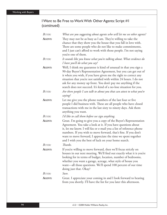## I Want to Be Free to Work With Other Agents: Script #1 (continued)

| BUYER:        | What are you suggesting about agents who will let me see other agents?                                                                                                                                                                                                                                                                                                                                             |
|---------------|--------------------------------------------------------------------------------------------------------------------------------------------------------------------------------------------------------------------------------------------------------------------------------------------------------------------------------------------------------------------------------------------------------------------|
| AGENT:        | They may not be as busy as I am. They're willing to take the<br>chance that they show you the house that you fall in love with.<br>There are some people who do not like to make commitments,<br>and I just can't afford to work with those people. I'm not saying<br>you're one of them.                                                                                                                          |
| <b>BUYER:</b> | It sounds like you know what you're talking about. What evidence do<br>I have you'll do what you say?                                                                                                                                                                                                                                                                                                              |
| AGENT:        | Well, I think my guarantee is kind of unusual in that you sign a<br>90-day Buyer's Representation Agreement, but you can get out of<br>it when you wish, if you have given me the right to correct any<br>situation that you're not satisfied with within 24 hours. I do not<br>ask for any money up front. You don't pay me anything if the<br>search does not succeed. It's kind of a no-lose situation for you. |
| <b>BUYER:</b> | Are there people I can talk to about you that can attest to what you're<br>saying?                                                                                                                                                                                                                                                                                                                                 |
| <b>AGENT:</b> | Let me give you the phone numbers of the last four or five<br>people I did business with. These are all people who have closed<br>transactions with me in the last sixty to ninety days. Ask them<br>anything you want.                                                                                                                                                                                            |
| BUYER:        | I'd like to call them before we sign anything.                                                                                                                                                                                                                                                                                                                                                                     |
| AGENT:        | Great. I'm going to give you a copy of the Buyer's Representation<br>Agreement. You take a look at it. If you have questions about<br>it, let me know. I will fax or e-mail you a list of reference phone<br>numbers. If you wish to move forward, that's fine. If you don't<br>want to move forward, I appreciate the time we spent together<br>and I wish you the best of luck on your home search.              |
| BUYER:        | Thanks.                                                                                                                                                                                                                                                                                                                                                                                                            |
| AGENT:        | If you're willing to move forward, then we'll focus strictly on<br>houses in our next meeting. We'll find out exactly what it is you're<br>looking for in terms of budget, location, number of bedrooms,<br>whether you want a garage, acreage, what style of house you<br>want-all those questions. We'll spend 100 percent of our time<br>doing just that. Okay?                                                 |
| BUYER:        | Sure.                                                                                                                                                                                                                                                                                                                                                                                                              |
| AGENT:        | Great. I appreciate your coming in and I look forward to hearing<br>from you shortly. I'll have the list for you later this afternoon.                                                                                                                                                                                                                                                                             |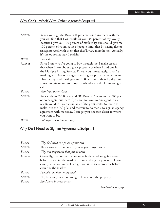## Why Can't I Work With Other Agents?: Script #1

| <b>AGENT:</b> | When you sign the Buyer's Representation Agreement with me,<br>you will find that I will work for you 100 percent of my loyalty.<br>Because I give you 100 percent of my loyalty, you should give me<br>100 percent of yours. A lot of people think that by having five or<br>six agents work with them that they'll view more homes. Actually,<br>it's the opposite; may I explain?                                      |
|---------------|---------------------------------------------------------------------------------------------------------------------------------------------------------------------------------------------------------------------------------------------------------------------------------------------------------------------------------------------------------------------------------------------------------------------------|
| BUYER:        | Please do.                                                                                                                                                                                                                                                                                                                                                                                                                |
| AGENT:        | Since I know you're going to buy through me, I make certain<br>that when I hear about a great property or when I find one in<br>the Multiple Listing Service, I'll call you immediately. If you're<br>working with five or six agents and a great property comes in and<br>I have a buyer who will give me 100 percent of their loyalty, but<br>you're not giving me your loyalty, who do you think I'm going to<br>call? |
| <b>BUYER:</b> | Your loyal buyer client.                                                                                                                                                                                                                                                                                                                                                                                                  |
| <b>AGENT:</b> | We call them "A" Buyers and "B" Buyers. You are in the "B" pile<br>of every agent out there if you are not loyal to one agent. As a<br>result, you don't hear about any of the great deals. You have to<br>make it to the "A" pile, and the way to do that is to sign an agency<br>agreement with me today. I can get you one step closer to where<br>you want to be.                                                     |
| BUYER:        | Let's sign. I want to be a buyer.                                                                                                                                                                                                                                                                                                                                                                                         |

## Why Do I Need to Sign an Agreement: Script #1

| $B_{UVER}$  | Why do I need to sign an agreement?                                                                                                                                                                                                |
|-------------|------------------------------------------------------------------------------------------------------------------------------------------------------------------------------------------------------------------------------------|
| AGENT:      | This allows me to represent you as your buyer agent.                                                                                                                                                                               |
| BUYER:      | Why is it important that you do that?                                                                                                                                                                                              |
| AGENT:      | Generally, the houses that are most in demand are going to sell<br>before they enter the market. If I'm working for you and I know<br>exactly what you want, I can get you in to see a property before it<br>even hits the market. |
| BUYER:      | I couldn't do that on my own?                                                                                                                                                                                                      |
| AGENT:      | No, because you're not going to hear about the property.                                                                                                                                                                           |
| $R_{I/VFR}$ | But I have Internet access.                                                                                                                                                                                                        |

*(continued on next page)*

v3.2 • ©2004 Keller Williams Realty, Inc. 95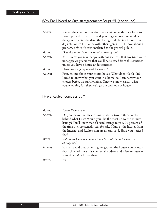## Why Do I Need to Sign an Agreement: Script #1 (continued)

| AGENT:        | It takes three to ten days after the agent enters the data for it to                                                                                                              |
|---------------|-----------------------------------------------------------------------------------------------------------------------------------------------------------------------------------|
|               | show up on the Internet. So, depending on how long it takes                                                                                                                       |
|               | the agent to enter the data, the listing could be ten to fourteen                                                                                                                 |
|               | days old. Since I network with other agents, I will know about a                                                                                                                  |
|               | property before it's even marketed to the general public.                                                                                                                         |
| <b>BUYER:</b> | Does this mean I can't work with other agents?                                                                                                                                    |
| AGENT:        | Yes—unless you're unhappy with our services. If at any time you're<br>unhappy, we guarantee that you'll be released from this contract<br>unless you have a house under contract. |
| <b>BUYER:</b> | When are we going to look for houses?                                                                                                                                             |
| AGENT:        | First, tell me about your dream house. What does it look like?                                                                                                                    |
|               | I need to know what you want in a home, so I can narrow our                                                                                                                       |
|               | choices before we start looking. Once we know exactly what                                                                                                                        |
|               | you're looking for, then we'll go out and look at houses.                                                                                                                         |

## I Have Realtor.com: Script #1

| $B_{UVER}$    | I have Realtor.com.                                                                                                                                                                                                                                                                                                                                   |
|---------------|-------------------------------------------------------------------------------------------------------------------------------------------------------------------------------------------------------------------------------------------------------------------------------------------------------------------------------------------------------|
| <b>AGENT:</b> | Do you realize that Realtor.com is about two to three weeks<br>behind what I use? Would you like the most up-to-the-minute<br>listings? You'll know that if I send listings to you, 99 percent of<br>the time they are actually still for sale. Many of the listings from<br>the Internet and Realtor.com are already sold. Have you noticed<br>that? |
| BUYER:        | Yes! I don't know how many times I've called and the house has<br>already sold.                                                                                                                                                                                                                                                                       |
| <b>AGENT:</b> | You can avoid that by letting me get you the houses you want, if<br>that's okay. All I want is your email address and a few minutes of<br>your time. May I have that?                                                                                                                                                                                 |
| $R_{I/VFR}$   | Yes.                                                                                                                                                                                                                                                                                                                                                  |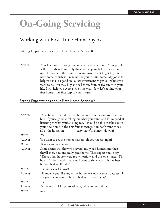# **On-Going Servicing**

## Working with First-Time Homebuyers

## Setting Expectations about First Home: Script #1

**AGENT:** Your first home is not going to be your dream home. Most people will live in their home only three to five years before they move up. This home is the foundation and investment to get to your next home, which still may not be your dream home. My job is to help you make a good real estate investment to get you where you want to be. You may buy and sell three, four, or five times in your life. I will help you every step of the way. Now, let's go find your first home—the first step to your future.

## Setting Expectations about First Home: Script #2

| AGENT:        | Don't be surprised if the first home we see is the one you want to    |
|---------------|-----------------------------------------------------------------------|
|               | buy. If you're good at telling me what you want, and if I'm good at   |
|               | listening to what you're telling me, I should be able to take you to  |
|               | your new home in the first four showings. You don't want to see       |
|               | all of the houses in ________ (city, state/province), do you?         |
| BUYER:        | $No$ .                                                                |
| <b>AGENT:</b> | You want to see the homes that best fit your needs, right?            |
| BUYER:        | That makes sense to me.                                               |
| <b>AGENT:</b> | Some agents will show you several really bad homes, and then          |
|               | they'll show you one really great home. They expect you to say,       |
|               | "Those other houses were really horrible, and this one is great. I'll |
|               | buy it!" I don't work that way. I want to show you only the best      |
|               | homes. Is that all right?                                             |
| <b>BUYER:</b> | Yes, that would be great.                                             |
| AGENT:        | I'll know if you like any of the homes we look at today because I'll  |
|               | ask you if you want to buy it. Is that okay with you?                 |
| <b>BUYER:</b> | Yes.                                                                  |
| <b>AGENT:</b> | By the way, if I forget to ask you, will you remind me?               |
| BUYER:        | Sure.                                                                 |
|               |                                                                       |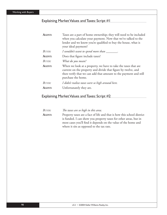## Explaining Market Values and Taxes: Script #1

| AGENT:        | Taxes are a part of home ownership; they will need to be included                                                                                                                                                         |
|---------------|---------------------------------------------------------------------------------------------------------------------------------------------------------------------------------------------------------------------------|
|               | when you calculate your payment. Now that we've talked to the                                                                                                                                                             |
|               | lender and we know you're qualified to buy the house, what is                                                                                                                                                             |
|               | your ideal payment?                                                                                                                                                                                                       |
| BUYER:        | I wouldn't want to spend more than _____                                                                                                                                                                                  |
| AGENT:        | Does that figure include taxes?                                                                                                                                                                                           |
| BUYER:        | What do you mean?                                                                                                                                                                                                         |
| <b>AGENT:</b> | When we look at a property, we have to take the taxes that are<br>current on the property and divide that figure by twelve, and<br>then verify that we can add that amount to the payment and still<br>purchase the home. |
| <b>BUYER:</b> | I didn't realize taxes were so high around here.                                                                                                                                                                          |
| AGENT:        | Unfortunately they are.                                                                                                                                                                                                   |
|               |                                                                                                                                                                                                                           |

## Explaining Market Values and Taxes: Script #2

| Buyer: | The taxes are so high in this area.                                    |
|--------|------------------------------------------------------------------------|
| Agent: | Property taxes are a fact of life and that is how this school district |
|        | is funded. I can show you property taxes for other areas, but in       |
|        | most cases you'll find it depends on the value of the home and         |
|        | where it sits as opposed to the tax rate.                              |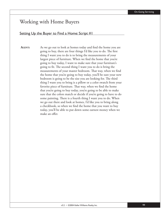## Working with Home Buyers

## Setting Up the Buyer to Find a Home: Script #1

**AGENT:** As we go out to look at homes today and find the home you are going to buy, there are four things I'd like you to do. The first thing I want you to do is to bring the measurements of your largest piece of furniture. When we find the home that you're going to buy today, I want to make sure that your furniture's going to fit. The second thing I want you to do is bring the measurements of your master bedroom. That way, when we find the home that you're going to buy today, you'll be sure your new bedroom is going to be the size you are looking for. The third thing I want you to bring is a pillow or a color swatch from your favorite piece of furniture. That way, when we find the home that you're going to buy today, you're going to be able to make sure that the colors match or decide if you're going to have to do some painting. There is a fourth thing I want you to do. When we go out there and look at homes, I'd like you to bring along a checkbook, so when we find the home that you want to buy today, you'll be able to put down some earnest money when we make an offer.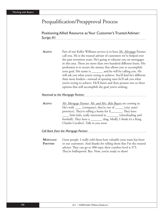## Prequalification/Preapproval Process

## Positioning Allied Resource as Your Customer's Trusted Adviser: Script #1

**AGENT:** Part of our Keller Williams service is to have *Mr. Mortgage* Partner call you. He is the trusted adviser of customers we've helped over the past seventeen years. He's going to educate you on mortgages in this area. There are more than two hundred different loans. His profession is to secure the money that allows you to accomplish your goal. His name is \_\_\_\_\_\_\_ and he will be calling you. He will ask you what you're trying to achieve. You'll find he's different than most lenders—instead of quoting rates he'll ask you what you're trying to achieve. He'll listen and then present two or three options that will accomplish the goal you're seeking.

*Voicemail to the Mortgage Partner:* 

**AGENT:** *Mr. Mortgage Partner*, *Mr. and Mrs. Relo Buyers* are coming in. He's with \_\_\_\_\_ (company), they're out of \_\_\_\_\_\_ (city, state/ province). They're selling a home for  $\frac{1}{2}$  They have little kids, really interested in \_\_\_\_\_\_\_ (cheerleading and football). They have a \_\_\_\_\_\_\_\_ (dog, Muffy, I think it's a King Charles Cavalier). Talk to you soon.

*Call Back from the Mortgage Partner:* 

**MORTGAGE PARTNER:** Great people. I really told them how valuable your team has been to our customers. And thanks for telling them that I'm the trusted adviser. They can go to 400 tops; their comfort level is 375. They're bulletproof. Bye. Now, you're ready to show!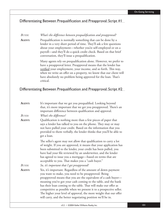## Differentiating Between Prequalification and Preapproval: Script #1

### *BUYER:* What's the difference between prequalification and preapproval?

**AGENT:** Prequalification is normally something that can be done by a lender in a very short period of time. They'll ask a few questions about your employment—whether you're self-employed or on a payroll—and they'll do a quick credit check. Based on that brief conversation, they'll issue a prequalification.

> Many agents rely on prequalification alone. However, we prefer to have a preapproval letter. Preapproval means that the lender has verified your employment, your income, and so forth. This way, when we write an offer on a property, we know that our client will have absolutely no problem being approved for the loan. That's critical.

## Differentiating Between Prequalification and Preapproval: Script #2

| It's important that we get you prequalified. Looking beyond<br>that, it's more important that we get you preapproved. There's an<br>important difference between qualification and approval.                                                                                                                                                                                                                                                                                                                                            |
|-----------------------------------------------------------------------------------------------------------------------------------------------------------------------------------------------------------------------------------------------------------------------------------------------------------------------------------------------------------------------------------------------------------------------------------------------------------------------------------------------------------------------------------------|
| What's the difference?                                                                                                                                                                                                                                                                                                                                                                                                                                                                                                                  |
| Qualification is nothing more than a few pieces of paper that<br>says a lender has talked to you on the phone. They may or may<br>not have pulled your credit. Based on the information that you<br>provided to them verbally, the lender thinks that you'll be able to<br>get a loan.                                                                                                                                                                                                                                                  |
| The seller's agent may not allow that qualification to carry a lot<br>of weight. If you are approved, it means that your application has<br>been submitted to the lender, your credit has been pulled, you<br>have had your file reviewed by an underwriter, and the lender<br>has agreed to issue you a mortgage—based on terms that are<br>acceptable to you. That makes you a "cash buyer."                                                                                                                                          |
| So, it's important that I get preapproved?                                                                                                                                                                                                                                                                                                                                                                                                                                                                                              |
| Yes, it's important. Regardless of the amount of down payment<br>you want to make, you need to be preapproved. Being<br>preapproved means that you are the equivalent of a cash buyer-<br>meaning you've got your cash coming to the table, and the bank<br>has their loan coming to the table. That will make our offer as<br>competitive as possible when we present it to a prospective seller.<br>The higher your level of approval, the more weight that our offer<br>will carry, and the better negotiating position we'll be in. |
|                                                                                                                                                                                                                                                                                                                                                                                                                                                                                                                                         |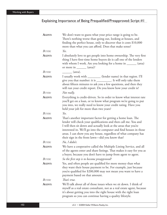| AGENT: | We don't want to guess what your price range is going to be.<br>There's nothing worse than going out, looking at houses, and<br>finding the perfect house, only to discover that it costs \$10,000<br>more than what you can afford. Does that make sense?                                                                                                                                     |
|--------|------------------------------------------------------------------------------------------------------------------------------------------------------------------------------------------------------------------------------------------------------------------------------------------------------------------------------------------------------------------------------------------------|
| BUYER: | Yes.                                                                                                                                                                                                                                                                                                                                                                                           |
| AGENT: | I absolutely love to get people into home ownership. The very first<br>thing I have first-time home buyers do is call one of the lenders<br>with whom I work. Are you looking for a home in ______ (area)<br>or more in $\_\_\_\_\_\_\$ (area)?                                                                                                                                                |
| BUYER: | (area).                                                                                                                                                                                                                                                                                                                                                                                        |
| AGENT: | I usually work with __________ (lender name) in that region. I'll<br>give you that number: it is ___________. It will only take them<br>about fifteen minutes to ask you a few questions, and then they<br>will run your credit report. Do you know how your credit is?                                                                                                                        |
| BUYER: | Not really.                                                                                                                                                                                                                                                                                                                                                                                    |
| AGENT: | Everything is credit-driven. So in order to know what interest rate<br>you'll get on a loan, or to know what program we're going to put<br>you into, we really need to know your credit rating. Have you<br>held your job for more than two years?                                                                                                                                             |
| BUYER: | Yes.                                                                                                                                                                                                                                                                                                                                                                                           |
| AGENT: | That's another important factor for getting a home loan. The<br>lender will check your qualifications and then call me. You and<br>I will then sit down and actually look at the areas that you're<br>interested in. We'll go into the computer and find houses in those<br>areas. I can show you any house, regardless of what company has<br>their sign in the front lawn-did you know that? |
| BUYER: | No, I didn't.                                                                                                                                                                                                                                                                                                                                                                                  |
| AGENT: | We have a cooperative called the Multiple Listing Service, and all<br>of the agents enter and share listings. That makes it easy for you as<br>a buyer, because you don't have to jump from agent to agent.                                                                                                                                                                                    |
| BUYER: | So the first step is to become preapproved?                                                                                                                                                                                                                                                                                                                                                    |
| AGENT: | Yes, and often people are qualified for more money than what<br>they want their house payment to be. For example, just because<br>you're qualified for \$200,000 may not mean you want to have a<br>payment based on that amount.                                                                                                                                                              |
| BUYER: | That's true.                                                                                                                                                                                                                                                                                                                                                                                   |
| AGENT: | We'll talk about all of those issues when we sit down. I think of<br>myself as a real estate consultant, not as a real estate agent, because<br>it's about getting you into the right house with the right loan<br>program so you can continue having a quality lifestyle.                                                                                                                     |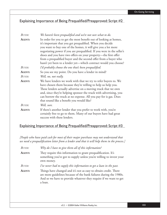| BUYER:        | We haven't been prequalified and we're not sure what to do.                                                                                                                                                                                                                                                                                                                                                                                                                        |
|---------------|------------------------------------------------------------------------------------------------------------------------------------------------------------------------------------------------------------------------------------------------------------------------------------------------------------------------------------------------------------------------------------------------------------------------------------------------------------------------------------|
| AGENT:        | In order for you to get the most benefit out of looking at homes,<br>it's important that you get prequalified. When you decide<br>you want to buy one of the homes, it will give you a lot more<br>negotiating power if you are prequalified. If you were in the seller's<br>shoes and you have two offers on your property—the first offer<br>from a prequalified buyer and the second offer from a buyer who<br>hasn't yet been to a lender yet—which contract would you choose? |
| <b>BUYER:</b> | I'd probably choose the one that's been prequalified.                                                                                                                                                                                                                                                                                                                                                                                                                              |
| <b>AGENT:</b> | So you see my point. Do you have a lender in mind?                                                                                                                                                                                                                                                                                                                                                                                                                                 |
| <b>BUYER:</b> | Well, no, not really.                                                                                                                                                                                                                                                                                                                                                                                                                                                              |
| AGENT:        | We have lenders we work with that we try to refer buyers to. We<br>have chosen them because they're willing to help us help you.<br>These lenders actually advertise on a moving truck that we own<br>and, since they're helping sponsor the truck with advertising, you<br>can borrow the truck at no expense. All you pay for is gas. Does<br>that sound like a benefit you would like?                                                                                          |
| <b>BUYER:</b> | Well, sure.                                                                                                                                                                                                                                                                                                                                                                                                                                                                        |
| AGENT:        | If there's another lender that you prefer to work with, you're<br>certainly free to go to them. Many of our buyers have had great<br>success with these lenders.                                                                                                                                                                                                                                                                                                                   |

## Explaining Importance of Being Prequalified/Preapproved: Script #3

*[People who have paid cash for most of their major purchases may not understand that we need a prequalification letter from a lender and that it will help them in the process.]* 

| <b>BUYER:</b> | Why do I have to give them all of this information?                                                                                                                                                                    |
|---------------|------------------------------------------------------------------------------------------------------------------------------------------------------------------------------------------------------------------------|
| AGENT:        | They require this information to grant prequalification. It's<br>something you've got to supply unless you're willing to invest your<br>own money.                                                                     |
| $B_{UVER}$    | I've never had to supply this information to get a loan in the past.                                                                                                                                                   |
| AGENT:        | Things have changed and it's not as easy to obtain credit. There<br>are more guidelines because of the bank failures during the 1980s.<br>And so we have to provide whatever they require if we want to get<br>a loan. |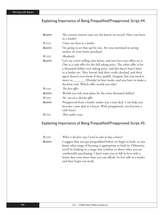| AGENT:        | The current interest rates are the lowest on record. Have you been                                                                                                                                                                                                                                                                                                                                                                                                         |
|---------------|----------------------------------------------------------------------------------------------------------------------------------------------------------------------------------------------------------------------------------------------------------------------------------------------------------------------------------------------------------------------------------------------------------------------------------------------------------------------------|
|               | to a lender?                                                                                                                                                                                                                                                                                                                                                                                                                                                               |
| <b>BUYER:</b> | I have not been to a lender.                                                                                                                                                                                                                                                                                                                                                                                                                                               |
| AGENT:        | I'm going to set that up for you. Are you interested in saving<br>money on your home purchase?                                                                                                                                                                                                                                                                                                                                                                             |
| BUYER:        | Absolutely.                                                                                                                                                                                                                                                                                                                                                                                                                                                                |
| AGENT:        | Let's say you're selling your home, and you have two offers on it.<br>One is a cash offer for the full asking price. The other offer is for<br>a thousand dollars over asking price, and this buyer hasn't been<br>to a lender yet. They haven't had their credit checked, and their<br>agent doesn't even know if they qualify. Imagine that you need to<br>move to ________ (Florida) in four weeks, and you have to make a<br>decision now. Which offer would you take? |
| <b>BUYER:</b> | The first offer.                                                                                                                                                                                                                                                                                                                                                                                                                                                           |
| AGENT:        | Would you risk your plans for the extra thousand dollars?                                                                                                                                                                                                                                                                                                                                                                                                                  |
| <b>BUYER:</b> | No, not on a sketchy offer.                                                                                                                                                                                                                                                                                                                                                                                                                                                |
| AGENT:        | Preapproval from a lender makes you a sure deal. I can help you<br>become a sure deal as a buyer. With preapproval, you become a<br>cash buyer.                                                                                                                                                                                                                                                                                                                            |
| BUYER:        | That makes sense.                                                                                                                                                                                                                                                                                                                                                                                                                                                          |

## Explaining Importance of Being Prequalified/Preapproved: Script #5

| Buyer:        | What is the first step I need to take to buy a house?               |
|---------------|---------------------------------------------------------------------|
| <b>AGENT:</b> | I suggest that you get prequalified before we begin to look, so you |
|               | know what range of housing is appropriate to look in. Otherwise,    |
|               | you'll be looking in a range that is below or above what you are    |
|               | comfortable purchasing. I don't want you to fall in love with a     |
|               | home that costs more than you can afford. So let's talk to a lender |
|               | and then begin our work.                                            |
|               |                                                                     |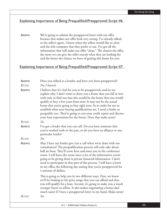**AGENT:** We're going to submit the preapproval letter with our offer because that makes our offer look very strong. I've already talked to the seller's agent. I know when the sellers would like to close and the title company that they prefer to use. I've got all the information that will make our offer "clean." The cleaner the offer, the more we can give the seller exactly what they are looking for and the better the chance we have of getting this home for you.

## Explaining Importance of Being Prequalified/Preapproved: Script #7

| AGENT:        | Have you talked to a lender, and have you been preapproved?                                                                                                                                                                                                                                                                                                                                                                                                                                                                                             |
|---------------|---------------------------------------------------------------------------------------------------------------------------------------------------------------------------------------------------------------------------------------------------------------------------------------------------------------------------------------------------------------------------------------------------------------------------------------------------------------------------------------------------------------------------------------------------------|
| <b>BUYER:</b> | No, I haven't.                                                                                                                                                                                                                                                                                                                                                                                                                                                                                                                                          |
| AGENT:        | I believe that it's vital for you to be preapproved, and let me<br>explain why. I don't want to show you a home that you fall in love<br>with only to find out that this would be the home that you would<br>qualify to buy a few years from now. It may not be the actual<br>home that you're going to buy right now. So in order for me to<br>establish what your buying qualifications are, I need a lender to<br>prequalify you. They're going to run your credit report and discuss<br>your loan expectations for the house. Does that make sense? |
| BUYER:        | Yes.                                                                                                                                                                                                                                                                                                                                                                                                                                                                                                                                                    |
| AGENT:        | I've got a lender that you can call. Do you have someone that<br>you've worked with in the past, or do you have an alliance to any<br>particular lender?                                                                                                                                                                                                                                                                                                                                                                                                |
| <b>BUYER:</b> | $No$ .                                                                                                                                                                                                                                                                                                                                                                                                                                                                                                                                                  |
| AGENT:        | May I have my lender give you a call when we're done with our<br>consultation? The prequalification process will only take about<br>half an hour. They'll come here and meet you in the conference<br>room. I will leave the room since a lot of the information you're<br>going to be giving them is private financial information. I don't<br>need to participate in that part of the process. I will have a letter<br>in my office the following day stating that you're preapproved for<br>x amount of dollars.                                     |
|               | This is going to help you in two different ways. First, we know<br>we'll be looking in the price range that you can afford and that<br>you will qualify for a loan. Second, it's going to make you a much<br>stronger buyer to sellers. It also makes negotiating a better deal<br>much easier if I have a preapproval letter in my hand. Make sense?                                                                                                                                                                                                   |
| <b>BUYER:</b> | Yes.                                                                                                                                                                                                                                                                                                                                                                                                                                                                                                                                                    |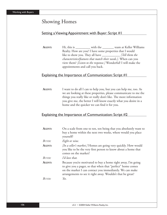## Showing Homes

## Setting a Viewing Appointment with Buyer: Script #1

AGENT: Hi, this is \_\_\_\_\_\_\_\_\_\_ with the \_\_\_\_\_\_\_\_ team at Keller Williams Realty. How are you? I have some properties that I would like to show you. They all have \_\_\_\_\_\_\_\_\_\_\_\_*[Tell them the characteristics/features that match their needs.]*. When can you view them? *[Listen to the response.]* Wonderful! I will make the appointments and call you back.

## Explaining the Importance of Communication: Script #1

**AGENT:** I want to do all I can to help you, but you can help me, too. As we are looking at these properties, please communicate to me the things you really like or really don't like. The more information you give me, the better I will know exactly what you desire in a home and the quicker we can find it for you.

## Explaining the Importance of Communication: Script #2

| AGENT:        | On a scale from one to ten, ten being that you absolutely want to<br>buy a home within the next two weeks, where would you place<br>yourself?                                                                                                         |
|---------------|-------------------------------------------------------------------------------------------------------------------------------------------------------------------------------------------------------------------------------------------------------|
| <b>BUYER:</b> | Eight or nine.                                                                                                                                                                                                                                        |
| AGENT:        | [In a seller's market.] Homes are going very quickly. How would<br>you like to be the very first person to know about a home that<br>comes on the market?                                                                                             |
| BUYER:        | I'd love that.                                                                                                                                                                                                                                        |
| AGENT:        | Because you're motivated to buy a home right away, I'm going<br>to give you a pager, so that when that "perfect" home comes<br>on the market I can contact you immediately. We can make<br>arrangements to see it right away. Wouldn't that be great? |
| BUYER:        | Yes.                                                                                                                                                                                                                                                  |
|               |                                                                                                                                                                                                                                                       |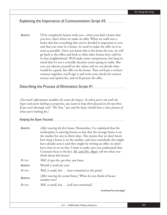## Explaining the Importance of Communication: Script #3

**AGENT:** I'll be completely honest with you—when you find a home that you love, that's when we make an offer. When we walk into a home that has everything that you've decided is important to you and that you want in a home, we need to make the offer on it as soon as possible. Once you know this is the home for you, we will go back to the office and look at what other homes have sold for in that neighborhood. We'll make some comparisons, but keep in mind that it's not a scientific decision you're going to make. But you can educate yourself on the values and we can decide what would be a good, fair offer on the home. Then we'll put a written contract together, you'll sign it and write your checks for earnest money and option fee, and we'll present the offer.

## Describing the Process of Elimination: Script #1

*[Too much information muddies the water for buyers. So when you're out with the buyer and you're looking at properties, you want to keep them focused on the top three. If you were thorough with "The Tens," you and the buyer should have a clear picture of what you're looking for.]*

*Keeping the Buyer Focused:* 

| <b>AGENT:</b> | [After touring the first home.] Remember, I've explained that the<br>marketplace is moving houses so fast that the average home is on<br>the market for one to thirty days. This means that we don't know<br>how long a home is on the market, and since somebody else might<br>have already seen it and they might be writing an offer, we don't<br>have time to sit on this. I want to make sure you understand that.<br>Constant focus is the key. Mr. and Mrs. Buyer, tell me what you<br>think about this house? |
|---------------|-----------------------------------------------------------------------------------------------------------------------------------------------------------------------------------------------------------------------------------------------------------------------------------------------------------------------------------------------------------------------------------------------------------------------------------------------------------------------------------------------------------------------|
| BUYER:        | Well, it's got this, got that, you know.                                                                                                                                                                                                                                                                                                                                                                                                                                                                              |
| AGENT:        | Would it work for you?                                                                                                                                                                                                                                                                                                                                                                                                                                                                                                |
| BUYER:        | Well, it could, but  [non-committal at this point]                                                                                                                                                                                                                                                                                                                                                                                                                                                                    |
| AGENT:        | [After touring the second home.] What do you think of house<br>number two?                                                                                                                                                                                                                                                                                                                                                                                                                                            |
| BUYER:        | Well, it could, but  [still non-committal]                                                                                                                                                                                                                                                                                                                                                                                                                                                                            |

 *(continued on next page)*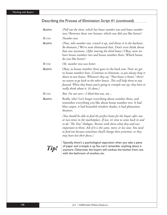## Describing the Process of Elimination: Script #1 (continued)

| AGENT:        | [Pull out the sheet, which has house number one and house number<br>two.] Between these two houses, which one did you like better?                                                                                                                                                                                                                                                                   |
|---------------|------------------------------------------------------------------------------------------------------------------------------------------------------------------------------------------------------------------------------------------------------------------------------------------------------------------------------------------------------------------------------------------------------|
| <b>BUYER:</b> | Number two.                                                                                                                                                                                                                                                                                                                                                                                          |
| <b>AGENT:</b> | [Now, take number one, crunch it up, and throw it in the backseat.<br>Be dramatic.] We've now eliminated that. Don't even think about<br>that one anymore. [After touring the third house.] Okay, now we<br>have house number two and house number three. Which house<br>do you like better?                                                                                                         |
| <b>BUYER:</b> | Oh, number two was better.                                                                                                                                                                                                                                                                                                                                                                           |
| AGENT:        | Okay, so house number three goes in the back seat. Now we get<br>to house number four. [Continue to eliminate, so you always keep it<br>down to two houses. Whenever they say "That house is better," there's<br>no reason to go back to the other houses. This will help them to stay<br>focused. When they know you're going to crumple one up, they have to<br>really think about it. It's done.] |
| <b>BUYER:</b> | But, I'm not sure-I liked that one, too                                                                                                                                                                                                                                                                                                                                                              |
| <b>AGENT:</b> | Really, why? Let's forget everything about number three, and<br>remember everything you like about house number two. It had<br>blue carpet, it had beautiful window shades, it had plantation<br>shutters.                                                                                                                                                                                           |
|               | [You should be able to find the perfect home for the buyers after one<br>or two times in the marketplace. If not, it's time to come back in and<br>re-do "The Tens" dialogue. Review with them what they said was<br>important to them. Ask if it is the same, more, or less now. You need<br>to find out because sometimes they'll change their priorities, or they<br>may have lost their focus.]  |
| Tip!          | Typically, there's a psychological separation when you take a piece<br>of paper and crumple it up. You can't remember anything about it<br>anymore. Otherwise, the buyers will confuse the kitchen from one<br>with the bathroom of another, etc.                                                                                                                                                    |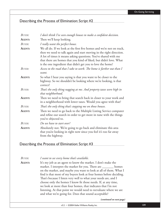## Describing the Process of Elimination: Script #2

| <b>BUYER:</b> | I don't think I've seen enough houses to make a confident decision.                                                                                                                                                                                                                                                                                  |
|---------------|------------------------------------------------------------------------------------------------------------------------------------------------------------------------------------------------------------------------------------------------------------------------------------------------------------------------------------------------------|
| AGENT:        | Then we'll keep looking.                                                                                                                                                                                                                                                                                                                             |
| <b>BUYER:</b> | I really want the perfect house.                                                                                                                                                                                                                                                                                                                     |
| <b>AGENT:</b> | We all do. If we look at the first five homes and we're not on track,<br>then we need to talk again and start moving in the right direction.<br>A lot of times it means asking questions. You've shared with me<br>that there are homes that you kind of liked, but didn't love. What<br>is the one ingredient that didn't get you to love the home? |
| <b>BUYER:</b> | Access to the road that I take to work. The home is farther out than I<br>want.                                                                                                                                                                                                                                                                      |
| <b>AGENT:</b> | So what I hear you saying is that you want to be closer to the<br>highway. So we shouldn't be looking where we're looking, is that<br>correct?                                                                                                                                                                                                       |
| <b>BUYER:</b> | That's the only thing nagging at me. And property taxes were high in<br>that neighborhood.                                                                                                                                                                                                                                                           |
| <b>AGENT:</b> | Then we need to bring that search back in closer to your work and<br>in a neighborhood with lower taxes. Would you agree with that?                                                                                                                                                                                                                  |
| <b>BUYER:</b> | That's the only thing that's stopping me on those houses.                                                                                                                                                                                                                                                                                            |
| AGENT:        | Then we need to go back to the Multiple Listing Service computer<br>and refine our search in order to get more in tune with the things<br>you've objected to.                                                                                                                                                                                        |
| <b>BUYER:</b> | Do we have to start over?                                                                                                                                                                                                                                                                                                                            |
| AGENT:        | Absolutely not. We're going to go back and eliminate this area<br>that you're looking in right now since you feel it's too far away<br>from the highway.                                                                                                                                                                                             |

### Describing the Process of Elimination: Script #3

*BUYER: I want to see every home that's available.*

**AGENT:** It's my job as an agent to know the market. I don't make the market. I interpret the market for you. There are seed the homes on the market, and maybe you want to look at all of them. What I find is that most of my buyers look at four homes before deciding. That's because I listen very well to what your needs are, and I choose only the homes I know fit those needs. If, at any time, we look at more than four homes, that indicates that I'm not listening. At that point we would need to reevaluate where we are and what we're going for. Does that sound acceptable?

#### *(continued on next page)*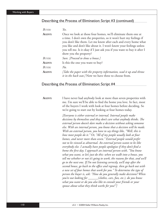## Describing the Process of Elimination: Script #3 (continued)

| <b>BUYER:</b> | Yes.                                                                                                                          |
|---------------|-------------------------------------------------------------------------------------------------------------------------------|
| <b>AGENT:</b> | Once we look at those four homes, we'll eliminate them one at                                                                 |
|               | a time. I don't own the properties, so it won't hurt my feelings if                                                           |
|               | you don't like them. Let me know after each and every home what                                                               |
|               | you like and don't like about it. I won't know your feelings unless                                                           |
|               | you tell me. Is it okay if I just ask you if you want to buy it after I                                                       |
|               | show you the property?                                                                                                        |
| <b>BUYER:</b> | Sure. [Proceed to show a house.]                                                                                              |
| <b>AGENT:</b> | Is this the one you want to buy?                                                                                              |
| <b>BUYER:</b> | No.                                                                                                                           |
| AGENT:        | [Take the paper with the property information, wad it up and throw<br>it in the back seat.] Now we have three to choose from. |

### Describing the Process of Elimination: Script #4

**AGENT:** I have never had anybody look at more than seven properties with me. I'm sure we'll be able to find the home you love. In fact, most of the buyers I work with look at four homes before deciding. So we're going to start out by looking at four homes today.

> *[Everyone is either external or internal. Internal people make decisions by themselves and they don't care what anybody thinks. The external person doesn't dare make a decision without asking someone else. With an internal person, you know that a decision will be made. With an external person, you have to say things like, "Well, this is how most people do it." Or, "All of my people usually look at four homes, and never more than seven." External people would prefer not to be viewed as abnormal. An external person wants to be like*  everybody else. I actually have people apologize if they don't find a *home the first day. I approach an internal person with, "You know what you want, so let's just do this: when we walk into a house, you tell me whether or not it's going to work, the reasons for that, and we'll go to the next one. If I'm not listening correctly, we'll stop after the second house, go back to the offi ce and regroup, then go back out with a new set of four homes that work for you." To determine the type of person the buyer is, ask: "How do you generally make decisions? When you're out looking for \_\_\_\_\_\_(clothes, cars, fun, etc.), do you know what you want or do you also like to consult your friends or your spouse about what they think works for you?"]*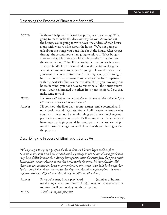## Describing the Process of Elimination: Script #5

| AGENT:        | With your help, we've picked five properties to see today. We're                                               |
|---------------|----------------------------------------------------------------------------------------------------------------|
|               | going to try to make this decision easy for you. As we look at                                                 |
|               | the homes, you're going to write down the address of each house                                                |
|               | along with what you like about the house. We're not going to                                                   |
|               | talk about the things you don't like about the house. After we get                                             |
|               | through the second house, I'm going to ask you, "If we bought                                                  |
|               | a house today, which one would you buy-the first address or                                                    |
|               | the second address?" You'll have to decide based on each house                                                 |
|               | as we see it. We'll use this method to make decisions along the                                                |
|               | way. When we finish today, you're going to know the house that                                                 |
|               | you want to write a contract on. At the very least, you're going to                                            |
|               | have the house that we want to use as a baseline for comparison                                                |
|               | with the next set of houses that we view. When you have only one                                               |
|               | house in mind, you don't have to remember all the houses you've                                                |
|               | seen-you've eliminated the others from your memory. Does that                                                  |
|               | make sense to you?                                                                                             |
| <b>BUYER:</b> | Yes. That will help me to narrow down the choices. What should I pay<br>attention to as we go through a house? |
| AGENT:        | I'll point out the floor plan, room features, resale potential, and                                            |
|               | other positives and negatives. You will tell me specific reasons why                                           |
|               | you may or may not like certain things so that we can change our                                               |
|               | parameters to meet your needs. We'll get more specific about your                                              |
|               | living style by helping you define your parameters. You can help                                               |
|               | me the most by being completely honest with your feelings about                                                |
|               | the property.                                                                                                  |

### Describing the Process of Elimination: Script #6

*[When you get to a property, open the front door and let the buyer walk in first. Sometimes this may be a little bit awkward, especially in the South where a gentleman may have difficulty with that. But by letting them enter the house first, they get a much* better feeling about whether or not this house works for them. It's very effective. Tell *them they can explore the home in any order that they want, then hold back until they begin—and follow them. The easiest showings are when the couple explores the home* together. The most difficult are when they go in different directions.]

AGENT: Since we've met, I have previewed \_\_\_\_\_\_\_\_ (number of homes, usually anywhere from thirty to fifty) homes and have selected the top five. I will be showing you those top five.

*BUYER: Which one is your favorite?*

 *(continued on next page)*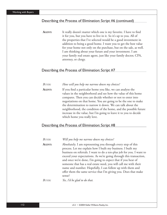## Describing the Process of Elimination: Script #6 (continued)

**AGENT:** It really doesn't matter which one is my favorite. I have to find it for you, but you have to live in it. So it's up to you. All of the properties that I've selected would be a good investment in addition to being a good home. I want you to get the best value for your home not only on the purchase, but on the sale, as well. I am thinking about your future and your investment. I am your family real estate agent, just like your family doctor, CPA, attorney, or clergy.

## Describing the Process of Elimination: Script #7

| <b>BUYER:</b> | How will you help me narrow down my choices?                                                                                          |
|---------------|---------------------------------------------------------------------------------------------------------------------------------------|
| AGENT:        | If you find a particular home you like, we can analyze the<br>values in the neighborhood and see how the value of this home           |
|               | compares. Then you can decide whether or not to enter into                                                                            |
|               | negotiations on that home. You are going to be the one to make<br>the determination to narrow it down. We can talk about the          |
|               | neighborhood, the condition of the home, and the possible future<br>increase in the value, but I'm going to leave it to you to decide |
|               | which home you really love.                                                                                                           |

### Describing the Process of Elimination: Script #8

| BUYER:      | Will you help me narrow down my choices?                                                                                                                                                                                                                                                                                                                                                                                                                                                                                                                 |
|-------------|----------------------------------------------------------------------------------------------------------------------------------------------------------------------------------------------------------------------------------------------------------------------------------------------------------------------------------------------------------------------------------------------------------------------------------------------------------------------------------------------------------------------------------------------------------|
| AGENT:      | Absolutely. I am representing you through every step of this<br>process. Let me explain how I built my business. I built my<br>business on referrals. I want to do a ten-plus job for you. I want to<br>exceed your expectations. As we're going through this transaction,<br>and once we're done, I'm going to expect that if you hear of<br>someone that has a real estate need, you will call me with their<br>name and number. Hopefully, I can follow up with them and<br>offer them the same service that I'm giving you. Does that make<br>sense? |
| $R_{I/VFR}$ | Yes, I'd be glad to do that.                                                                                                                                                                                                                                                                                                                                                                                                                                                                                                                             |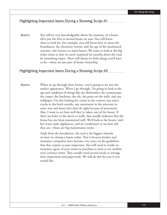## Highlighting Important Items During a Showing: Script #1

**AGENT:** You will be very knowledgeable about the anatomy of a house after just the first or second house we tour. You will know what to look for. For example, you will know how to assess the foundation, the electricity system, and the age of the mechanical systems—the furnace or water heater. We want to look at the bigticket items so that we aren't surprised six months down the road by something major. There will always be little things you'll have to fix—those are just part of home ownership.

### Highlighting Important Items During a Showing: Script #2

AGENT: When we go through these homes, you're going to see just the surface appearance. When I go through, I'm going to look at the age and condition of things like the dishwasher, the countertops, the carpet, the linoleum, the tile, the paint on the walls, and any wallpaper. I'm also looking for cracks in the corners, any stress cracks in the brick outside, any movement in the structure in some way and doors that don't fit right because of movement. Also, I want to see how well they've taken care of the house. If there are holes in the doors or walls, that usually indicates that the house has not been maintained well. We'll look at the heater, roof, hot water tank, appliances, and air conditioner to see how old they are—those are big maintenance items.

> Aside from the foundation, the roof is the biggest obstacle we have in closing a house today. This is because lenders and insurance companies have become very strict on the guidelines that they require to pass inspection. You will need to notify an insurance agent of your intent to purchase as soon as we confirm your contract terms. They usually need several weeks to arrange their inspections and paperwork. We will do this for you if you would like.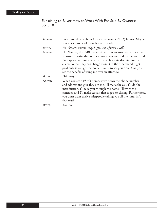## Explaining to Buyer How to Work With For Sale By Owners: Script #1

| AGENT:        | I want to tell you about for sale by owner (FSBO) homes. Maybe<br>you've seen some of those homes already.                                                                                                                                                                                                                                                                                        |
|---------------|---------------------------------------------------------------------------------------------------------------------------------------------------------------------------------------------------------------------------------------------------------------------------------------------------------------------------------------------------------------------------------------------------|
| <b>BUYER:</b> | Yes. I've seen several. May I give any of them a call?                                                                                                                                                                                                                                                                                                                                            |
| AGENT:        | No. You see, the FSBO seller either pays an attorney or they pay<br>a broker to write the contract. Attorneys are paid by the hour and<br>I've experienced some who deliberately create disputes for their<br>clients so that they can charge more. On the other hand, I get<br>paid only if you get the home. I want to see you close. Can you<br>see the benefits of using me over an attorney? |
| BUYER:        | Definitely.                                                                                                                                                                                                                                                                                                                                                                                       |
| AGENT:        | When you see a FSBO home, write down the phone number<br>and address and give those to me. I'll make the call, I'll do the<br>introduction, I'll take you through the home, I'll write the<br>contract, and I'll make certain that it gets to closing. Furthermore,<br>you don't want twelve salespeople calling you all the time, isn't<br>that true?                                            |
| BUYER:        | Too true.                                                                                                                                                                                                                                                                                                                                                                                         |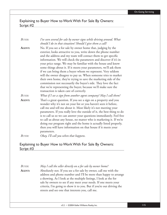## Explaining to Buyer How to Work With For Sale By Owners: Script #2

| <b>BUYER:</b> | I've seen several for sale by owner signs while driving around. What<br>should I do in that situation? Should I give them a call?                                                                                                                                                                                                                                                                                                                                                                                                                                                                                                                                                                                                                                                               |
|---------------|-------------------------------------------------------------------------------------------------------------------------------------------------------------------------------------------------------------------------------------------------------------------------------------------------------------------------------------------------------------------------------------------------------------------------------------------------------------------------------------------------------------------------------------------------------------------------------------------------------------------------------------------------------------------------------------------------------------------------------------------------------------------------------------------------|
| AGENT:        | No. If you see a for sale by owner home that, judging by the<br>exterior, looks attractive to you, write down the phone number<br>and the address and my team will contact them to get specific<br>information. We will check the parameters and discover if it's in<br>your price range. We may be familiar with the house and know<br>some things about it. If it meets your parameters, we'll ask them<br>if we can bring them a buyer whom we represent. Very seldom<br>will the owner disagree to pay us. When someone tries to market<br>their own home, they're trying to save the marketing side of the<br>commission not necessarily the buyer's side. They love the fact<br>that we're representing the buyer, because we'll make sure the<br>transaction is taken care of correctly. |
| <b>BUYER:</b> | What if I see a sign from another agent company? May I call them?                                                                                                                                                                                                                                                                                                                                                                                                                                                                                                                                                                                                                                                                                                                               |
| AGENT:        | That's a great question. If you see a sign on a property and you<br>wonder why it's not on your list or you haven't seen it before,<br>call me and tell me about it. Most likely it's not meeting your<br>parameters. If you really love the outside of it, the best thing to do<br>is to call us so we can answer your questions immediately. Feel free<br>to call us about any house, no matter who is marketing it. If we're<br>doing our program right and the home is actually listed properly,<br>then you will have information on that house if it meets your<br>parameters.                                                                                                                                                                                                            |
| BUYER:        | Okay, I'll call you when that happens.                                                                                                                                                                                                                                                                                                                                                                                                                                                                                                                                                                                                                                                                                                                                                          |

## Explaining to Buyer How to Work With For Sale By Owners: Script #3

| <b>BUYER:</b> | May I call the seller directly on a for sale by owner home?                                                                                                                                                                                                                                                                                                                                            |
|---------------|--------------------------------------------------------------------------------------------------------------------------------------------------------------------------------------------------------------------------------------------------------------------------------------------------------------------------------------------------------------------------------------------------------|
| AGENT:        | Absolutely not. If you see a for sale by owner, call me with the<br>address and phone number and I'll be more than happy to arrange<br>a showing. As I look at the multiple listings, I look at the for<br>sale by owners to see if any meet your needs. If one meets your<br>criteria, I'm going to show it to you. But if you're out driving the<br>streets and see one that interests you, call me. |
|               |                                                                                                                                                                                                                                                                                                                                                                                                        |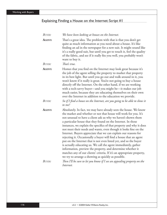## Explaining Finding a House on the Internet: Script #1

| <b>BUYER:</b> | We have been looking at houses on the Internet.                                                                                                                                                                                                                                                                                                                                                                                                                                                                                                                                                                                                                                                                                                                                                                                                                                                    |
|---------------|----------------------------------------------------------------------------------------------------------------------------------------------------------------------------------------------------------------------------------------------------------------------------------------------------------------------------------------------------------------------------------------------------------------------------------------------------------------------------------------------------------------------------------------------------------------------------------------------------------------------------------------------------------------------------------------------------------------------------------------------------------------------------------------------------------------------------------------------------------------------------------------------------|
| AGENT:        | That's a great idea. The problem with that is that you don't get<br>quite as much information as you need about a house. It's like<br>finding an ad in the newspaper for a new suit. It might sound like<br>it's a really good suit, but until you get to touch it, feel the quality<br>of the fabric, and see if it really fits you well, you probably won't<br>want to buy it.                                                                                                                                                                                                                                                                                                                                                                                                                                                                                                                   |
| <b>BUYER:</b> | That's true.                                                                                                                                                                                                                                                                                                                                                                                                                                                                                                                                                                                                                                                                                                                                                                                                                                                                                       |
| AGENT:        | Homes that you find on the Internet may look great because it's<br>the job of the agent selling the property to market that property<br>in its best light. But until you go out and walk around in it, you<br>won't know if it really is great. You're not going to buy a house<br>directly off the Internet. On the other hand, if we are working<br>with a tech-savvy buyer—and you might be—it makes our job<br>much easier, because they are educating themselves on their own<br>over the Internet in addition to the education we provide.                                                                                                                                                                                                                                                                                                                                                   |
| <b>BUYER:</b> | So if I find a house on the Internet, are you going to be able to show it<br>to me?                                                                                                                                                                                                                                                                                                                                                                                                                                                                                                                                                                                                                                                                                                                                                                                                                |
| <b>AGENT:</b> | Absolutely. In fact, we may have already seen the house. We know<br>the market and whether or not that house will work for you. It's<br>not unusual to have a client ask us why we haven't shown them<br>a particular house that they found on the Internet. In those<br>instances, we explain the specifics of that property and why it does<br>not meet their needs and wants, even though it looks fine on the<br>Internet. Buyers appreciate that we can explain our reasons for<br>rejecting it. Occasionally a buyer will find a house that an agent<br>put on the Internet that is not even listed yet, and so the buyer<br>is actually educating us. We call the agent immediately, gather<br>information, preview the property, and determine whether it<br>matches any of our clients' criteria. If it's an appropriate property,<br>we try to arrange a showing as quickly as possible. |
| BUYER:        | Then I'll be sure to let you know if I see an appealing property on the<br>Internet.                                                                                                                                                                                                                                                                                                                                                                                                                                                                                                                                                                                                                                                                                                                                                                                                               |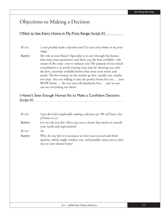## Objections to Making a Decision

## I Want to See Every Home in My Price Range: Script #1

## *BUYER: I can't possibly make a decision until I've seen every home in my price range.*

**AGENT:** My role as your Buyer's Specialist is to sort through the homes that meet your parameters and show you the best available—the cream of the crop—not to exhaust you! The purpose of our initial consultation is to avoid wasting your time by showing you only the best, currently available homes that meet your wants and needs. The best homes on the market go fast, usually one, maybe two days. Are you willing to lose the perfect home for you … your WOW home … the one you will absolutely love … just so you can see everything out there?

## I Haven't Seen Enough Homes Yet to Make a Confident Decision: Script #1

| BUYER: | I just don't feel comfortable making a decision yet. We still have a lot<br>of homes to see.                                                                 |
|--------|--------------------------------------------------------------------------------------------------------------------------------------------------------------|
| AGENT: | Let me ask you this. Have you seen a home that meets or exceeds<br>your needs and expectations?                                                              |
| BUYER: | Yes.                                                                                                                                                         |
| AGENT: | Why do you feel it is necessary to view your second and third<br>options, which might confuse you, and possibly cause you to miss<br>out on your dream home? |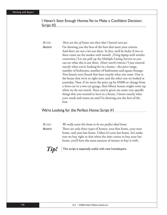## I Haven't Seen Enough Homes Yet to Make a Confident Decision: Script #2

#### *BUYER:* There are lots of homes out there that I haven't seen yet.

AGENT: I'm showing you the best of the best that meet your criteria. And there are not a lot out there. In fact, we'd be lucky if two or three come on the market each month. *[Using laptop with wireless connection.]* Let me pull up the Multiple Listing Service so you can see what else is out there. *[Enter search criteria.]* I just entered exactly what you're looking for in a home—the price range, number of bedrooms, number of bathrooms and square footage. Two houses were found that have exactly what you want. One is the house that we're in right now, and the other one we looked at yesterday. Now, if we move the price up by \$5000 or change from a three-car to a two-car garage, then fifteen houses might come up when we do our search. Since you've given me some very specific things that you wanted to have in a house, I know exactly what your needs and wants are and I'm showing you the best of the best.

### We're Looking for the Perfect Home: Script #1

| Buyer:         | We really want this home to be our perfect ideal home.                                                                                                                                                                            |
|----------------|-----------------------------------------------------------------------------------------------------------------------------------------------------------------------------------------------------------------------------------|
| Agent:         | There are only three types of homes: your first home, your next                                                                                                                                                                   |
|                | home, and your last home. Unless it's your last home, let's make                                                                                                                                                                  |
|                | sure we buy right so that when the time comes to buy your last                                                                                                                                                                    |
|                | home, you'll have the most amount of money to buy it with.                                                                                                                                                                        |
| $T^{\prime}$ . | $\frac{1}{2}$ , and the set of the set of the set of the set of the set of the set of the set of the set of the set of the set of the set of the set of the set of the set of the set of the set of the set of the set of the set |

**Tip!** This script is especially useful with new homebuyers.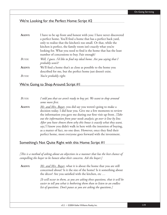## We're Looking for the Perfect Home: Script #2

| AGENT:      | I have to be up front and honest with you: I have never discovered                      |
|-------------|-----------------------------------------------------------------------------------------|
|             | a perfect home. You'll find a home that has a perfect back yard,                        |
|             | only to realize that the kitchen's too small. Or that, while the                        |
|             | kitchen is perfect, the family room isn't exactly what you're                           |
|             | looking for. What you need to find is the home that has the least                       |
|             | number of concessions to buy. Fair enough?                                              |
| $B_{UVER}$  | Well, I guess. I'd like to find my ideal home. Are you saying that I<br>probably won't? |
| AGENT:      | We'll find a home that's as close as possible to the home you                           |
|             | described for me, but the perfect home just doesn't exist.                              |
| $R_{I/VFR}$ | You're probably right.                                                                  |

## We're Going to Shop Around: Script #1

*BUYER: I told you that we aren't ready to buy yet. We want to shop around*  some more first.

**AGENT:** *Mr. and Mrs. Buyer*, you did say you weren't going to make a decision today. I did hear you. Give me a few moments to review the information you gave me during our first visit up front. *[Take*] *out the information from your needs analysis; go over it line by line. After you have shown them why this house is exactly what they want, say:]* I know you didn't walk in here with the intention of buying, as a matter of fact, no one does. However, once they find their perfect home, most everyone goes forward with the investment.

### Something's Not Quite Right with this Home: Script #1

*[Th is is a method of asking about an objection in a manner that has the best chance of compelling the buyer to be honest abut their concerns. Ask the buyer:]*

**AGENT:** *Mr. and Mrs. Buyer*, what it is about the home that you are still concerned about? Is it the size of the home? Is it something about the décor? Are you satisfied with the kitchen, etc ...

> *[It will occur to them, as you are asking these questions, that it will be easier to tell you what is bothering them than to listen to an endless list of questions. Don't pause as you are asking the questions.]*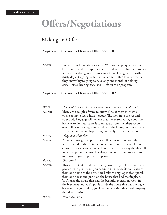# **Offers/Negotiations**

## Making an Offer

## Preparing the Buyer to Make an Offer: Script #1

**AGENT:** We have our foundation set now. We have the prequalification letter, we have the preapproval letter, and we don't have a house to sell, so we're doing great. If we can set our closing date to within thirty days, it's going to get that seller motivated to sell, because they know they're going to have only one month of holding costs—taxes, heating costs, etc.—left on their property.

## Preparing the Buyer to Make an Offer: Script #2

| <b>BUYER:</b> | How will I know when I've found a house to make an offer on?                                                                                                                                                                                                                                                                                                                                                                                                                                                    |
|---------------|-----------------------------------------------------------------------------------------------------------------------------------------------------------------------------------------------------------------------------------------------------------------------------------------------------------------------------------------------------------------------------------------------------------------------------------------------------------------------------------------------------------------|
| AGENT:        | There are a couple of ways to know. One of them is internal—<br>you're going to feel a little nervous. The look in your eyes and<br>your body language will tell me that there's something about the<br>home we're in that makes it stand apart from the others we've<br>seen. I'll be observing your reaction to the home, and I want you<br>also to tell me what's happening internally. That's one part of it.                                                                                               |
| BUYER:        | Okay, and what else?                                                                                                                                                                                                                                                                                                                                                                                                                                                                                            |
| AGENT:        | As we go through the properties, I'll be asking you not only<br>what you did or didn't like about a home, but if you would even<br>consider it as a possible home. If not-we throw away the sheet. If<br>so, we keep it in the mix. I'm also going to continuously ask you<br>to prioritize your top three properties.                                                                                                                                                                                          |
| BUYER:        | Only three?                                                                                                                                                                                                                                                                                                                                                                                                                                                                                                     |
| AGENT:        | That's correct. We find that when you're trying to keep too many<br>properties in your head, you begin to mesh benefits and features<br>from one home to the next. You'll take the big, open front porch<br>from one house and put it on the house that had the fireplace.<br>You'll take the house that had the beautiful recreation room in<br>the basement and you'll put it inside the house that has the huge<br>backyard. In your mind, you'll end up creating that ideal property<br>that doesn't exist. |
| <b>BUYER:</b> | That makes sense.                                                                                                                                                                                                                                                                                                                                                                                                                                                                                               |
|               |                                                                                                                                                                                                                                                                                                                                                                                                                                                                                                                 |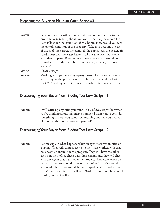## Preparing the Buyer to Make an Offer: Script #3

| Let's compare the other homes that have sold in the area to the                                                                                                                       |
|---------------------------------------------------------------------------------------------------------------------------------------------------------------------------------------|
| property we're talking about. We know what they have sold for.                                                                                                                        |
| Let's talk about the condition of this home. How would you rate                                                                                                                       |
| the overall condition of the property? Take into account the age                                                                                                                      |
| of the roof, the carpet, the paint, all the appliances, the heater, air                                                                                                               |
| conditioner and the water heater—all the amenities that come                                                                                                                          |
| with that property. Based on what we've seen so far, would you                                                                                                                        |
| consider the condition to be below average, average, or above                                                                                                                         |
| average?                                                                                                                                                                              |
| I'd say average.                                                                                                                                                                      |
| Working with you as a single-party broker, I want to make sure<br>المعاملة والمستقل والمستقل المستقل والمستقل المستقل والمستقل والمستقل والمستقل والمستقل والمستقلة المستقلة والمستقل |
|                                                                                                                                                                                       |

you're buying the property at the right price. Let's take a look at the CMA and try to decide on a reasonable offer price and other terms.

### Discouraging Your Buyer from Bidding Too Low: Script #1

**AGENT:** I will write up any offer you want, <u>*Mr. and Mrs. Buyer*</u>, but when you're thinking about that magic number, I want you to consider something. If I call you tomorrow morning and tell you that you did not get this home, how will you feel?

### Discouraging Your Buyer from Bidding Too Low: Script #2

**AGENT:** Let me explain what happens when an agent receives an offer on a listing. They will contact everyone they have worked with that has shown an interest in the property. They will have the other agents in their office check with their clients, and they will check with any agent that has shown the property. Therefore, when we make an offer, we should make our best offer first. We should automatically assume we might be competing with another offer so let's make an offer that will win. With that in mind, how much would you like to offer?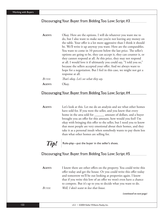## Discouraging Your Buyer from Bidding Too Low: Script #3

| AGENT: | Okay. Here are the options. I will do whatever you want me to         |
|--------|-----------------------------------------------------------------------|
|        | do, but I also want to make sure you're not leaving any money on      |
|        | the table. Your offer is a lot more aggressive than I think it should |
|        | be. We'll write it up anyway you want. Here are the comparables.      |
|        | You want to come in 10 percent below the last price. The seller's     |
|        | options are going to be, they can accept it, they can counter it, or  |
|        | they cannot respond at all. At this price, they may not respond       |
|        | at all. I would love it if ultimately you could say, "I told you so," |
|        | because the sellers accepted your offer. And we always want to        |
|        | hope for a negotiation. But I feel in this case, we might not get a   |
|        | response at all.                                                      |
| BUYER: | That's okay. Let's see what they say.                                 |
| AGENT: | )kay.                                                                 |

### Discouraging Your Buyer from Bidding Too Low: Script #4

**AGENT:** Let's look at this. Let me do an analysis and see what other homes have sold for. If you were the seller, and you knew that every home in the area sold for \_\_\_\_\_\_\_ amount of dollars, and a buyer brought you an offer for this amount, how would you feel? I'm okay with bringing this offer to the seller, but I need you to know that most people are very emotional about their homes, and they take it as a personal insult when somebody wants to pay them less than what other homes are selling for.

 $\textit{Tip}!$  Role-play—put the buyer in the seller's shoes.

## Discouraging Your Buyer from Bidding Too Low: Script #5

**AGENT:** I know there are other offers on the property. You could write this offer today and get the house. Or you could write this offer today and tomorrow we'll be out looking at properties again. I know that if you write this low of an offer we won't even have a chance to compete. But it's up to you to decide what you want to do. *BUYER: Well, I don't want to lose that house.*

*(continued on next page)*

122 v3.2 • ©2004 Keller Williams Realty, Inc.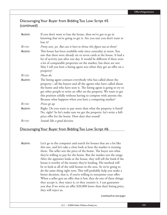## Discouraging Your Buyer from Bidding Too Low: Script #5 (continued)

| <b>AGENT:</b> | If you don't want to lose the house, then we've got to go in<br>knowing that we're going to get it. Are you sure you don't want to<br>lose it?                                                                                                                                                                                                                                                                |
|---------------|---------------------------------------------------------------------------------------------------------------------------------------------------------------------------------------------------------------------------------------------------------------------------------------------------------------------------------------------------------------------------------------------------------------|
| BUYER:        | Pretty sure, yes. But can it hurt to throw this figure out at them?                                                                                                                                                                                                                                                                                                                                           |
| AGENT:        | This house has been available only since yesterday at noon. You<br>saw that there were already six or seven cards at the house. It had a<br>lot of activity just after one day. It would be different if there were<br>a lot of comparable properties on the market, but there are not.<br>May I tell you how a listing agent acts when they get an offer on a<br>property?                                   |
| BUYER:        | Please do.                                                                                                                                                                                                                                                                                                                                                                                                    |
| AGENT:        | The listing agent contacts everybody who has called about the<br>property—all the buyers and all the agents who have called about<br>the home and who have seen it. The listing agent is going to try to<br>get other people to write an offer on the property. We want to get<br>this position solidly without having to compete with anyone else.<br>Because what happens when you have a competing market? |
| <b>BUYER:</b> | Prices go up.                                                                                                                                                                                                                                                                                                                                                                                                 |
| AGENT:        | Right. Do you want to pay more than what the property is listed?<br>No, right? So let's make sure we get the property: let's write a full-<br>price offer for the home. How does that sound?                                                                                                                                                                                                                  |
| BUYER:        | Sounds like a good decision.                                                                                                                                                                                                                                                                                                                                                                                  |

Discouraging Your Buyer from Bidding Too Low: Script #6

AGENT: Let's go to the computer and search for houses that are a lot like this one, and let's take a close look at how the market is treating them. The seller sets the price of the home. The buyer sets what they're willing to pay for the home. But the market sets the range. After the appraiser looks at the house, they will tell the bank if the house is worthy of the money they're lending. His method will be to look at all of the sold houses in the area. So we're going to do the same thing right now. This will probably help you make a better decision, that is, if you're willing to reexamine your offer. When a seller gets an offer that is low, they do one of three things: they accept it, they reject it, or they counter it. I can guarantee you that if we write an offer \$20,000 lower than their listing price, they will reject us.

#### *(continued on next page)*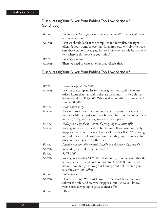## Discouraging Your Buyer from Bidding Too Low: Script #6 (continued)

| <b>BUYER:</b> | I don't want that. I just wanted to put out an offer that would create<br>a reasonable counter.                                                                                                                                                     |
|---------------|-----------------------------------------------------------------------------------------------------------------------------------------------------------------------------------------------------------------------------------------------------|
| AGENT:        | First we should look at the computer and formulate the right<br>offer. Nobody wants to over-pay for a property. My job is to make<br>sure that you don't over-pay. Just so I know, on a scale from one to<br>ten, where is this house in your mind? |
| <b>BUYER:</b> | Probably a twelve.                                                                                                                                                                                                                                  |
| AGENT:        | Then we need to write an offer that reflects that.                                                                                                                                                                                                  |

## Discouraging Your Buyer from Bidding Too Low: Script #7

| BUYER:        | I want to offer \$160,000.                                                                                                                                                                                                                                  |
|---------------|-------------------------------------------------------------------------------------------------------------------------------------------------------------------------------------------------------------------------------------------------------------|
| AGENT:        | I've run the comparables for the neighborhood and the lowest<br>priced home that has sold in the last six months-a very similar<br>house—sold for \$185,000. What makes you think this seller will<br>take \$160,000?                                       |
| <b>BUYER:</b> | It can't hurt to try.                                                                                                                                                                                                                                       |
| AGENT:        | We can throw it out there and see what happens. I'll see where<br>they are with their price on their bottom line. I'm not going to say<br>to them, "Hey, we're not going to pay your price."                                                                |
| BUYER:        | You'll just nudge them. I know they're going to counter offer.                                                                                                                                                                                              |
| AGENT:        | We're going to write the deal, but let me tell you what normally<br>happens. I've seen it because I work a lot with sellers. We're going<br>to insult these people with our low offer, they may counter at full<br>price, or they'll just reject the offer. |
| <b>BUYER:</b> | I don't want our offer rejected. I really love the home. Let's not do it.                                                                                                                                                                                   |
| AGENT:        | What do you think we should offer?                                                                                                                                                                                                                          |
| <b>BUYER:</b> | \$175,000?                                                                                                                                                                                                                                                  |
| AGENT:        | We're going to offer \$175,000, that's fine. Just understand that the<br>last house in the neighborhood sold for \$185,000. Put the seller's<br>hat on—you feel you have your home priced right; would you<br>take the \$175,000 offer?                     |
| <b>BUYER:</b> | Probably not.                                                                                                                                                                                                                                               |
| AGENT:        | Here's the thing. We don't know their personal situation. So let's<br>submit the offer and see what happens. But just so you know,<br>you're probably going to get a counter offer.                                                                         |
| <b>BUYER:</b> | Okay.                                                                                                                                                                                                                                                       |
|               |                                                                                                                                                                                                                                                             |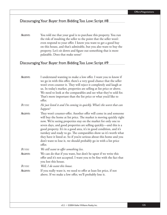**AGENT:** You told me that your goal is to purchase this property. You run the risk of insulting the seller to the point that the seller won't even respond to your offer. I know you want to get a good buy on this house, and that's admirable, but you also want to buy the property. Let's sit down and figure out something that is more palatable. Does that make sense?

#### Discouraging Your Buyer from Bidding Too Low: Script #9

| AGENT:        | I understand wanting to make a low offer. I want you to know if<br>we go in with this offer, there's a very good chance that the seller<br>won't even counter it. They will reject it completely and laugh at<br>us. In today's market, properties are selling at list price or above.<br>We need to look at the comparables and see what they've sold for.<br>That's more important than the list price or what you'd like to<br>offer.                                                                                                                                           |
|---------------|------------------------------------------------------------------------------------------------------------------------------------------------------------------------------------------------------------------------------------------------------------------------------------------------------------------------------------------------------------------------------------------------------------------------------------------------------------------------------------------------------------------------------------------------------------------------------------|
| <b>BUYER:</b> | He just listed it and I'm coming in quickly. What's the worst that can<br>happen?                                                                                                                                                                                                                                                                                                                                                                                                                                                                                                  |
| AGENT:        | They won't counter-offer. Another offer will come in and someone<br>will buy the home at list price. The market is moving quickly right<br>now. We're seeing properties stay on the market for only one to<br>seven days, and good properties are selling quickly-and this is a<br>good property. It's in a good area, it's in good condition, and it's<br>turnkey and ready to go. The comparables show us it's worth what<br>they have it listed at. So if you're serious about this home and you<br>don't want to lose it, we should probably go in with a list price<br>offer. |
| <b>BUYER:</b> | We still want to offer something less.                                                                                                                                                                                                                                                                                                                                                                                                                                                                                                                                             |
| AGENT:        | We can do that if you want, but don't be upset if we write this<br>offer and it's not accepted. I want you to be fine with the fact that<br>you lost this house.                                                                                                                                                                                                                                                                                                                                                                                                                   |
| <b>BUYER:</b> | Well, I do want this house.                                                                                                                                                                                                                                                                                                                                                                                                                                                                                                                                                        |
| <b>AGENT:</b> | If you really want it, we need to offer at least list price, if not<br>above. If we make a low offer, we'll probably lose it.                                                                                                                                                                                                                                                                                                                                                                                                                                                      |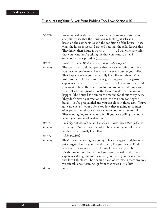| <b>AGENT:</b> | We've looked at about __ houses now. Looking at this market<br>analysis, we see that the house you're looking at sells at \$_                                                                                                                                                                                                                                                                                                                                                                                                                                                                                                                                                                                                                                                                                                                                                                                   |
|---------------|-----------------------------------------------------------------------------------------------------------------------------------------------------------------------------------------------------------------------------------------------------------------------------------------------------------------------------------------------------------------------------------------------------------------------------------------------------------------------------------------------------------------------------------------------------------------------------------------------------------------------------------------------------------------------------------------------------------------------------------------------------------------------------------------------------------------------------------------------------------------------------------------------------------------|
|               | based on the comparables and the condition of the house. That's                                                                                                                                                                                                                                                                                                                                                                                                                                                                                                                                                                                                                                                                                                                                                                                                                                                 |
|               | what the house is worth. I can tell you that the seller knows this.                                                                                                                                                                                                                                                                                                                                                                                                                                                                                                                                                                                                                                                                                                                                                                                                                                             |
|               | They know their house is worth $\frac{1}{2}$ . I will write any offer                                                                                                                                                                                                                                                                                                                                                                                                                                                                                                                                                                                                                                                                                                                                                                                                                                           |
|               | that you want. You're telling me that you want to offer \$<br>on a house that's priced at \$                                                                                                                                                                                                                                                                                                                                                                                                                                                                                                                                                                                                                                                                                                                                                                                                                    |
| BUYER:        | Right. Start low. What's the worst that could happen?                                                                                                                                                                                                                                                                                                                                                                                                                                                                                                                                                                                                                                                                                                                                                                                                                                                           |
| AGENT:        | The worst that could happen is they reject your offer, and then<br>you have to rewrite one. They may not even counter your offer.<br>That happens when you put a really low offer out there. It's an<br>insult to them. It can make the negotiating process a negative<br>experience rather than a positive one. The seller wants to sell and<br>you want to buy. The best thing for you to do is work out a win-<br>win deal without giving away the farm to make the transaction<br>happen. The house has been on the market for about thirty days.<br>They don't have a contract on it yet. You're a non-contingent<br>buyer-you're prequalified and you can close in thirty days. You've<br>got value here. If your offer is too low, they're going to counter-<br>offer you at the full-price, reject you, or counter close to full.<br>They're not going to take our offer. If you were selling the house |
|               | would you take an offer that low?                                                                                                                                                                                                                                                                                                                                                                                                                                                                                                                                                                                                                                                                                                                                                                                                                                                                               |
| BUYER:        | Probably not, but if I wanted to sell I'd counter lower than full price.                                                                                                                                                                                                                                                                                                                                                                                                                                                                                                                                                                                                                                                                                                                                                                                                                                        |
| AGENT:        | You might. But by the same token, how would you feel if you<br>received an extremely low offer?                                                                                                                                                                                                                                                                                                                                                                                                                                                                                                                                                                                                                                                                                                                                                                                                                 |
| BUYER:        | I'd be insulted.                                                                                                                                                                                                                                                                                                                                                                                                                                                                                                                                                                                                                                                                                                                                                                                                                                                                                                |
| AGENT:        | That's the same feeling he's going to have. I suggest a higher offer<br>price. Again, I want you to understand, I'm your agent. I'll do<br>whatever you want me to do. It's my fiduciary responsibility.<br>It's also my responsibility to tell you how this will work. I have<br>experience doing this and I can tell you that if you make an offer<br>that low, I think we'll be opening a can of worms. Is there any way<br>we can talk about coming up from that price a little bit?                                                                                                                                                                                                                                                                                                                                                                                                                        |
| <b>BUYER:</b> | Sure.                                                                                                                                                                                                                                                                                                                                                                                                                                                                                                                                                                                                                                                                                                                                                                                                                                                                                                           |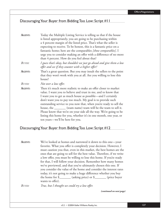| AGENT:        | Today the Multiple Listing Service is telling us that if the house<br>is listed appropriately, you are going to be purchasing within<br>a 4 percent margin of the listed price. That's what the seller is<br>expecting to receive. To be honest, this is a fantastic price on a<br>fantastic home; here are the comparables [show comparables]. I<br>urge you to consider making an offer with a difference of no more<br>than 4 percent. How do you feel about that?                                                                                                                     |
|---------------|-------------------------------------------------------------------------------------------------------------------------------------------------------------------------------------------------------------------------------------------------------------------------------------------------------------------------------------------------------------------------------------------------------------------------------------------------------------------------------------------------------------------------------------------------------------------------------------------|
| <b>BUYER:</b> | I guess that's okay, but shouldn't we just go ahead and give them a low<br>offer and see if they counter with a higher offer?                                                                                                                                                                                                                                                                                                                                                                                                                                                             |
| AGENT:        | That's a great question. But you may insult the sellers to the point<br>that they won't work with you at all. Are you willing to lose this<br>house?                                                                                                                                                                                                                                                                                                                                                                                                                                      |
| <b>BUYER:</b> | Not over a low offer.                                                                                                                                                                                                                                                                                                                                                                                                                                                                                                                                                                     |
| AGENT:        | Then it's much more realistic to make an offer closer to market<br>value. I want you to believe and trust in me, and to know that<br>I want you to get as much house as possible-and I certainly<br>don't want you to pay too much. My goal is to provide such<br>outstanding service to you now that, when you're ready to sell the<br>house, the ________ (team name) team will be the team to sell it.<br>Please know that we're on your side all the way. We're going to be<br>listing this home for you, whether it's in one month, one year, or<br>ten years—we'll be here for you. |
|               | Discouraging Your Buyer from Bidding Too Low: Script #12                                                                                                                                                                                                                                                                                                                                                                                                                                                                                                                                  |
| AGENT:        | We've looked at homes and narrowed it down to this one—vour                                                                                                                                                                                                                                                                                                                                                                                                                                                                                                                               |

**AGENT:** We've looked at homes and narrowed it down to this one—your favorite. What you offer is completely your decision. However, I must caution you that, even in this market, the best homes are the ones that are going to sell for the best value. Therefore, if we write a low offer, you must be willing to lose this home. If you're ready for that, I will follow your decision. Remember how many homes we've previewed, and that you've ultimately chosen this one. If you consider the value of the home and consider the interest rates today, it's not going to make a huge difference whether you buy the home for \$\_\_\_\_\_\_\_ (asking price) or \$\_\_\_\_\_\_\_ (price buyer wants to offer).

BUYER: True, but I thought we could try a low offer.

*(continued on next page)*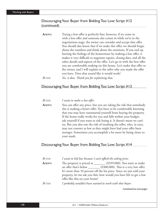#### Discouraging Your Buyer from Bidding Too Low: Script #12 (continued)

| AGENT: | Trying a low offer is perfectly fine; however, if we come in            |
|--------|-------------------------------------------------------------------------|
|        | with a low offer and someone else comes in while we're in the           |
|        | negotiations stage, the owner can consider and accept that offer.       |
|        | You should also know that if we make this offer, we should forget       |
|        | about the numbers and think about the emotions. If you end up           |
|        | hurting the feelings of the homeowner by making a low offer, it         |
|        | makes it very difficult to negotiate repairs, closing date, and all the |
|        | other details and aspects of the offer. Let's go in with the best offer |
|        | you are comfortable making on this house. Let's make that offer to      |
|        | the owner, and I will explain to the seller why you made the offer      |
|        | you have. Does that sound like it would work?                           |
| BUYER: | Yes, it does. Thank you for explaining that.                            |

#### Discouraging Your Buyer from Bidding Too Low: Script #13

| Buyer:        | I want to make a low offer.                                           |
|---------------|-----------------------------------------------------------------------|
| <b>AGENT:</b> | You can offer any price, but you are taking the risk that somebody    |
|               | else is making a better offer. You have to be comfortable knowing     |
|               | that you may have outsmarted yourself from buying the property.       |
|               | If the home really works for you and falls within your budget,        |
|               | ask yourself if you want to risk losing it. It doesn't mean we can't  |
|               | try. But you also run the risk of insulting the seller, who, in turn, |
|               | may not counter as low as they might have had your offer been         |
|               | stronger. Sometimes you accomplish a lot more by being closer to      |
|               | your mark.                                                            |

#### Discouraging Your Buyer from Bidding Too Low: Script #14

| <b>BUYER:</b> | I want to bid low because I can't afford the asking price.                                                                                                                                                                                                                                                                |
|---------------|---------------------------------------------------------------------------------------------------------------------------------------------------------------------------------------------------------------------------------------------------------------------------------------------------------------------------|
| AGENT:        | The property is priced at _______ (\$339,000). You want to make<br>an offer that's below ________ (\$300,000). This is a very low offer.<br>It's more than 10 percent off the list price. Since we just sold your<br>property, let me ask you this: how would you have felt to get a low<br>offer like this on your home? |
| BUYER:        | I probably wouldn't have wanted to work with that buyer.                                                                                                                                                                                                                                                                  |

*(continued on next page)*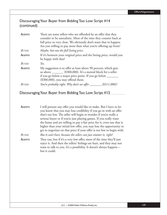#### Discouraging Your Buyer from Bidding Too Low: Script #14 (continued)

| AGENT:     | There are some sellers who are offended by an offer that they<br>consider to be unrealistic. Most of the time they counter back at<br>full price or very close. We obviously don't want that to happen.<br>Are you willing to pay more than what you're offering up front? |
|------------|----------------------------------------------------------------------------------------------------------------------------------------------------------------------------------------------------------------------------------------------------------------------------|
| BUYER:     | Maybe, but not the full listing price.                                                                                                                                                                                                                                     |
| AGENT:     | If it's between your original price and the listing price, would you<br>be happy with that?                                                                                                                                                                                |
| $B_{UVER}$ | Yes.                                                                                                                                                                                                                                                                       |
| AGENT:     | My suggestion is to offer at least above 90 percent, which gets<br>us above _______ (\$300,000). It's a mental block for a seller<br>if you go below a major price point. If you go below _____<br>$(\$300,000)$ , you may offend them.                                    |
| $R_{UVER}$ | You're probably right. Why don't we offer<br>$($311,000)$ ?                                                                                                                                                                                                                |

#### Discouraging Your Buyer from Bidding Too Low: Script #15

**AGENT:** I will present any offer you would like to make. But I have to let you know that you may lose credibility if you go in with an offer that's too low. The seller will begin to wonder if you're really a serious buyer or if you're just playing games. If you really want the home and are willing to pay a fair price for it, even one that is higher than your initial low offer, you may lose the opportunity to get to negotiate on that price if your offer is too low to begin with. *BUYER: But it can't hurt, because the sellers can just counter it, right?* **AGENT:** They can, but if it's a very low offer, most of the time they'll just reject it. And then the sellers' feelings are hurt, and they may not want to talk to you. It's a possibility. It doesn't always happen but it could.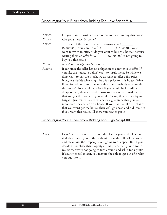| <b>AGENT:</b> | Do you want to write an offer, or do you want to buy this house?                                                                                                                                                                                                                                                                                                                                                                                                                                                                                                                                                                                                                                                                                                                                                   |
|---------------|--------------------------------------------------------------------------------------------------------------------------------------------------------------------------------------------------------------------------------------------------------------------------------------------------------------------------------------------------------------------------------------------------------------------------------------------------------------------------------------------------------------------------------------------------------------------------------------------------------------------------------------------------------------------------------------------------------------------------------------------------------------------------------------------------------------------|
| BUYER:        | Can you explain that to me?                                                                                                                                                                                                                                                                                                                                                                                                                                                                                                                                                                                                                                                                                                                                                                                        |
| AGENT:        | The price of the home that we're looking at is $\frac{1}{2}$<br>(\$200,000). You want to offer\$ ________ (\$180,000). Do you<br>want to write an offer, or do you want to buy this house? Because<br>writing them an offer for $\frac{1}{2}$ (\$180,000) is not going to<br>buy you this house.                                                                                                                                                                                                                                                                                                                                                                                                                                                                                                                   |
| BUYER:        | It can't hurt to offer too low, can it?                                                                                                                                                                                                                                                                                                                                                                                                                                                                                                                                                                                                                                                                                                                                                                            |
| AGENT:        | It can since the seller has no obligation to counter your offer. If<br>you like the house, you don't want to insult them. So while we<br>don't want to pay too much, we do want to offer a fair price.<br>Now, let's decide what might be a fair price for this house. What<br>if you found out tomorrow morning that somebody else bought<br>this house? How would you feel? If you would be incredibly<br>disappointed, then we need to structure our offer to make sure<br>that you get this house. If you wouldn't care, then we can try to<br>bargain. Just remember, there's never a guarantee that you get<br>more than one chance on a house. If you want to take the chance<br>that you won't get the house, then we'll go ahead and bid low. But<br>if you want this house, I'll show you how to get it. |

#### Discouraging Your Buyer from Bidding Too High: Script #1

AGENT: I won't write this offer for you today. I want you to think about it all day. I want you to think about it tonight. I'll call the agent and make sure the property is not going to disappear. But if you decide to purchase this property at this price, then you've got to realize that we're not going to turn around and sell it for a profit. If you try to sell it later, you may not be able to get out of it what you put into it.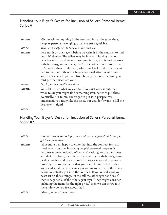Handling Your Buyer's Desire for Inclusion of Seller's Personal Items: Script #1

| <b>AGENT:</b><br><b>BUYER:</b> | We can ask for anything in the contract, but at the same time,<br>people's personal belongings usually aren't negotiable.<br>Well, we'd really like to have it in the contract.                                                                                                                                                                                                                                                                                                                                                             |
|--------------------------------|---------------------------------------------------------------------------------------------------------------------------------------------------------------------------------------------------------------------------------------------------------------------------------------------------------------------------------------------------------------------------------------------------------------------------------------------------------------------------------------------------------------------------------------------|
| <b>AGENT:</b>                  | Let's run it by their agent before we write it in the contract to find<br>out if it's doable. The sellers may be fine with leaving the pool<br>table because they don't want to move it. But, if this antique stove<br>is their great-grandmother's, they're not going to want to part with<br>it. So rather than insult them, why don't I talk to the other agent<br>first to find out if there is a huge emotional attachment or not.<br>You're not going to pull out from buying the house because you<br>can't get that piece, are you? |
| BUYER:                         | No, it just looks really nice there.                                                                                                                                                                                                                                                                                                                                                                                                                                                                                                        |
| AGENT:                         | Well, let me see what we can do. If we can't work it out, then<br>who's to say you might find something even better to put there<br>eventually. But to me, you've got to put it in perspective: I<br>understand you really like the piece, but you don't want to kill the<br>deal over it, right?                                                                                                                                                                                                                                           |
| Buyer:                         | No.                                                                                                                                                                                                                                                                                                                                                                                                                                                                                                                                         |

#### Handling Your Buyer's Desire for Inclusion of Seller's Personal Items: Script #2

*BUYER: Can we include the antique stove and the claw-footed tub? Can you get them to do that?* **AGENT:** I'd be more than happy to write that into the contract for you. I feel when you start involving people's personal property it becomes more emotional. When you're asking for their antiques and their furniture, it's different than asking for their refrigerator or their washer and dryer. I don't like to get involved in personal property. If those are items that you want, let me call the other agent and see if the sellers are even willing to part with the items before we actually put it in the contract. If you've really got your heart set on those things, let me call the other agent and see if they're negotiable. If the other agent says, "They might consider including the items for the right price," then we can throw it in there. How do you feel about that? *BUYER: Okay. If it doesn't make waves.*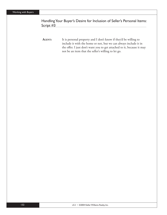#### Handling Your Buyer's Desire for Inclusion of Seller's Personal Items: Script #3

AGENT: It is personal property and I don't know if they'd be willing to include it with the home or not, but we can always include it in the offer. I just don't want you to get attached to it, because it may not be an item that the seller's willing to let go.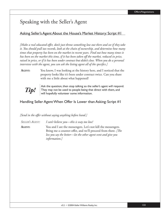## Speaking with the Seller's Agent

#### Asking Seller's Agent About the House's Market History: Script #1

[Make a real educated offer, don't just throw something low out there and see if they take *it. You should pull tax records, look at the chain of ownership, and determine how many times that property has been on the market in recent years. Find out how many times it has been on the market this time, if it has been taken off the market, reduced in price, raised in price, or if it has been under contract but didn't close. When you do a personal interview with the agent, you can ask the listing agent all of the specifics.]* 

**AGENT:** You know, I was looking at the history here, and I noticed that the property looks like it's been under contract twice. Can you share with me a little about what happened?



Ask the question, then stop talking so the seller's agent will respond.<br>
They may not be used to people being that direct with them, and<br>
will bonefully volunteer some information They may not be used to people being that direct with them, and will hopefully volunteer some information.

#### Handling Seller Agent When Offer Is Lower than Asking: Script #1

*[Send in the offer without saying anything before hand.]* 

*SELLER'S AGENT: I can't believe you—this is way too low!* AGENT: You and I are the messengers. Let's not kill the messengers. Bring me a counter-offer, and we'll proceed from there. *[The less you say the better—let the other agent vent and give you information.]*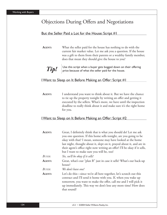## Objections During Offers and Negotiations

#### But the Seller Paid a Lot for the House: Script #1

**AGENT:** What the seller paid for the house has nothing to do with the current fair market value. Let me ask you a question. If the house was a gift to them from their parents or a wealthy family member, does that mean they should give the house to you?



*Tip!* Use this script when a buyer gets bogged down on their offering price because of what the seller paid for the house. price because of what the seller paid for the house.

#### I Want to Sleep on It Before Making an Offer: Script #1

**AGENT:** I understand you want to think about it. But we have the chance to tie up the property tonight by writing an offer and getting it executed by the sellers. What's more, we have until the inspection deadline to really think about it and make sure it's the right home for you.

#### I Want to Sleep on It Before Making an Offer: Script #2

| <b>AGENT:</b> | Great, I definitely think that is what you should do! Let me ask                                                                                                                                         |
|---------------|----------------------------------------------------------------------------------------------------------------------------------------------------------------------------------------------------------|
|               | you one question. If this home sells tonight, are you going to be                                                                                                                                        |
|               | okay with that? I mean, someone may have looked at the home                                                                                                                                              |
|               | last night, thought about it, slept on it, prayed about it, and are in                                                                                                                                   |
|               | their agent's office right now writing an offer! I'll be okay if it sells,                                                                                                                               |
|               | but I want to make sure you will be, too!                                                                                                                                                                |
| <b>BUYER:</b> | Yes, we'll be okay if it sells!                                                                                                                                                                          |
| <b>AGENT:</b> | Great, what's our "plan B" just in case it sells? What's our back-up                                                                                                                                     |
|               | house?                                                                                                                                                                                                   |
| BUYER:        | We don't have one!                                                                                                                                                                                       |
| <b>AGENT:</b> | Let's do this—since we're all here together, let's scratch out this<br>contract and I'll send it home with you. If, when you wake up<br>tomorrow, you want to make the offer, call me and I will pick it |
|               | up immediately. This way we don't lose any more time! How does                                                                                                                                           |
|               | that sound?                                                                                                                                                                                              |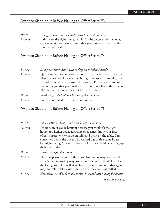#### I Want to Sleep on It Before Making an Offer: Script #3

#### *BUYER: It's a great house, but we really need time to think it over.* AGENT: If this were the right house, wouldn't it be better to decide today vs. waking up tomorrow to find that your home is already under another contract?

## I Want to Sleep on It Before Making an Offer: Script #4

| <b>BUYER:</b> | It's a great house. But I need to sleep on it before I decide.                                                                                                                                    |
|---------------|---------------------------------------------------------------------------------------------------------------------------------------------------------------------------------------------------|
| AGENT:        | I just want you to know—that house may not be there tomorrow.<br>That may sound like a sales pitch to get you to write an offer, but                                                              |
|               | as I told you when we started this process, I'm a sales consultant.<br>Part of the job that you hired me to do is to teach you the process.<br>The fact is, that house may not be there tomorrow. |
| <b>BUYER:</b> | That's okay, we'll find another one if that happens.                                                                                                                                              |
| AGENT:        | I want you to make that decision, not me.                                                                                                                                                         |

#### I Want to Sleep on It Before Making an Offer: Script #5

| BUYER:        | I am a little hesitant. I think it's best if I sleep on it.                                                                                                                                                                                                                                                                                                             |
|---------------|-------------------------------------------------------------------------------------------------------------------------------------------------------------------------------------------------------------------------------------------------------------------------------------------------------------------------------------------------------------------------|
| <b>AGENT:</b> | I'm not sure if you're hesitant because you think it's the right<br>house or whether you're just concerned since this is your first<br>offer. I suggest we write up an offer and get it on the table. I am<br>concerned about the buyer who walked out of that same house<br>last night saying, "I want to sleep on it". They could be writing up<br>their offer today. |
| BUYER:        | I never thought about that.                                                                                                                                                                                                                                                                                                                                             |
| <b>AGENT:</b> | The next person who sees the house later today may not have the<br>same hesitation—they may just submit the offer. While I can let<br>the listing agent know that we have continued interest, that agent<br>may not call to let us know that an offer has been submitted.                                                                                               |
| BUYER:        | If we write an offer, does that mean I'm locked into buying the house?                                                                                                                                                                                                                                                                                                  |
|               | (continued on next page)                                                                                                                                                                                                                                                                                                                                                |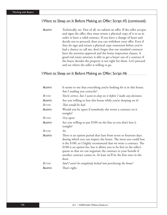#### I Want to Sleep on It Before Making an Offer: Script #5 (continued)

AGENT: Technically, no. First of all, we submit an offer. If the seller accepts and signs the offer, they must return a physical copy of it to us in order to have a valid contract. If you have a change of heart and decide not to proceed, then you can withdraw your offer. Even if they do sign and return a physical copy tomorrow before you've had a chance to call me, don't forget that our standard contracts have the attorney-approval and the home inspection clauses. A good real estate attorney is able to get a buyer out of a contract if the buyer decides the property is not right for them. Let's proceed and see where the seller is willing to go.

#### I Want to Sleep on It Before Making an Offer: Script #6

| AGENT:        | It seems to me that everything you're looking for is in this house.<br>Am I reading you correctly?                                                                                                                                                                                                                                                                                                                                |
|---------------|-----------------------------------------------------------------------------------------------------------------------------------------------------------------------------------------------------------------------------------------------------------------------------------------------------------------------------------------------------------------------------------------------------------------------------------|
| <b>BUYER:</b> | You're correct, but I want to sleep on it before I make any decisions.                                                                                                                                                                                                                                                                                                                                                            |
| AGENT:        | Are you willing to lose this house while you're sleeping on it?                                                                                                                                                                                                                                                                                                                                                                   |
| BUYER:        | That would be bad.                                                                                                                                                                                                                                                                                                                                                                                                                |
| AGENT:        | Would you be upset if somebody else wrote a contract on it<br>tonight?                                                                                                                                                                                                                                                                                                                                                            |
| BUYER:        | Very upset.                                                                                                                                                                                                                                                                                                                                                                                                                       |
| AGENT:        | Are you willing to put \$100 on the line so you don't lose it<br>tonight?                                                                                                                                                                                                                                                                                                                                                         |
| <b>BUYER:</b> | Yes.                                                                                                                                                                                                                                                                                                                                                                                                                              |
| AGENT:        | There is an option period that lasts from seven to fourteen days<br>during which you can inspect the home. The most you could lose<br>is the \$100, so I highly recommend that we write a contract. The<br>\$100 is an option fee, but it allows you to be first in the seller's<br>queue so that we can negotiate the contract to your benefit if<br>another contract comes in. At least we'll be the first ones in the<br>door. |
| <b>BUYER:</b> | And I won't be completely locked into purchasing the home?                                                                                                                                                                                                                                                                                                                                                                        |
| AGENT:        | That's right.                                                                                                                                                                                                                                                                                                                                                                                                                     |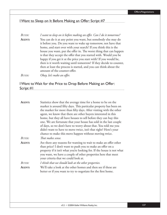#### I Want to Sleep on It Before Making an Offer: Script #7

*BUYER:* I want to sleep on it before making an offer. Can I do it tomorrow? **AGENT:** You can do it at any point you want, but somebody else may do it before you. Do you want to wake up tomorrow, not have that home, and start over with your search? If you think this is the house you want, put the offer in. The worst thing that can happen is that they accept the offer that you started with. Would you be happy if you get it at the price you start with? If you would be, then is it worth waiting until tomorrow? If they decide to counter, then at least the process is started, and you can think about the amount of the counter-offer. *BUYER:* Okay, let's make an offer.

#### I Want to Wait for the Price to Drop Before Making an Offer: Script #1

| AGENT:        | Statistics show that the average time for a home to be on the          |
|---------------|------------------------------------------------------------------------|
|               | market is around fifty days. This particular property has been on      |
|               | the market for more than fifty days. After visiting with the other     |
|               | agent, we know that there are other buyers interested in this          |
|               | home, but they all have houses to sell before they can buy this        |
|               | one. We are fortunate that your house has sold in the last couple      |
|               | of days, so we don't have to worry about that. You told me you         |
|               | didn't want to have to move twice, isn't that right? Here's your       |
|               | chance to make this move happen without moving twice.                  |
| BUYER:        | That makes sense.                                                      |
| <b>AGENT:</b> | Are there any reasons for wanting to wait to make an offer other       |
|               | than price? I don't want to push you to make an offer on a             |
|               | property if it isn't what you're looking for. If the house is not what |
|               | you want, we have a couple of other properties here that meet          |
|               | your criteria that we could look at.                                   |
| <b>BUYER:</b> | I think that we should look at the other properties.                   |
| AGENT:        | We'll take a look at the other homes and then see if these are         |
|               | better or if you want to try to negotiate for the first home.          |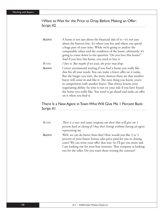### I Want to Wait for the Price to Drop Before Making an Offer: Script #2

| <b>AGENT:</b> | A home is not just about the financial side of it-it's not just    |
|---------------|--------------------------------------------------------------------|
|               | about the bottom line. It's where you live and where you spend     |
|               | a huge part of your time. While we're going to analyze the         |
|               | comparable values and the condition of the home, ultimately, it's  |
|               | going to come down to the question "Do you love this home?"        |
|               | And if you love this home, you need to buy it.                     |
| <b>BUYER:</b> | I love it. But maybe if we wait, the price may drop.               |
| AGENT:        | I never recommend waiting if you find a home you really like       |
|               | that fits all your needs. You can make a lower offer on it today.  |
|               | But the longer you wait, the more chances there are that another   |
|               | buyer will come in and like it. The next thing you know, you're    |
|               | in competition with another buyer. That always lessens your        |
|               | negotiating ability. So time is not on your side if you have found |
|               | the home you really like. You need to go ahead and make an offer   |
|               | on it when you find it.                                            |

#### There Is a New Agent in Town Who Will Give Me 1 Percent Back: Script #1

| <b>BUYER:</b> | There is a new real estate company out there that will give me 1<br>percent back at closing if I buy their listings without having an agent<br>representing me.                                                                                                                                                                         |
|---------------|-----------------------------------------------------------------------------------------------------------------------------------------------------------------------------------------------------------------------------------------------------------------------------------------------------------------------------------------|
| AGENT:        | Well, we can do better than that! How would you like 2 or 3<br>percent of your future homes sales price paid for you in closing<br>costs? We can write your offer that way. So I'll get you more and<br>I am looking out for your best interests. That company is looking<br>out for the seller. Do you want them writing the contract? |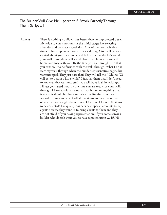The Builder Will Give Me 1 percent if I Work Directly Through Them: Script #1

**AGENT:** There is nothing a builder likes better than an unprotected buyer. My value to you is not only at the initial stages like selecting a builder and contract negotiation. One of the most valuable times to have representation is at walk through! You will be very excited about your new home and before the builder let's you do your walk through he will spend close to an hour reviewing the home warranty with you. By the time you are through with that you can't wait to be finished with the walk through. What I do is start my walk through when the builder representative begins his warranty spiel. They just hate that! They will tell me, "Oh, no! We will get to that in a little while!" I just tell them that I don't need to know all that warranty stuff (you will have it all in writing), I'll just get started now. By the time you are ready for your walk through, I have absolutely scoured that house for anything that is not as it should be. You can review the list after you have walked through and check off all the items you want taken care of whether you caught them or not! One time I found 105 items to be corrected! The quality builders have special accounts to pay agents because they want us to bring clients to them and they are not afraid of you having representation. If you come across a builder who doesn't want you to have representation … RUN!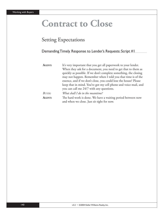# **Contract to Close**

## Setting Expectations

#### Demanding Timely Response to Lender's Requests: Script #1

| AGENT: | It's very important that you get all paperwork to your lender.   |
|--------|------------------------------------------------------------------|
|        | When they ask for a document, you need to get that to them as    |
|        | quickly as possible. If we don't complete something, the closing |
|        | may not happen. Remember when I told you that time is of the     |
|        | essence, and if we don't close, you could lose the house? Please |
|        | keep that in mind. You've got my cell phone and voice mail, and  |
|        | you can call me 24/7 with any questions.                         |
| BUYER: | What shall I do in the meantime?                                 |
| AGENT: | The hard work is done. We have a waiting period between now      |
|        | and when we close. Just sit tight for now.                       |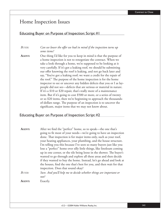## Home Inspection Issues

#### Educating Buyer on Purpose of Inspection: Script #1

#### *BUYER: Can we lower the offer we had in mind if the inspection turns up some items?*

**AGENT:** One thing I'd like for you to keep in mind is that the purpose of a home inspection is not to renegotiate the contract. When we take a look through a home, we're supposed to be looking at it very carefully. If it's got a leaking roof, we should be submitting our offer knowing the roof is leaking, and not go back later and say, "You've got a leaking roof; we want a credit for the repair of the roof." The purpose of the home inspection is for the home inspector to see or uncover any hidden defects that you or I as laypeople did not see—defects that are serious or material in nature. If it's a \$10 or \$20 repair, that's really more of a maintenance item. But if it's going to cost \$500 or more, or a series of twenty or so \$20 items, then we're beginning to approach the thousandsof-dollars range. The purpose of an inspection is to uncover the significant, major items that we may not know about.

#### Educating Buyer on Purpose of Inspection: Script #2

| AGENT:        | After we find the "perfect" home, so to speak—the one that's<br>going to fit most of your needs—we're going to have an inspection |
|---------------|-----------------------------------------------------------------------------------------------------------------------------------|
|               | done. That inspection is for major items only, such as your roof,                                                                 |
|               | your heating appliances, your plumbing, and the house structure.                                                                  |
|               | I'm telling you this because I've seen so many buyers just like you                                                               |
|               | lose a "perfect" home over silly little things, like linoleum coming                                                              |
|               | up in one corner, or the tile being loose in the shower. The buyer's                                                              |
|               | wanted to go through and explore all these areas and then decide                                                                  |
|               | if they wanted to buy the home. Instead, let's go ahead and look at                                                               |
|               | the houses, find the one that's best for you, and then wait for that                                                              |
|               | inspection. Does that sound okay?                                                                                                 |
| <b>BUYER:</b> | Sure. And you'll help me to decide whether things are important or                                                                |
|               | not?                                                                                                                              |
| <b>AGENT:</b> | Exactly.                                                                                                                          |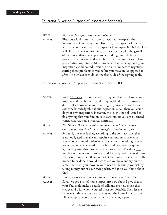#### Educating Buyer on Purpose of Inspection: Script #3

*BUYER:* The house looks fine. Why do an inspection?

**AGENT:** The house looks fine—you are correct. Let me explain the importance of an inspection. First of all, the inspector inspects what you and I can't see. The inspector is an expert in his field. He will check the air-conditioning, the heating, the plumbing—all of the things that may appear to be working properly but are prone to malfunction and wear. It's also important for us to have pest-control inspections. Most problems that come up during an inspection can be solved. I want to be sure I'm here to negotiate getting those problems solved before you move in, as opposed to after. It's a lot easier to do on the front side of the signing table.

#### Educating Buyer on Purpose of Inspection: Script #4

| AGENT:        | Well, Mr. Buyer, I recommend to everyone that they have a home<br>inspection done. It's kind of like buying blind if you don't—you<br>don't really know what you're getting. If you're a contractor or<br>someone knowledgeable about inspection issues, then you could<br>do your own inspection. However, the seller is not obligated to<br>fix anything that you find on your own, unless you are a licensed<br>contractor. Are you a licensed contractor?                                                                                                                                                                                                                                                    |
|---------------|------------------------------------------------------------------------------------------------------------------------------------------------------------------------------------------------------------------------------------------------------------------------------------------------------------------------------------------------------------------------------------------------------------------------------------------------------------------------------------------------------------------------------------------------------------------------------------------------------------------------------------------------------------------------------------------------------------------|
| BUYER:        | No, I'm not. But I've owned several homes and I have an eye for<br>electrical and structural issues. I thought I'd inspect it myself.                                                                                                                                                                                                                                                                                                                                                                                                                                                                                                                                                                            |
| AGENT:        | As I said, the issue is that, according to the contract, the seller<br>is not obligated to make any repairs you find on your own if<br>you're not a licensed professional. If you find something, you're<br>not going to be able to ask that it be fixed. You could request<br>it, but they wouldn't have to do it, contractually. I've done ____<br>number of transactions this year, and I've only had one in all those<br>transactions in which there weren't at least some repairs that really<br>needed to be done. I would hate to see you leave money on the<br>table, and when you move in you'd need to fix things yourself by<br>taking money out of your own pocket. What do you think about<br>that? |
| <b>BUYER:</b> | I think you're right. Can you help me set up a home inspection?                                                                                                                                                                                                                                                                                                                                                                                                                                                                                                                                                                                                                                                  |
| AGENT:        | Sure, I've got a list of home inspectors; how about I give that to<br>you? You could make a couple of calls and see how much they<br>charge and with whom you feel most comfortable. Then let me<br>know what time works best for you and the home inspector, and<br>I'll be happy to coordinate that with the listing agent.                                                                                                                                                                                                                                                                                                                                                                                    |

142 v3.2 • ©2004 Keller Williams Realty, Inc.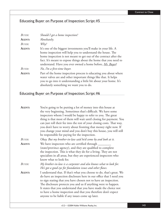### Educating Buyer on Purpose of Inspection: Script #5

| BUYER: | Should I get a home inspection?                                                                                                     |
|--------|-------------------------------------------------------------------------------------------------------------------------------------|
| AGENT: | Absolutely.                                                                                                                         |
| BUYER: | Why?                                                                                                                                |
| AGENT: | It's one of the biggest investments you'll make in your life. A                                                                     |
|        | home inspection will help you to understand the house. The                                                                          |
|        | home inspection is not meant to get out of the contract after the                                                                   |
|        | fact. It's meant to expose things about the home that you need to                                                                   |
|        | understand. Have you ever owned a home before, Mr. Buyer?                                                                           |
| BUYER: | No, I'm a first-time buyer.                                                                                                         |
| AGENT: | Part of the home inspection process is educating you about where<br>water valves are and other important things like that. It helps |
|        | you to go into it understanding a little bit about your home. It's                                                                  |
|        | absolutely something we want you to do.                                                                                             |

Educating Buyer on Purpose of Inspection: Script #6

| AGENT:        | You're going to be putting a lot of money into this house at<br>the very beginning. Sometimes that's difficult. We have some<br>inspectors whom I would be happy to refer to you. The great<br>thing is that most of them will wait until closing for payment. You<br>can just roll their fee into the rest of your closing costs. That way,<br>you don't have to worry about fronting that money right now. If<br>you change your mind and you don't buy this house, you will still<br>be responsible for paying for the inspection. |
|---------------|---------------------------------------------------------------------------------------------------------------------------------------------------------------------------------------------------------------------------------------------------------------------------------------------------------------------------------------------------------------------------------------------------------------------------------------------------------------------------------------------------------------------------------------|
| <b>BUYER:</b> | Okay. But my brother-in-law said he'd come by and look at it.                                                                                                                                                                                                                                                                                                                                                                                                                                                                         |
| <b>AGENT:</b> | We have inspectors who are certified through<br>(state/province agency), and they are qualified to complete<br>the inspection. This is what they do for a living. They are not<br>specialists in all areas, but they are experienced inspectors who<br>know what to look for.                                                                                                                                                                                                                                                         |
| BUYER:        | My brother-in-law is a carpenter and also knows what to look for.<br>He's got a good eye for foundation issues and other flaws.                                                                                                                                                                                                                                                                                                                                                                                                       |
| AGENT:        | I understand that. If that's what you choose to do, that's great. We<br>do have an inspection disclosure here in our office that I need you<br>to sign stating that you have chosen not to have an inspection.<br>The disclosure protects you and us if anything were to happen.<br>It states that you understand that you have made the choice not<br>to have a home inspection and that you therefore don't expect<br>anyone to be liable if any issues come up later.                                                              |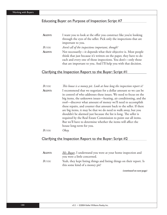#### Educating Buyer on Purpose of Inspection: Script #7

| <b>AGENT:</b> | I want you to look at the offer you construct like you're looking  |
|---------------|--------------------------------------------------------------------|
|               | through the eyes of the seller. Pick only the inspections that are |
|               | important to you.                                                  |
| BUYER:        | Aren't all of the inspections important, though?                   |
| <b>AGENT:</b> | Not necessarily-it depends what their objective is. Most people    |
|               | think that just because it's written on the paper, they have to do |
|               | each and every one of those inspections. You don't-only those      |
|               | that are important to you. And I'll help you with that decision.   |

#### Clarifying the Inspection Report to the Buyer: Script #1

| <b>BUYER:</b> | This house is a money pit. Look at how long the inspection report is! |
|---------------|-----------------------------------------------------------------------|
| <b>AGENT:</b> | I recommend that we negotiate for a dollar amount so we can be        |
|               | in control of who addresses these issues. We need to focus on the     |
|               | big items, the unknown issues—heating, air conditioning, and the      |
|               | roof—discover what amount of money we'll need to accomplish           |
|               | these repairs, and counter that amount back to the seller. If there   |
|               | are big items, it may be that we do need to walk away, but you        |
|               | shouldn't be alarmed just because the list is long. The seller is     |
|               | required by the Real Estate Commission to point out all items.        |
|               | But we'll have to determine whether the items will affect the         |
|               | house long-term for you.                                              |
| <b>BUYER:</b> | Okay.                                                                 |

#### Clarifying the Inspection Report to the Buyer: Script #2

| Agent: | <i>Mr. Buyer</i> , I understand you were at your home inspection and                                    |
|--------|---------------------------------------------------------------------------------------------------------|
|        | you were a little concerned.                                                                            |
| Buyer: | Yeah, they kept listing things and listing things on their report. Is<br>this some kind of a money pit? |
|        |                                                                                                         |

*(continued on next page)*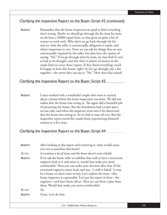#### Clarifying the Inspection Report to the Buyer: Script #2 (continued)

**AGENT:** Remember that the home inspectors are paid to find everything that's wrong. Maybe we should go through the list item-by-item; we do have a \$3000 repair limit, so that gives us quite a bit of money to work with. Why don't we go back through the list and see what the seller is contractually obligated to repair, and what's important to you. Now, we can ask for things that are not contractually required by the seller, but they have the option of saying, "No." If we go through item-by-item, we may find it's not as bad as we thought, and that there is plenty of money in the repair limit to cover those repairs. If they fixed everything, you'd be happy to have this house, right? So let's go through, put a list together—the worst they can say is, "No." How does that sound?

#### Clarifying the Inspection Report to the Buyer: Script #3

**AGENT:** I once worked with a wonderful couple who were so excited about a house before the home inspection was done. We did not realize that the home was caving in. The agent did a beautiful job of presenting the house. But the foundation had a crawl space on one side, and when the inspector went into it he discovered that the house was caving in. So we had to start all over. But the inspection report saved the couple from experiencing financial trauma in a few years.

#### Clarifying the Inspection Report to the Buyer: Script #4

| AGENT:     | After looking at this report and reviewing it, what would cause<br>you not to purchase this home?                                                                                                                                                                                                                                                                                                                                                                                                                                   |
|------------|-------------------------------------------------------------------------------------------------------------------------------------------------------------------------------------------------------------------------------------------------------------------------------------------------------------------------------------------------------------------------------------------------------------------------------------------------------------------------------------------------------------------------------------|
| BUYER:     | It mentions a lot of items and the home doesn't seem reliable.                                                                                                                                                                                                                                                                                                                                                                                                                                                                      |
| AGENT:     | If we ask the home seller to stabilize that wall or have a structural<br>engineer look at it and assess it, would that make you more<br>comfortable? Then you can make your decision after that. If the<br>structural engineer comes back and says, "a wall is failed," it may<br>be a house we don't want to buy. Let's explore the issue—this<br>home inspector is a generalist. Let's get the expert in here—the<br>engineer—and have them tell us. Then we can form a plan from<br>there. Would that make you more comfortable? |
| $B_{UVER}$ | Yes.                                                                                                                                                                                                                                                                                                                                                                                                                                                                                                                                |
| AGENT:     | Great. Let's do that.                                                                                                                                                                                                                                                                                                                                                                                                                                                                                                               |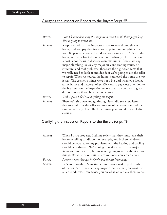#### Clarifying the Inspection Report to the Buyer: Script #5

| <b>BUYER:</b> | I can't believe how long this inspection report is! It's three pages long.<br>This is going to break me.                                                                                                                                                                                                                                                                                                                                                                                                                                                                                                                                                                                                                                                                                                                                                                               |
|---------------|----------------------------------------------------------------------------------------------------------------------------------------------------------------------------------------------------------------------------------------------------------------------------------------------------------------------------------------------------------------------------------------------------------------------------------------------------------------------------------------------------------------------------------------------------------------------------------------------------------------------------------------------------------------------------------------------------------------------------------------------------------------------------------------------------------------------------------------------------------------------------------------|
| AGENT:        | Keep in mind that the inspectors have to look thoroughly at a<br>home, and you pay that inspector to point out everything that is<br>not 100 percent correct. That does not mean you can't live in the<br>home, or that it has to be repaired immediately. The inspection<br>report is not for us to discover cosmetic issues. If there are any<br>major plumbing issues, any major air-conditioning issues, or<br>structural and roof problems, those are the big ticket items that<br>we really need to look at and decide if we're going to ask the seller<br>to repair. When we toured the home, you loved the home the way<br>it was. The cosmetic things were not a big deal when you looked<br>at the home and made an offer. We want to pay close attention to<br>the big items on the inspection report that may cost you a great<br>deal of money if you buy the home as-is. |
| <b>BUYER:</b> | Well, I guess I don't see anything too major.                                                                                                                                                                                                                                                                                                                                                                                                                                                                                                                                                                                                                                                                                                                                                                                                                                          |
| AGENT:        | Then we'll sit down and go through it—I did see a few items<br>that we could ask the seller to take care of between now and the<br>time we actually close. The little things you can take care of after<br>closing.                                                                                                                                                                                                                                                                                                                                                                                                                                                                                                                                                                                                                                                                    |

#### Clarifying the Inspection Report to the Buyer: Script #6

| <b>AGENT:</b> | When I list a property, I tell my sellers that they must have their |
|---------------|---------------------------------------------------------------------|
|               | house in selling condition. For example, any broken windows         |
|               | should be repaired or any problems with the heating and cooling     |
|               | should be addressed. We're going to make sure that the major        |
|               | items are taken care of, but we're not going to worry about minor   |
|               | things. What items on this list are you most concerned about?       |
| BUYER:        | I haven't gone through it closely, but the list looks long.         |
| AGENT:        | Let's go through it. Sometimes minor issues make up the bulk        |
|               | of the list. See if there are any major concerns that you want the  |
|               | seller to address. I can advise you on what we can ask them to do.  |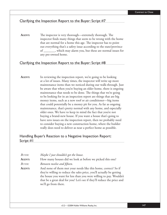#### Clarifying the Inspection Report to the Buyer: Script #7

**AGENT:** The inspector is very thorough—extremely thorough. The inspector finds many things that seem to be wrong with the home that are normal for a home this age. The inspector has to point out everything that's a safety issue according to the state/province of \_\_\_\_\_\_\_, which may alarm you, but these are normal issues for any pre-owned home.

#### Clarifying the Inspection Report to the Buyer: Script #8

AGENT: In reviewing the inspection report, we're going to be looking at a lot of issues. Many times, the inspector will write up more maintenance items than we noticed during our walk-through. Just be aware that when you're buying an older home, there is ongoing maintenance that needs to be done. The things that we're going to be looking for in an inspection report are things that are big money items, such as a new roof or air conditioner—big items that could potentially be a money pit for you. As far as ongoing maintenance, that's pretty normal with any home, and especially older ones. We have to keep in mind the fact that you're not buying a brand-new house. If you want a house that's going to have zero issues on the inspection report, then we probably need to consider buying a new construction home, where the builder really does need to deliver as near a perfect home as possible.

#### Handling Buyer's Reaction to a Negative Inspection Report: Script #1

| BUYER:<br>AGENT: | Maybe I just shouldn't get the house.<br>How many houses did we look at before we picked this one?                                                                                                                                                                                                               |
|------------------|------------------------------------------------------------------------------------------------------------------------------------------------------------------------------------------------------------------------------------------------------------------------------------------------------------------|
| BUYER:           | Between twelve and fifteen.                                                                                                                                                                                                                                                                                      |
| AGENT:           | And none of them met your needs like this home, correct? So if<br>they're willing to reduce the sales price, you'll actually be getting<br>the house you want for less than you were willing to pay. Wouldn't<br>that be a great deal for you? Let's see if they'll reduce the price and<br>we'll go from there. |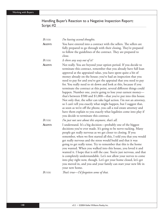#### Handling Buyer's Reaction to a Negative Inspection Report: Script #2

| BUYER:        | I'm having second thoughts.                                                                                                                                                                                                                                                                                                                                                                                                                                                                                                                                                                                                                                                                                                                                                                                                                                                                                                                                          |
|---------------|----------------------------------------------------------------------------------------------------------------------------------------------------------------------------------------------------------------------------------------------------------------------------------------------------------------------------------------------------------------------------------------------------------------------------------------------------------------------------------------------------------------------------------------------------------------------------------------------------------------------------------------------------------------------------------------------------------------------------------------------------------------------------------------------------------------------------------------------------------------------------------------------------------------------------------------------------------------------|
| AGENT:        | You have entered into a contract with the sellers. The sellers are<br>fully prepared to go through with their closing. They're prepared<br>to follow the guidelines of the contract. They are prepared to<br>close.                                                                                                                                                                                                                                                                                                                                                                                                                                                                                                                                                                                                                                                                                                                                                  |
| BUYER:        | Is there any way out of it?                                                                                                                                                                                                                                                                                                                                                                                                                                                                                                                                                                                                                                                                                                                                                                                                                                                                                                                                          |
| <b>AGENT:</b> | Not really. You are beyond your option period. If you decide to<br>terminate this contract, remember that you already have full loan<br>approval at the appraised value, you have spent quite a bit of<br>money already on the house; you've had an inspection that you<br>need to pay for and you've got the appraisal that you need to pay<br>for. You really need to sit down and look at this, because if you<br>terminate the contract at this point, several different things could<br>happen. Number one, you're going to lose your earnest money-<br>that's between \$500 and \$1,000-that you've put into this house.<br>Not only that, the seller can take legal action. I'm not an attorney,<br>so I can't tell you exactly what might happen, but I suggest that,<br>as soon as we're off the phone, you call a real estate attorney and<br>have them explain to you exactly what legalities come into play if<br>you decide to terminate this contract. |
| <b>BUYER:</b> | I'm just not sure about this anymore, that's all.                                                                                                                                                                                                                                                                                                                                                                                                                                                                                                                                                                                                                                                                                                                                                                                                                                                                                                                    |
| <b>AGENT:</b> | I understand. It's a big decision-probably one of the biggest<br>decisions you've ever made. It's going to be nerve-racking. Many<br>people get really nervous as we get closer to closing. If you<br>remember, when we first started all this, I told you that you would<br>get really nervous and the stress would build and that it was<br>going to get really tense. Try to remember that this is the home<br>you wanted. When you walked into this house, you loved it and<br>wanted it. I hope that is still the case. You're just nervous, and that<br>is completely understandable. Let's not allow your nerves to come<br>into play right now, though. Let's get your home closed, let's get<br>you moved in, and you and your family can start your new life in<br>your new home.                                                                                                                                                                          |
| $D_{ITTD}$    | $\pi_{\alpha\beta\gamma}$ turns $\eta_{\beta}$ formation ramp of the di-                                                                                                                                                                                                                                                                                                                                                                                                                                                                                                                                                                                                                                                                                                                                                                                                                                                                                             |

*BUYER: Th at's true—I'd forgotten some of that.*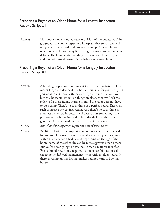#### Preparing a Buyer of an Older Home for a Lengthy Inspection Report: Script #1

**AGENT:** This house is one hundred years old. Most of the outlets won't be grounded. The home inspector will explain that to you and will tell you what you need to do to keep your appliances safe. An older home will have many little things the inspector will note as defects. The house is still standing here after one hundred years and has not burned down. It's probably a very good home.

#### Preparing a Buyer of an Older Home for a Lengthy Inspection Report: Script #2

**AGENT:** A building inspection is not meant to re-open negotiations. It is meant for you to decide if this house is suitable for you to buy—if you want to continue with the sale. If you decide that you won't buy this house unless certain things are fixed, then we'll ask the seller to fix those items, bearing in mind the seller does not have to do a thing. There's no such thing as a perfect house. There's no such thing as a perfect inspection. And there's no such thing as a perfect inspector. Inspectors will always miss something. The purpose of the home inspection is to decide if you think it's a good buy for you based on the structure of the house. *BUYER: But what if the inspection report has a lot of items on it?* **AGENT:** We like to look at the inspection report as a maintenance schedule for you to follow over the next several years. Every house comes with a maintenance schedule and depending on the age of the home, some of the schedules can be more aggressive than others. But you're never going to buy a house that is maintenance-free. Even a brand-new house requires maintenance. You can usually expect some deferred maintenance items with an older house. Is there anything on this list that makes you not want to buy this house?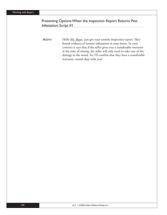#### Presenting Options When the Inspection Report Returns Pest Infestation: Script #1

**AGENT:** Hello *Mr. Buyer*, just got your termite inspection report. They found evidence of termite infestation in your home. In your contract it says that if the seller gives you a transferable warranty at the time of closing, the seller will only need to take care of the damage to the wood. So, I'll confirm that they have a transferable warranty; sound okay with you?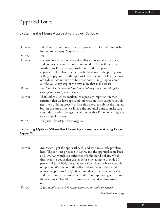## Appraisal Issues

#### Explaining the House Appraisal to a Buyer: Script #1

| AGENT:<br>BUYER: | I don't want you to over-pay for a property. In fact, it's impossible<br>for you to over-pay. May I explain?<br>Yes.                                                                                                                                                                                                                                                                                                                                                             |
|------------------|----------------------------------------------------------------------------------------------------------------------------------------------------------------------------------------------------------------------------------------------------------------------------------------------------------------------------------------------------------------------------------------------------------------------------------------------------------------------------------|
| AGENT:           | If you're in a situation where the seller wants to raise the price,<br>and you really want the home but you don't know if it's really<br>worth it, we'll have an appraisal done on the property. The<br>appraiser will declare whether the home is worth the price you're<br>willing to pay for it. If the appraisal doesn't come back at the price<br>offered, you do not have to buy that home. I'm going to watch<br>out for you every step of the way. Does that make sense? |
| <b>BUYER:</b>    | Yes. But what happens if I get into a bidding contest and the price<br>goes up and I really love the house?                                                                                                                                                                                                                                                                                                                                                                      |
| AGENT:           | That's called a seller's market. It's especially important in that<br>situation that we have appraisal information. Let's suppose you do<br>get into a bidding process and we find a way to submit the highest<br>bid. At the same time, we'll have the appraisal done to make sure<br>you didn't overbid. So again, you can see that I'm representing you<br>every step of the way.                                                                                             |
| BUYER:           | Yes, you're definitely representing me.                                                                                                                                                                                                                                                                                                                                                                                                                                          |

#### Explaining Options When the Home Appraises Below Asking Price: Script #1

**AGENT:** *Mr. Buyer*, I got the appraisal back, and we have a little problem here. The contract price is  $$150,000$ , and the appraisal came back at \$149,000, which is a difference of a thousand dollars. What this means to you is that the lender is only going to provide 80 percent of \$149,000, the appraised value. Now, we have a couple of options. We can go to the seller and ask them if they would reduce the price to \$149,000 because that is the appraised value, and the contract is contingent on the home appraising at or above the sales price. Would that be okay if we could get that worked out? *BUYER: If you could approach the seller with that it would be excellent.*

*(continued on next page)*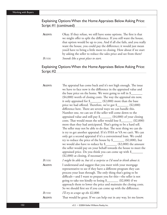#### Explaining Options When the Home Appraises Below Asking Price: Script #1 (continued)

**AGENT:** Okay. If they refuse, we still have some options. The first is that we might offer to split the difference. If you still want the house, that option would be up to you. And if all else fails, and you really want the house, you could pay the difference; it would just mean you'd have to bring a little more to closing. How about if we start by asking the seller to reduce the sales price and see from there? *BUYER: Sounds like a great place to start.*

#### Explaining Options When the Home Appraises Below Asking Price: Script #2

| AGENT:        | The appraisal has come back and it's not high enough. The issue        |
|---------------|------------------------------------------------------------------------|
|               | we have to face now is the difference in the appraised value and       |
|               | the base price on the home. We were going to roll in \$                |
|               | (\$4,000) worth of closing costs. The way the appraisal sits now,      |
|               | it only appraised for \$________ (\$2,000) more than the base          |
|               | price we had offered. Therefore, we've got \$_______ (\$2,000)         |
|               | difference here. There are several ways we can handle this.            |
|               | Number one, we can see if the seller will come down to the             |
|               | appraised value and still pay \$________ (\$4,000) of your closing     |
|               | costs. That would mean the seller would lose \$________ (\$2,000)      |
|               | more than they had anticipated. That's going to be a hard sell.        |
|               | The seller may not be able to do that. The next thing we can do        |
|               | is try to get another appraisal. If it's FHA or VA we can't. We can    |
|               | only get a second appraisal if it's a conventional loan. We could      |
|               | try to reduce the price of the house by \$_________ (\$2,000), but     |
|               | we would also have to reduce by $\frac{1}{2}$ (\$2,000) the amount     |
|               | the seller would pay on your behalf towards the house to meet the      |
|               | appraised price. Do you think you can come up with \$                  |
|               | (\$2,000) at closing, if necessary?                                    |
| <b>BUYER:</b> | I might be able to, but it's a surprise so I'd need to think about it. |
| AGENT:        | I understand and suggest that you meet with your mortgage              |
|               | representative to see if they have a different program they can        |
|               | process your loan through. The only thing that's going to be           |
|               | difficult—and I want to prepare you for this—the seller is not         |
|               | going to take too kindly to losing \$_______ (\$2,000) if we           |
|               | approach them to lower the price and maintain the closing costs.       |
|               | So we should first see if you can come up with the difference.         |
| <b>BUYER:</b> | I'll try to scrape up the \$2,000.                                     |
| AGENT:        | That would be great. If we can help out in any way, let me know.       |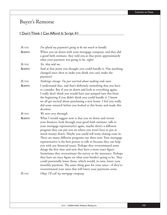# Buyer's Remorse

## I Don't Think I Can Afford It: Script #1

| <b>BUYER:</b> | I'm afraid my payment's going to be too much to handle.                                                                                                                                                                                                                                                                                                                                                                                                                                                                                                                                                                                                                                                                                                                                                                                                                                                                                          |
|---------------|--------------------------------------------------------------------------------------------------------------------------------------------------------------------------------------------------------------------------------------------------------------------------------------------------------------------------------------------------------------------------------------------------------------------------------------------------------------------------------------------------------------------------------------------------------------------------------------------------------------------------------------------------------------------------------------------------------------------------------------------------------------------------------------------------------------------------------------------------------------------------------------------------------------------------------------------------|
| AGENT:        | When you sat down with your mortgage company, and they did<br>a good faith estimate, they told you at that point approximately<br>what your payment was going to be, right?                                                                                                                                                                                                                                                                                                                                                                                                                                                                                                                                                                                                                                                                                                                                                                      |
| BUYER:        | Yes, they told me.                                                                                                                                                                                                                                                                                                                                                                                                                                                                                                                                                                                                                                                                                                                                                                                                                                                                                                                               |
| AGENT:        | And at that point you thought you could handle it. Has anything<br>changed since then to make you think you can't make the<br>payment?                                                                                                                                                                                                                                                                                                                                                                                                                                                                                                                                                                                                                                                                                                                                                                                                           |
| BUYER:        | Nothing's change. I'm just worried about making ends meet.                                                                                                                                                                                                                                                                                                                                                                                                                                                                                                                                                                                                                                                                                                                                                                                                                                                                                       |
| <b>AGENT:</b> | I understand that, and that's definitely something that you have<br>to consider. But if you sit down and look at everything again,<br>I really don't think you would have just jumped into this from<br>the beginning if you didn't think you could handle it. I know<br>we all get excited about purchasing a new home. I feel you really<br>did some research before you looked at this home and made this<br>decision.                                                                                                                                                                                                                                                                                                                                                                                                                                                                                                                        |
| BUYER:        | We were very thorough.                                                                                                                                                                                                                                                                                                                                                                                                                                                                                                                                                                                                                                                                                                                                                                                                                                                                                                                           |
| <b>AGENT:</b> | What I would suggest now is that you sit down and review<br>your finances, look through your good faith estimate, talk to<br>your mortgage representative again, maybe there's a different<br>program they can put you on where you won't have to put as<br>much money down. Maybe you could roll some closing costs in.<br>There are many different programs out there now. Your mortgage<br>representative is the best person to talk to because they can help<br>you with any financial issues. Perhaps they overestimated some<br>things the first time and now they have a more exact figure.<br>Sometimes they overestimate the survey or the insurance. Perhaps<br>they have an exact figure on what your binder's going to be. They<br>could potentially lower those, which would, in turn, lower your<br>monthly payment. The same thing goes for your taxes-if they've<br>overestimated your taxes that will lower your payments some. |
| BUYER:        | Okay, I'll call my mortgage company.                                                                                                                                                                                                                                                                                                                                                                                                                                                                                                                                                                                                                                                                                                                                                                                                                                                                                                             |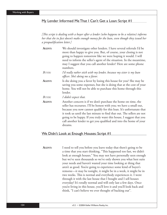#### My Lender Informed Me That I Can't Get a Loan: Script #1

*[Th is script is dealing with a buyer after a lender (who happens to be a relative) informs her that she in fact doesn't make enough money for the loan, even though they issued her a prequalifi cation letter.]*

| AGENT:        | We should investigate other lenders. I have several referrals I'd be   |
|---------------|------------------------------------------------------------------------|
|               | more than happy to give you. But, of course, your closing is not       |
|               | going to happen tomorrow like we were hoping it would. I will          |
|               | need to inform the seller's agent of the situation. In the meantime,   |
|               | may I suggest that you call another lender? Here are some phone        |
|               | numbers.                                                               |
| BUYER:        | I'd really rather stick with my lender, because my sister is my loan   |
|               | officer. She's doing me a favor.                                       |
| AGENT:        | Is she doing you a favor by losing this house for you? She may be      |
|               | saving you some expenses, but she is doing that at the cost of your    |
|               | home. You will not be able to purchase this home through this          |
|               | lender.                                                                |
| <b>BUYER:</b> | I didn't expect that.                                                  |
| AGENT:        | Another concern is if we don't purchase the home on time, the          |
|               | seller has recourses. I'll be honest with you; we have a small out,    |
|               | because you now cannot qualify for this loan. It's unfortunate that    |
|               | it took us until the last minute to find that out. The sellers are not |
|               | going to be happy. If you truly want this house, I suggest that you    |
|               | call another lender to get you qualified and into the home of your     |
|               | dreams.                                                                |

#### We Didn't Look at Enough Houses: Script #1

**AGENT:** I need to tell you before you leave today that there's going to be a time that you start thinking, "This happened too fast, we didn't look at enough houses." You may not have personally seen enough but we've seen thousands so we've only shown you what best suits your needs and haven't wasted your time looking at thing that aren't as good. You're going to experience some kind of buyer's remorse—it may be tonight, it might be in a week, it might be in two weeks. This is normal and everybody experiences it. I went through it with the last house that I bought and I sell houses everyday! It's totally normal and will only last a few days. Once you're living in this house, you'll love it and you'll look back and think, "I can't believe we ever thought of backing out".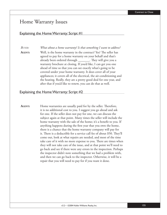## Home Warranty Issues

#### Explaining the Home Warranty: Script  $#I$

*BUYER: What about a home warranty? Is that something I want to address?*

**AGENT:** Well, is the home warranty in the contract? Yes? The seller has agreed to pay for a home warranty on your behalf and that's already been ordered through \_\_\_\_\_\_\_\_. They will give you a warranty brochure at closing. If you'd like, I can get you one ahead of time so that you can see exactly what's going to be covered under your home warranty. It does cover all of your appliances; it covers all of the electrical, the air-conditioning and the heating. Really, they are a pretty good deal for one year, and after that if you'd like to renew, you can do that as well.

#### Explaining the Home Warranty: Script #2

**AGENT:** Home warranties are usually paid for by the seller. Therefore, it is no additional cost to you. I suggest you go ahead and ask for one. If the seller does not pay for one, we can discuss the subject again at that point. Many times the seller will include the home warranty with the sale of the home; it's a benefit to you. If anything happens during the first year that you own the home, there is a chance that the home warranty company will pay for it. There is a deductible for a service call fee of about \$50. They'll come out, look at what repairs are needed, and most of the time take care of it with no more expense to you. There are times when they will not take care of the issue, and at that point we'll need to go back and see if there were any errors in the inspection. Perhaps the inspector didn't note something that we had a problem with, and then we can go back to the inspector. Otherwise, it will be a repair that you will need to pay for if you want it done.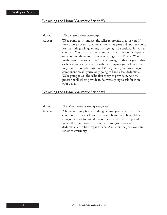#### Explaining the Home Warranty: Script #3

#### *BUYER: What about a home warranty?*

AGENT: We're going to try and ask the seller to provide that for you. If they choose not to—the home is only five years old and they don't feel that things will go wrong—it's going to be optional for you to choose it. You may buy it on your own, if you choose. It depends on who I'm talking to. If you were a single lady, I'd say: "You might want to consider this." The advantage of this for you is that each year you can renew through the company yourself. So you may want to consider this. For \$350 a year, if you have a major component break, you're only going to have a \$50 deductible. We're going to ask the seller first to try to provide it. And 99 percent of all sellers provide it. So, we're going to ask for it on your behalf.

#### Explaining the Home Warranty: Script #4

| BUYER: | How does a home warranty benefit me?                                                                                                                                                                                                                                                                                                                   |
|--------|--------------------------------------------------------------------------------------------------------------------------------------------------------------------------------------------------------------------------------------------------------------------------------------------------------------------------------------------------------|
| Agent: | A home warranty is a good thing because you may have an air<br>conditioner or water heater that is not brand new. It would be<br>a major expense for you if one of these needed to be replaced.<br>When the home warranty is in place, you just have a \$45<br>deductible fee to have repairs made. And after one year, you can<br>renew the warranty. |
|        |                                                                                                                                                                                                                                                                                                                                                        |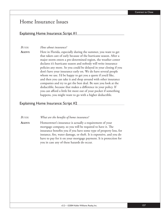## Home Insurance Issues

#### Explaining Home Insurance: Script #1

#### *BUYER: How about insurance?*

**AGENT:** Here in Florida, especially during the summer, you want to get that taken care of early because of the hurricane season. After a major storm enters a pre-determined region, the weather center declares it's hurricane season and nobody will write insurance policies any more. So you could be delayed in your closing if you don't have your insurance early on. We do have several people whom we use. I'd be happy to get you a quote if you'd like, and then you can take it and shop around with other insurance companies and try to get the best deal. Be sure you look at the deductible, because that makes a difference in your policy. If you can afford a little bit more out of your pocket if something happens, you might want to go with a higher deductible.

#### Explaining Home Insurance: Script #2

*BUYER:* What are the benefits of home insurance?

**AGENT:** Homeowner's insurance is actually a requirement of your mortgage company, so you will be required to have it. The insurance benefits you if you have some type of property loss, for instance, fire, water damage, or theft. It is expensive, and you do have to pay for it on your mortgage payment. It is protection for you in case any of these hazards do occur.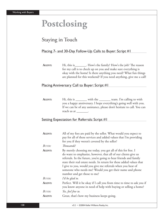# **Postclosing**

# Staying in Touch

#### Placing 7- and 30-Day Follow-Up Calls to Buyer: Script #1

AGENT: Hi, this is\_\_\_\_\_\_\_\_. How's the family? How's the job? The reason for my call is to check up on you and make sure everything is okay with the home! Is there anything you need? What fun things are planned for this weekend? If you need anything, give me a call!

#### Placing Anniversary Call to Buyer: Script #1

AGENT: Hi, this is \_\_\_\_\_\_\_\_ with the \_\_\_\_\_\_\_\_ team. I'm calling to wish you a happy anniversary. I hope everything's going well with you. If we can be of any assistance, please don't hesitate to call. You can reach us at \_\_\_\_\_\_\_\_.

#### Setting Expectation for Referrals: Script #1

| AGENT:        | All of my fees are paid by the seller. What would you expect to<br>pay for all of these services and added values that I'm providing<br>for you if they weren't covered by the seller?                                                                                                                                                                                                                                                |
|---------------|---------------------------------------------------------------------------------------------------------------------------------------------------------------------------------------------------------------------------------------------------------------------------------------------------------------------------------------------------------------------------------------------------------------------------------------|
| BUYER:        | Thousands!                                                                                                                                                                                                                                                                                                                                                                                                                            |
| AGENT:        | By merely choosing me today, you get all of this for free. I<br>do want to emphasize, however, that all of our clients give us<br>referrals. In the future, you're going to hear friends and family<br>state their real estate needs. In return for these added values that<br>I give to you, would you give me referrals when you hear of<br>someone who needs me? Would you get their name and phone<br>number and get those to me? |
| <b>BUYER:</b> | I'd be glad to.                                                                                                                                                                                                                                                                                                                                                                                                                       |
| AGENT:        | Perfect. Will it be okay if I call you from time to time to ask you if<br>you know anyone in need of help with buying or selling a home?                                                                                                                                                                                                                                                                                              |
| <b>BUYER:</b> | Yes, feel free to.                                                                                                                                                                                                                                                                                                                                                                                                                    |
| AGENT:        | Great, that's how my business keeps going.                                                                                                                                                                                                                                                                                                                                                                                            |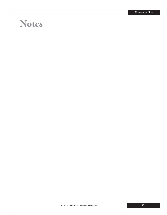# **Notes**